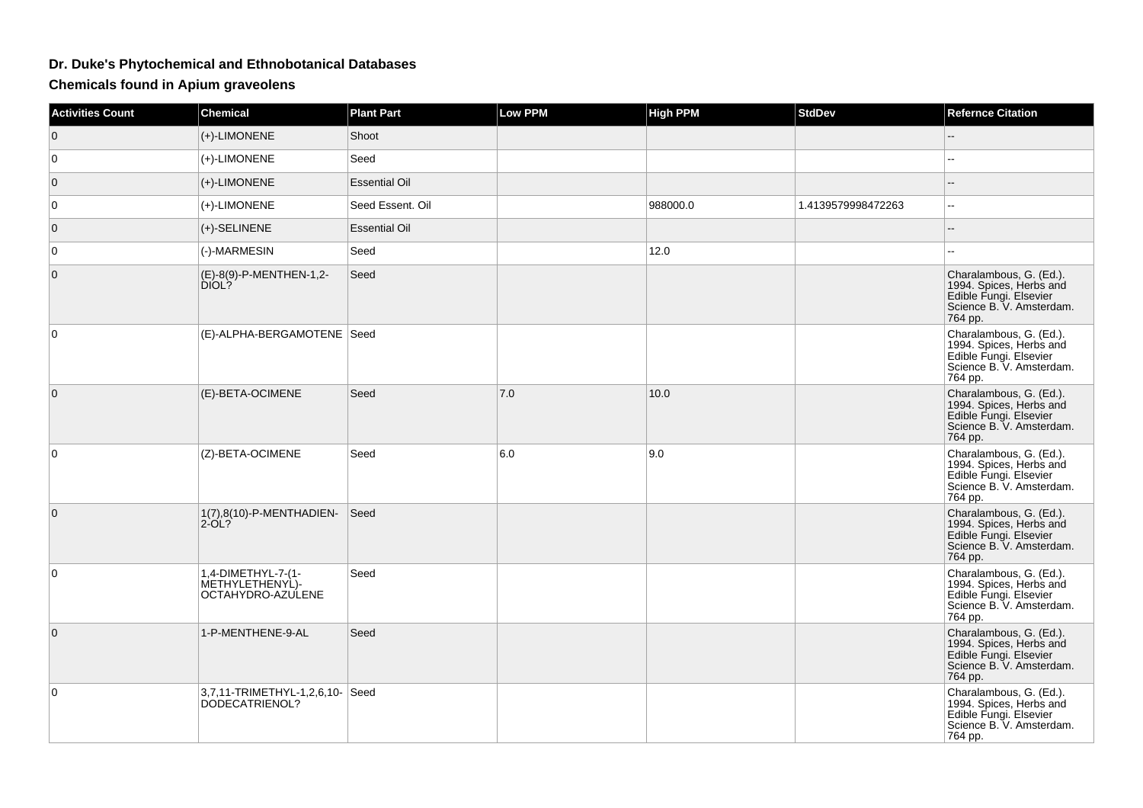## **Dr. Duke's Phytochemical and Ethnobotanical Databases**

**Chemicals found in Apium graveolens**

| <b>Activities Count</b> | <b>Chemical</b>                                            | <b>Plant Part</b>    | <b>Low PPM</b> | <b>High PPM</b> | <b>StdDev</b>      | <b>Refernce Citation</b>                                                                                            |
|-------------------------|------------------------------------------------------------|----------------------|----------------|-----------------|--------------------|---------------------------------------------------------------------------------------------------------------------|
| $\mathbf 0$             | (+)-LIMONENE                                               | Shoot                |                |                 |                    |                                                                                                                     |
| $\overline{0}$          | (+)-LIMONENE                                               | Seed                 |                |                 |                    | --                                                                                                                  |
| $\overline{0}$          | (+)-LIMONENE                                               | <b>Essential Oil</b> |                |                 |                    | --                                                                                                                  |
| 0                       | (+)-LIMONENE                                               | Seed Essent. Oil     |                | 988000.0        | 1.4139579998472263 | 44                                                                                                                  |
| $\mathbf{0}$            | $(+)$ -SELINENE                                            | <b>Essential Oil</b> |                |                 |                    | --                                                                                                                  |
| $\overline{0}$          | (-)-MARMESIN                                               | Seed                 |                | 12.0            |                    |                                                                                                                     |
| $\mathbf 0$             | (E)-8(9)-P-MENTHEN-1,2-<br>DIOL?                           | Seed                 |                |                 |                    | Charalambous, G. (Ed.).<br>1994. Spices, Herbs and<br>Edible Fungi. Elsevier<br>Science B. V. Amsterdam.<br>764 pp. |
| $\mathbf 0$             | (E)-ALPHA-BERGAMOTENE   Seed                               |                      |                |                 |                    | Charalambous, G. (Ed.).<br>1994. Spices, Herbs and<br>Edible Fungi. Elsevier<br>Science B. V. Amsterdam.<br>764 pp. |
| $\mathbf{0}$            | (E)-BETA-OCIMENE                                           | Seed                 | 7.0            | 10.0            |                    | Charalambous, G. (Ed.).<br>1994. Spices, Herbs and<br>Edible Fungi. Elsevier<br>Science B. V. Amsterdam.<br>764 pp. |
| $\mathbf 0$             | (Z)-BETA-OCIMENE                                           | Seed                 | 6.0            | 9.0             |                    | Charalambous, G. (Ed.).<br>1994. Spices, Herbs and<br>Edible Fungi. Elsevier<br>Science B. V. Amsterdam.<br>764 pp. |
| $\mathbf{0}$            | 1(7),8(10)-P-MENTHADIEN-<br>$2-OL?$                        | Seed                 |                |                 |                    | Charalambous, G. (Ed.).<br>1994. Spices, Herbs and<br>Edible Fungi. Elsevier<br>Science B. V. Amsterdam.<br>764 pp. |
| $\mathbf 0$             | 1,4-DIMETHYL-7-(1-<br>METHYLETHENYL)-<br>OCTAHYDRO-AZULENE | Seed                 |                |                 |                    | Charalambous, G. (Ed.).<br>1994. Spices, Herbs and<br>Edible Fungi. Elsevier<br>Science B. V. Amsterdam.<br>764 pp. |
| $\mathbf 0$             | 1-P-MENTHENE-9-AL                                          | Seed                 |                |                 |                    | Charalambous, G. (Ed.).<br>1994. Spices, Herbs and<br>Edible Fungi. Elsevier<br>Science B. V. Amsterdam.<br>764 pp. |
| 0                       | 3,7,11-TRIMETHYL-1,2,6,10- Seed<br>DODECATRIENOL?          |                      |                |                 |                    | Charalambous, G. (Ed.).<br>1994. Spices, Herbs and<br>Edible Fungi. Elsevier<br>Science B. V. Amsterdam.<br>764 pp. |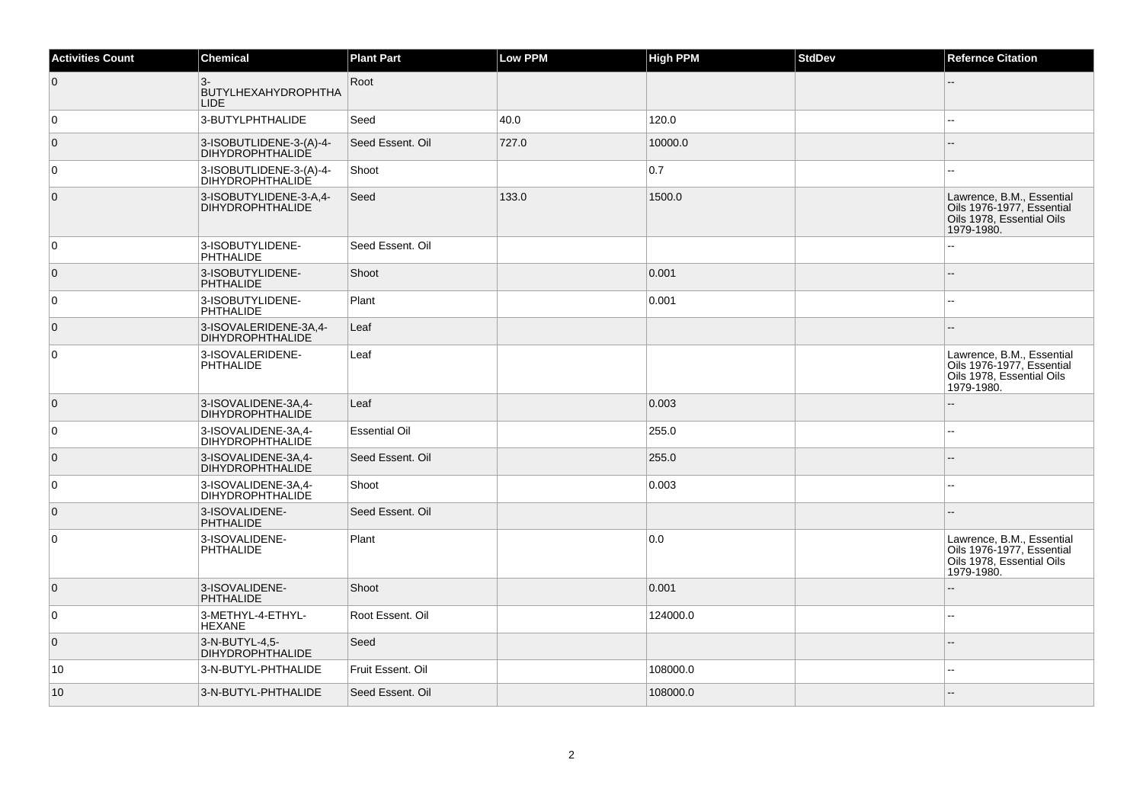| <b>Activities Count</b> | Chemical                                           | <b>Plant Part</b>    | Low PPM | <b>High PPM</b> | <b>StdDev</b> | <b>Refernce Citation</b>                                                                          |
|-------------------------|----------------------------------------------------|----------------------|---------|-----------------|---------------|---------------------------------------------------------------------------------------------------|
| $\overline{0}$          | $3-$<br><b>BUTYLHEXAHYDROPHTHA</b><br><b>LIDE</b>  | Root                 |         |                 |               |                                                                                                   |
| $\overline{0}$          | 3-BUTYLPHTHALIDE                                   | Seed                 | 40.0    | 120.0           |               |                                                                                                   |
| $\overline{0}$          | 3-ISOBUTLIDENE-3-(A)-4-<br><b>DIHYDROPHTHALIDE</b> | Seed Essent. Oil     | 727.0   | 10000.0         |               |                                                                                                   |
| $\overline{0}$          | 3-ISOBUTLIDENE-3-(A)-4-<br><b>DIHYDROPHTHALIDE</b> | Shoot                |         | 0.7             |               |                                                                                                   |
| $\overline{0}$          | 3-ISOBUTYLIDENE-3-A,4-<br><b>DIHYDROPHTHALIDE</b>  | Seed                 | 133.0   | 1500.0          |               | Lawrence, B.M., Essential<br>Oils 1976-1977, Essential<br>Oils 1978, Essential Oils<br>1979-1980. |
| $\overline{0}$          | 3-ISOBUTYLIDENE-<br>PHTHALIDE                      | Seed Essent. Oil     |         |                 |               |                                                                                                   |
| $\overline{0}$          | 3-ISOBUTYLIDENE-<br><b>PHTHALIDE</b>               | Shoot                |         | 0.001           |               |                                                                                                   |
| $\overline{0}$          | 3-ISOBUTYLIDENE-<br><b>PHTHALIDE</b>               | Plant                |         | 0.001           |               |                                                                                                   |
| $\overline{0}$          | 3-ISOVALERIDENE-3A,4-<br><b>DIHYDROPHTHALIDE</b>   | Leaf                 |         |                 |               |                                                                                                   |
| $\overline{0}$          | 3-ISOVALERIDENE-<br>PHTHALIDE                      | Leaf                 |         |                 |               | Lawrence, B.M., Essential<br>Oils 1976-1977, Essential<br>Oils 1978, Essential Oils<br>1979-1980. |
| $\overline{0}$          | 3-ISOVALIDENE-3A,4-<br><b>DIHYDROPHTHALIDE</b>     | Leaf                 |         | 0.003           |               |                                                                                                   |
| $\overline{0}$          | 3-ISOVALIDENE-3A.4-<br><b>DIHYDROPHTHALIDE</b>     | <b>Essential Oil</b> |         | 255.0           |               | --                                                                                                |
| $\overline{0}$          | 3-ISOVALIDENE-3A,4-<br><b>DIHYDROPHTHALIDE</b>     | Seed Essent. Oil     |         | 255.0           |               |                                                                                                   |
| $\overline{0}$          | 3-ISOVALIDENE-3A,4-<br><b>DIHYDROPHTHALIDE</b>     | Shoot                |         | 0.003           |               |                                                                                                   |
| $\overline{0}$          | 3-ISOVALIDENE-<br><b>PHTHALIDE</b>                 | Seed Essent. Oil     |         |                 |               |                                                                                                   |
| $\overline{0}$          | 3-ISOVALIDENE-<br><b>PHTHALIDE</b>                 | Plant                |         | 0.0             |               | Lawrence, B.M., Essential<br>Oils 1976-1977, Essential<br>Oils 1978, Essential Oils<br>1979-1980. |
| $\overline{0}$          | 3-ISOVALIDENE-<br><b>PHTHALIDE</b>                 | Shoot                |         | 0.001           |               |                                                                                                   |
| $\overline{0}$          | 3-METHYL-4-ETHYL-<br><b>HEXANE</b>                 | Root Essent. Oil     |         | 124000.0        |               | --                                                                                                |
| $\overline{0}$          | 3-N-BUTYL-4.5-<br><b>DIHYDROPHTHALIDE</b>          | Seed                 |         |                 |               |                                                                                                   |
| 10                      | 3-N-BUTYL-PHTHALIDE                                | Fruit Essent. Oil    |         | 108000.0        |               |                                                                                                   |
| 10                      | 3-N-BUTYL-PHTHALIDE                                | Seed Essent. Oil     |         | 108000.0        |               |                                                                                                   |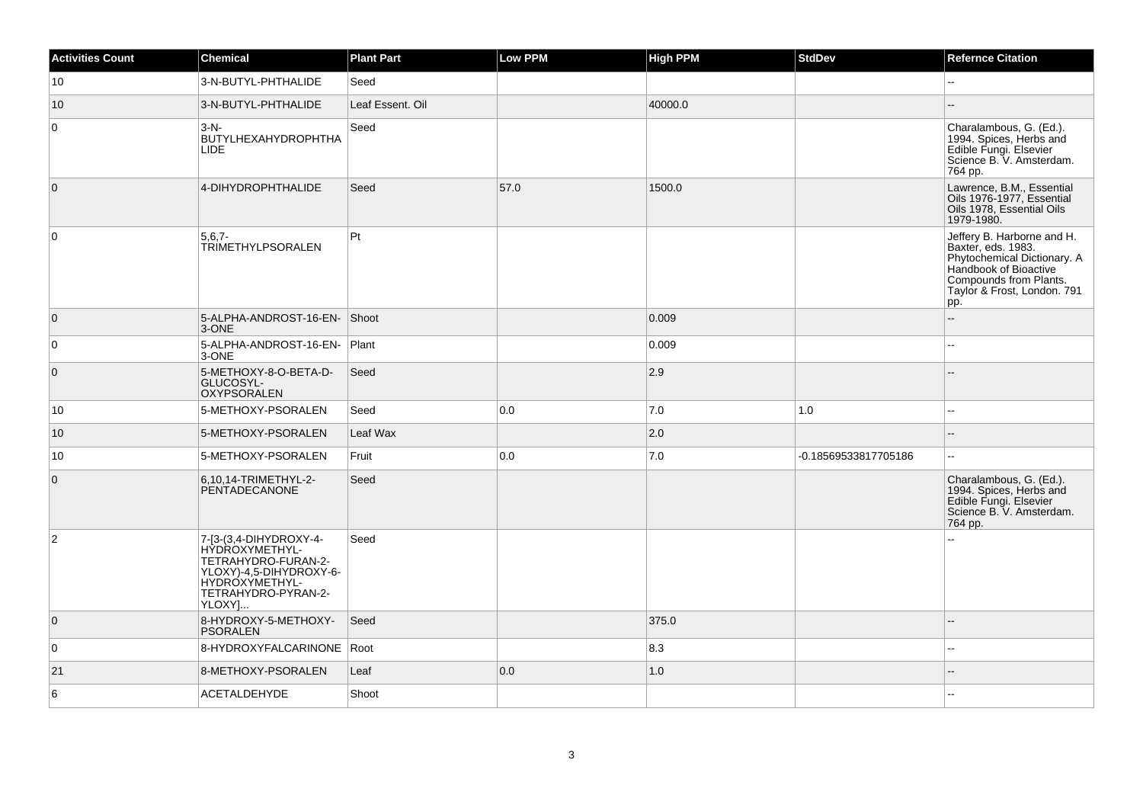| <b>Activities Count</b> | Chemical                                                                                                                                      | <b>Plant Part</b> | Low PPM | <b>High PPM</b> | <b>StdDev</b>        | <b>Refernce Citation</b>                                                                                                                                                 |
|-------------------------|-----------------------------------------------------------------------------------------------------------------------------------------------|-------------------|---------|-----------------|----------------------|--------------------------------------------------------------------------------------------------------------------------------------------------------------------------|
| 10                      | 3-N-BUTYL-PHTHALIDE                                                                                                                           | Seed              |         |                 |                      | $\overline{\phantom{a}}$                                                                                                                                                 |
| 10                      | 3-N-BUTYL-PHTHALIDE                                                                                                                           | Leaf Essent. Oil  |         | 40000.0         |                      |                                                                                                                                                                          |
| $\overline{0}$          | $3-N$ -<br><b>BUTYLHEXAHYDROPHTHA</b><br><b>LIDE</b>                                                                                          | Seed              |         |                 |                      | Charalambous, G. (Ed.).<br>1994. Spices, Herbs and<br>Edible Fungi. Elsevier<br>Science B. V. Amsterdam.<br>764 pp.                                                      |
| $\overline{0}$          | 4-DIHYDROPHTHALIDE                                                                                                                            | Seed              | 57.0    | 1500.0          |                      | Lawrence, B.M., Essential<br>Oils 1976-1977. Essential<br>Oils 1978, Essential Oils<br>1979-1980.                                                                        |
| 0                       | $5,6,7-$<br><b>TRIMETHYLPSORALEN</b>                                                                                                          | $ P_t $           |         |                 |                      | Jeffery B. Harborne and H.<br>Baxter, eds. 1983.<br>Phytochemical Dictionary. A<br>Handbook of Bioactive<br>Compounds from Plants.<br>Taylor & Frost, London. 791<br>pp. |
| $\overline{0}$          | 5-ALPHA-ANDROST-16-EN- Shoot<br>3-ONE                                                                                                         |                   |         | 0.009           |                      | $\overline{a}$                                                                                                                                                           |
| $\overline{0}$          | 5-ALPHA-ANDROST-16-EN- Plant<br>3-ONE                                                                                                         |                   |         | 0.009           |                      | ۵.                                                                                                                                                                       |
| $\overline{0}$          | 5-METHOXY-8-O-BETA-D-<br>GLUCOSYL-<br><b>OXYPSORALEN</b>                                                                                      | Seed              |         | 2.9             |                      |                                                                                                                                                                          |
| 10                      | 5-METHOXY-PSORALEN                                                                                                                            | Seed              | 0.0     | 7.0             | 1.0                  | --                                                                                                                                                                       |
| 10                      | 5-METHOXY-PSORALEN                                                                                                                            | Leaf Wax          |         | 2.0             |                      |                                                                                                                                                                          |
| 10                      | 5-METHOXY-PSORALEN                                                                                                                            | Fruit             | 0.0     | 7.0             | -0.18569533817705186 | ă.                                                                                                                                                                       |
| $\overline{0}$          | 6.10.14-TRIMETHYL-2-<br><b>PENTADECANONE</b>                                                                                                  | Seed              |         |                 |                      | Charalambous, G. (Ed.).<br>1994. Spices, Herbs and<br>Edible Fungi. Elsevier<br>Science B. V. Amsterdam.<br>764 pp.                                                      |
| $\vert$ 2               | 7-[3-(3,4-DIHYDROXY-4-<br>HYDROXYMETHYL-<br>TETRAHYDRO-FURAN-2-<br>YLOXY)-4,5-DIHYDROXY-6-<br>HYDROXYMETHYL-<br>TETRAHYDRO-PYRAN-2-<br>YLOXY] | Seed              |         |                 |                      |                                                                                                                                                                          |
| $\overline{0}$          | 8-HYDROXY-5-METHOXY-<br><b>PSORALEN</b>                                                                                                       | Seed              |         | 375.0           |                      |                                                                                                                                                                          |
| $\overline{0}$          | 8-HYDROXYFALCARINONE   Root                                                                                                                   |                   |         | 8.3             |                      | $\overline{\phantom{a}}$                                                                                                                                                 |
| 21                      | 8-METHOXY-PSORALEN                                                                                                                            | Leaf              | 0.0     | 1.0             |                      |                                                                                                                                                                          |
| 6                       | <b>ACETALDEHYDE</b>                                                                                                                           | Shoot             |         |                 |                      | --                                                                                                                                                                       |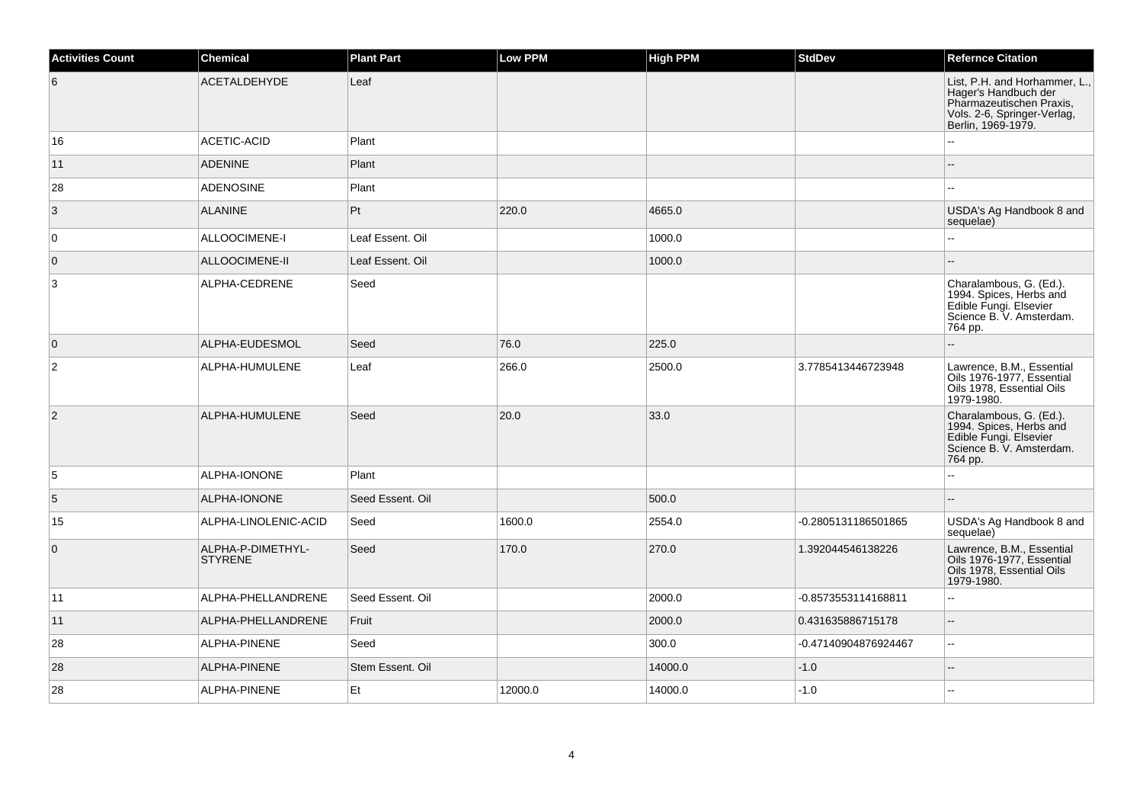| <b>Activities Count</b> | <b>Chemical</b>                     | <b>Plant Part</b> | Low PPM | <b>High PPM</b> | <b>StdDev</b>        | <b>Refernce Citation</b>                                                                                                               |
|-------------------------|-------------------------------------|-------------------|---------|-----------------|----------------------|----------------------------------------------------------------------------------------------------------------------------------------|
| 6                       | <b>ACETALDEHYDE</b>                 | Leaf              |         |                 |                      | List, P.H. and Horhammer, L.,<br>Hager's Handbuch der<br>Pharmazeutischen Praxis,<br>Vols. 2-6, Springer-Verlag,<br>Berlin, 1969-1979. |
| 16                      | ACETIC-ACID                         | Plant             |         |                 |                      |                                                                                                                                        |
| 11                      | <b>ADENINE</b>                      | Plant             |         |                 |                      |                                                                                                                                        |
| 28                      | <b>ADENOSINE</b>                    | Plant             |         |                 |                      | $\overline{a}$                                                                                                                         |
| 3                       | <b>ALANINE</b>                      | Pt                | 220.0   | 4665.0          |                      | USDA's Ag Handbook 8 and<br>sequelae)                                                                                                  |
| $\mathbf 0$             | ALLOOCIMENE-I                       | Leaf Essent. Oil  |         | 1000.0          |                      |                                                                                                                                        |
| $\mathbf 0$             | ALLOOCIMENE-II                      | Leaf Essent. Oil  |         | 1000.0          |                      |                                                                                                                                        |
| 3                       | ALPHA-CEDRENE                       | Seed              |         |                 |                      | Charalambous, G. (Ed.).<br>1994. Spices, Herbs and<br>Edible Fungi. Elsevier<br>Science B. V. Amsterdam.<br>764 pp.                    |
| $\overline{0}$          | ALPHA-EUDESMOL                      | Seed              | 76.0    | 225.0           |                      |                                                                                                                                        |
| $\overline{2}$          | ALPHA-HUMULENE                      | Leaf              | 266.0   | 2500.0          | 3.7785413446723948   | Lawrence, B.M., Essential<br>Oils 1976-1977, Essential<br>Oils 1978, Essential Oils<br>1979-1980.                                      |
| $\overline{2}$          | ALPHA-HUMULENE                      | Seed              | 20.0    | 33.0            |                      | Charalambous, G. (Ed.).<br>1994. Spices, Herbs and<br>Edible Fungi. Elsevier<br>Science B. V. Amsterdam.<br>764 pp.                    |
| 5                       | ALPHA-IONONE                        | Plant             |         |                 |                      |                                                                                                                                        |
| $5\phantom{.0}$         | ALPHA-IONONE                        | Seed Essent. Oil  |         | 500.0           |                      |                                                                                                                                        |
| 15                      | ALPHA-LINOLENIC-ACID                | Seed              | 1600.0  | 2554.0          | -0.2805131186501865  | USDA's Ag Handbook 8 and<br>sequelae)                                                                                                  |
| $\mathbf 0$             | ALPHA-P-DIMETHYL-<br><b>STYRENE</b> | Seed              | 170.0   | 270.0           | 1.392044546138226    | Lawrence, B.M., Essential<br>Oils 1976-1977, Essential<br>Oils 1978, Essential Oils<br>1979-1980.                                      |
| 11                      | ALPHA-PHELLANDRENE                  | Seed Essent, Oil  |         | 2000.0          | -0.8573553114168811  | ä.                                                                                                                                     |
| 11                      | ALPHA-PHELLANDRENE                  | Fruit             |         | 2000.0          | 0.431635886715178    | $\overline{a}$                                                                                                                         |
| 28                      | ALPHA-PINENE                        | Seed              |         | 300.0           | -0.47140904876924467 | $\overline{\phantom{a}}$                                                                                                               |
| 28                      | ALPHA-PINENE                        | Stem Essent. Oil  |         | 14000.0         | $-1.0$               |                                                                                                                                        |
| 28                      | ALPHA-PINENE                        | Et                | 12000.0 | 14000.0         | $-1.0$               |                                                                                                                                        |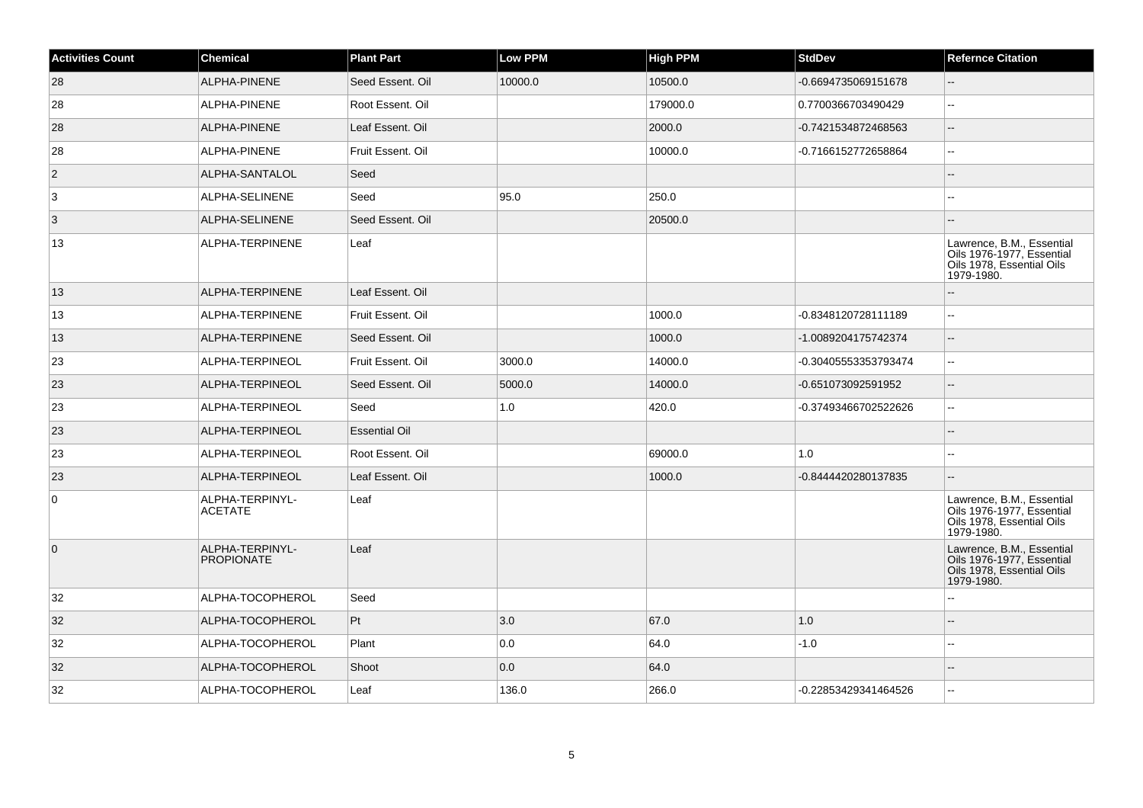| <b>Activities Count</b> | <b>Chemical</b>                      | <b>Plant Part</b>    | <b>Low PPM</b> | <b>High PPM</b> | <b>StdDev</b>        | <b>Refernce Citation</b>                                                                          |
|-------------------------|--------------------------------------|----------------------|----------------|-----------------|----------------------|---------------------------------------------------------------------------------------------------|
| 28                      | ALPHA-PINENE                         | Seed Essent. Oil     | 10000.0        | 10500.0         | -0.6694735069151678  |                                                                                                   |
| 28                      | ALPHA-PINENE                         | Root Essent. Oil     |                | 179000.0        | 0.7700366703490429   | $\sim$                                                                                            |
| 28                      | ALPHA-PINENE                         | Leaf Essent. Oil     |                | 2000.0          | -0.7421534872468563  | $\overline{\phantom{a}}$                                                                          |
| 28                      | ALPHA-PINENE                         | Fruit Essent, Oil    |                | 10000.0         | -0.7166152772658864  | $\sim$                                                                                            |
| $\vert$ 2               | ALPHA-SANTALOL                       | Seed                 |                |                 |                      |                                                                                                   |
| 3                       | ALPHA-SELINENE                       | Seed                 | 95.0           | 250.0           |                      |                                                                                                   |
| $\overline{3}$          | ALPHA-SELINENE                       | Seed Essent, Oil     |                | 20500.0         |                      |                                                                                                   |
| 13                      | ALPHA-TERPINENE                      | Leaf                 |                |                 |                      | Lawrence, B.M., Essential<br>Oils 1976-1977, Essential<br>Oils 1978, Essential Oils<br>1979-1980. |
| 13                      | ALPHA-TERPINENE                      | Leaf Essent. Oil     |                |                 |                      | $\sim$                                                                                            |
| 13                      | ALPHA-TERPINENE                      | Fruit Essent. Oil    |                | 1000.0          | -0.8348120728111189  | $\sim$ $\sim$                                                                                     |
| 13                      | ALPHA-TERPINENE                      | Seed Essent, Oil     |                | 1000.0          | -1.0089204175742374  | $\overline{\phantom{a}}$                                                                          |
| 23                      | ALPHA-TERPINEOL                      | Fruit Essent. Oil    | 3000.0         | 14000.0         | -0.30405553353793474 | $\sim$                                                                                            |
| 23                      | ALPHA-TERPINEOL                      | Seed Essent, Oil     | 5000.0         | 14000.0         | -0.651073092591952   | $\overline{\phantom{a}}$                                                                          |
| 23                      | ALPHA-TERPINEOL                      | Seed                 | 1.0            | 420.0           | -0.37493466702522626 | $\sim$ $\sim$                                                                                     |
| 23                      | ALPHA-TERPINEOL                      | <b>Essential Oil</b> |                |                 |                      |                                                                                                   |
| 23                      | ALPHA-TERPINEOL                      | Root Essent. Oil     |                | 69000.0         | 1.0                  | $\sim$ $\sim$                                                                                     |
| 23                      | ALPHA-TERPINEOL                      | Leaf Essent. Oil     |                | 1000.0          | -0.8444420280137835  | ÷.                                                                                                |
| 0                       | ALPHA-TERPINYL-<br><b>ACETATE</b>    | Leaf                 |                |                 |                      | Lawrence, B.M., Essential<br>Oils 1976-1977, Essential<br>Oils 1978, Essential Oils<br>1979-1980. |
| $\overline{0}$          | ALPHA-TERPINYL-<br><b>PROPIONATE</b> | Leaf                 |                |                 |                      | Lawrence, B.M., Essential<br>Oils 1976-1977, Essential<br>Oils 1978, Essential Oils<br>1979-1980. |
| 32                      | ALPHA-TOCOPHEROL                     | Seed                 |                |                 |                      |                                                                                                   |
| 32                      | ALPHA-TOCOPHEROL                     | Pt                   | 3.0            | 67.0            | 1.0                  |                                                                                                   |
| 32                      | ALPHA-TOCOPHEROL                     | Plant                | 0.0            | 64.0            | $-1.0$               |                                                                                                   |
| 32                      | ALPHA-TOCOPHEROL                     | Shoot                | 0.0            | 64.0            |                      |                                                                                                   |
| 32                      | ALPHA-TOCOPHEROL                     | Leaf                 | 136.0          | 266.0           | -0.22853429341464526 | $\sim$                                                                                            |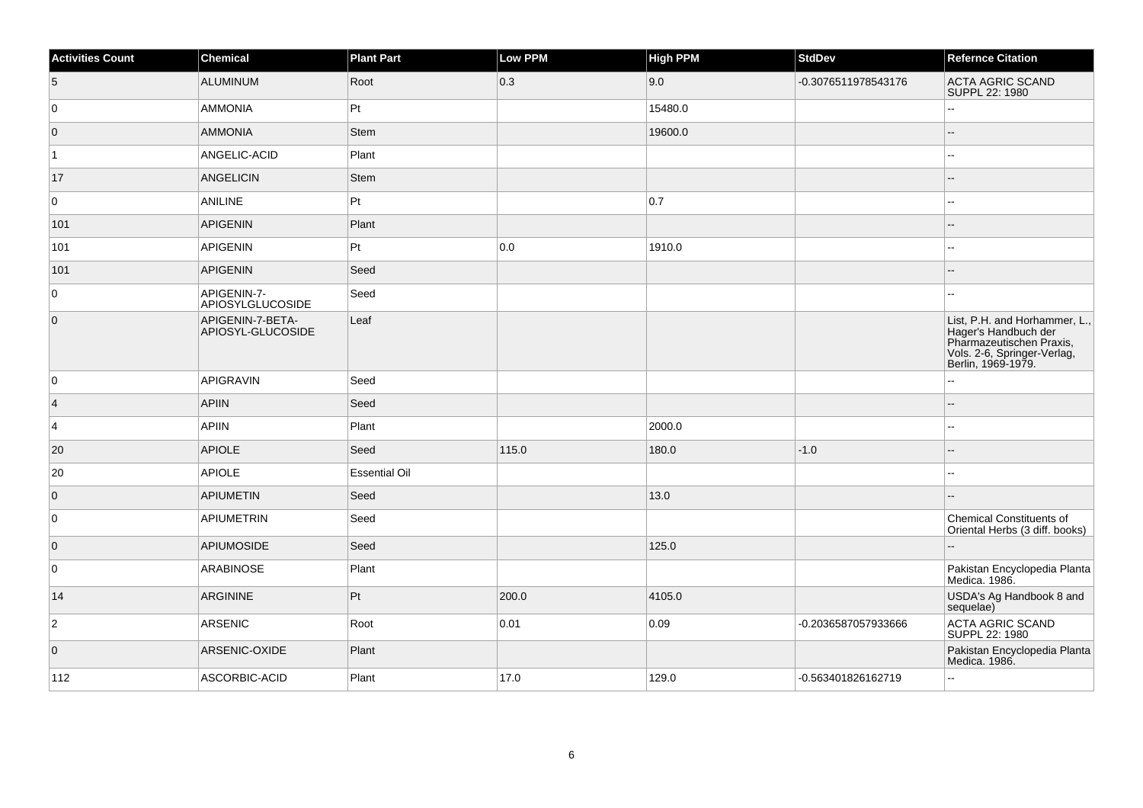| <b>Activities Count</b> | Chemical                              | <b>Plant Part</b>    | Low PPM           | <b>High PPM</b> | <b>StdDev</b>       | <b>Refernce Citation</b>                                                                                                               |
|-------------------------|---------------------------------------|----------------------|-------------------|-----------------|---------------------|----------------------------------------------------------------------------------------------------------------------------------------|
| $\overline{5}$          | <b>ALUMINUM</b>                       | Root                 | $\vert 0.3 \vert$ | 9.0             | -0.3076511978543176 | <b>ACTA AGRIC SCAND</b><br>SUPPL 22: 1980                                                                                              |
| 0                       | <b>AMMONIA</b>                        | Pt                   |                   | 15480.0         |                     | Ξ.                                                                                                                                     |
| $\overline{0}$          | <b>AMMONIA</b>                        | Stem                 |                   | 19600.0         |                     |                                                                                                                                        |
| $\vert$ 1               | ANGELIC-ACID                          | Plant                |                   |                 |                     | --                                                                                                                                     |
| 17                      | <b>ANGELICIN</b>                      | <b>Stem</b>          |                   |                 |                     | --                                                                                                                                     |
| $\mathbf 0$             | ANILINE                               | $ P_t $              |                   | 0.7             |                     | --                                                                                                                                     |
| 101                     | APIGENIN                              | Plant                |                   |                 |                     | --                                                                                                                                     |
| 101                     | APIGENIN                              | Pt                   | 0.0               | 1910.0          |                     | --                                                                                                                                     |
| 101                     | <b>APIGENIN</b>                       | Seed                 |                   |                 |                     | --                                                                                                                                     |
| 0                       | APIGENIN-7-<br>APIOSYLGLUCOSIDE       | Seed                 |                   |                 |                     | --                                                                                                                                     |
| $\overline{0}$          | APIGENIN-7-BETA-<br>APIOSYL-GLUCOSIDE | Leaf                 |                   |                 |                     | List, P.H. and Horhammer, L.,<br>Hager's Handbuch der<br>Pharmazeutischen Praxis,<br>Vols. 2-6, Springer-Verlag,<br>Berlin, 1969-1979. |
| 0                       | <b>APIGRAVIN</b>                      | Seed                 |                   |                 |                     |                                                                                                                                        |
| $\vert$ 4               | <b>APIIN</b>                          | Seed                 |                   |                 |                     |                                                                                                                                        |
| $\vert$ 4               | <b>APIIN</b>                          | Plant                |                   | 2000.0          |                     |                                                                                                                                        |
| 20                      | <b>APIOLE</b>                         | Seed                 | 115.0             | 180.0           | $-1.0$              |                                                                                                                                        |
| 20                      | APIOLE                                | <b>Essential Oil</b> |                   |                 |                     | $\overline{a}$                                                                                                                         |
| $\overline{0}$          | APIUMETIN                             | Seed                 |                   | 13.0            |                     |                                                                                                                                        |
| 0                       | APIUMETRIN                            | Seed                 |                   |                 |                     | <b>Chemical Constituents of</b><br>Oriental Herbs (3 diff. books)                                                                      |
| 0                       | APIUMOSIDE                            | Seed                 |                   | 125.0           |                     |                                                                                                                                        |
| 0                       | <b>ARABINOSE</b>                      | Plant                |                   |                 |                     | Pakistan Encyclopedia Planta<br>Medica. 1986.                                                                                          |
| 14                      | ARGININE                              | Pt                   | 200.0             | 4105.0          |                     | USDA's Ag Handbook 8 and<br>sequelae)                                                                                                  |
| $\mathbf 2$             | ARSENIC                               | Root                 | 0.01              | 0.09            | -0.2036587057933666 | <b>ACTA AGRIC SCAND</b><br>SUPPL 22: 1980                                                                                              |
| $\overline{0}$          | ARSENIC-OXIDE                         | Plant                |                   |                 |                     | Pakistan Encyclopedia Planta<br>Medica. 1986.                                                                                          |
| 112                     | ASCORBIC-ACID                         | Plant                | 17.0              | 129.0           | -0.563401826162719  | --                                                                                                                                     |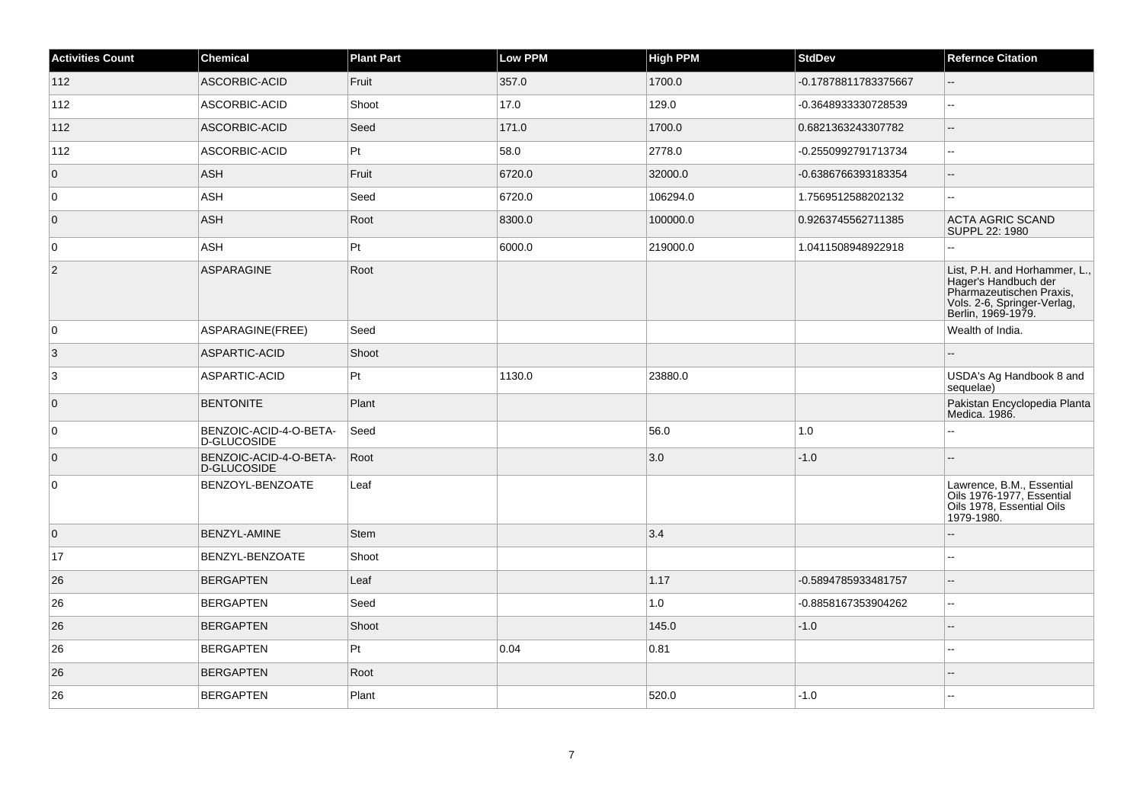| <b>Activities Count</b> | <b>Chemical</b>                       | <b>Plant Part</b> | <b>Low PPM</b> | <b>High PPM</b> | <b>StdDev</b>        | <b>Refernce Citation</b>                                                                                                               |
|-------------------------|---------------------------------------|-------------------|----------------|-----------------|----------------------|----------------------------------------------------------------------------------------------------------------------------------------|
| 112                     | ASCORBIC-ACID                         | Fruit             | 357.0          | 1700.0          | -0.17878811783375667 | ш,                                                                                                                                     |
| 112                     | ASCORBIC-ACID                         | Shoot             | 17.0           | 129.0           | -0.3648933330728539  | $\overline{\phantom{a}}$                                                                                                               |
| 112                     | ASCORBIC-ACID                         | Seed              | 171.0          | 1700.0          | 0.6821363243307782   | $\overline{\phantom{a}}$                                                                                                               |
| 112                     | ASCORBIC-ACID                         | Pt                | 58.0           | 2778.0          | -0.2550992791713734  | $\overline{\phantom{a}}$                                                                                                               |
| $\overline{0}$          | <b>ASH</b>                            | Fruit             | 6720.0         | 32000.0         | -0.6386766393183354  | $\overline{\phantom{a}}$                                                                                                               |
| 0                       | ASH                                   | Seed              | 6720.0         | 106294.0        | 1.7569512588202132   | шш.                                                                                                                                    |
| $\overline{0}$          | ASH                                   | Root              | 8300.0         | 100000.0        | 0.9263745562711385   | <b>ACTA AGRIC SCAND</b><br>SUPPL 22: 1980                                                                                              |
| $\overline{0}$          | <b>ASH</b>                            | Pt                | 6000.0         | 219000.0        | 1.0411508948922918   |                                                                                                                                        |
| 2                       | ASPARAGINE                            | Root              |                |                 |                      | List, P.H. and Horhammer, L.,<br>Hager's Handbuch der<br>Pharmazeutischen Praxis,<br>Vols. 2-6, Springer-Verlag,<br>Berlin, 1969-1979. |
| $\overline{0}$          | ASPARAGINE(FREE)                      | Seed              |                |                 |                      | Wealth of India.                                                                                                                       |
| 3                       | ASPARTIC-ACID                         | Shoot             |                |                 |                      |                                                                                                                                        |
| 3                       | ASPARTIC-ACID                         | Pt                | 1130.0         | 23880.0         |                      | USDA's Ag Handbook 8 and<br>sequelae)                                                                                                  |
| $\overline{0}$          | <b>BENTONITE</b>                      | Plant             |                |                 |                      | Pakistan Encyclopedia Planta<br>Medica. 1986.                                                                                          |
| $\overline{0}$          | BENZOIC-ACID-4-O-BETA-<br>D-GLUCOSIDE | Seed              |                | 56.0            | 1.0                  |                                                                                                                                        |
| $\overline{0}$          | BENZOIC-ACID-4-O-BETA-<br>D-GLUCOSIDE | Root              |                | 3.0             | $-1.0$               | --                                                                                                                                     |
| 0                       | BENZOYL-BENZOATE                      | Leaf              |                |                 |                      | Lawrence, B.M., Essential<br>Oils 1976-1977, Essential<br>Oils 1978, Essential Oils<br>1979-1980.                                      |
| $\overline{0}$          | <b>BENZYL-AMINE</b>                   | <b>Stem</b>       |                | 3.4             |                      | ш,                                                                                                                                     |
| 17                      | BENZYL-BENZOATE                       | Shoot             |                |                 |                      | $\overline{\phantom{a}}$                                                                                                               |
| 26                      | <b>BERGAPTEN</b>                      | Leaf              |                | 1.17            | -0.5894785933481757  | $\overline{a}$                                                                                                                         |
| 26                      | <b>BERGAPTEN</b>                      | Seed              |                | 1.0             | -0.8858167353904262  | шш.                                                                                                                                    |
| 26                      | <b>BERGAPTEN</b>                      | Shoot             |                | 145.0           | $-1.0$               | $-$                                                                                                                                    |
| 26                      | <b>BERGAPTEN</b>                      | Pt                | 0.04           | 0.81            |                      |                                                                                                                                        |
| 26                      | <b>BERGAPTEN</b>                      | Root              |                |                 |                      |                                                                                                                                        |
| 26                      | <b>BERGAPTEN</b>                      | Plant             |                | 520.0           | $-1.0$               |                                                                                                                                        |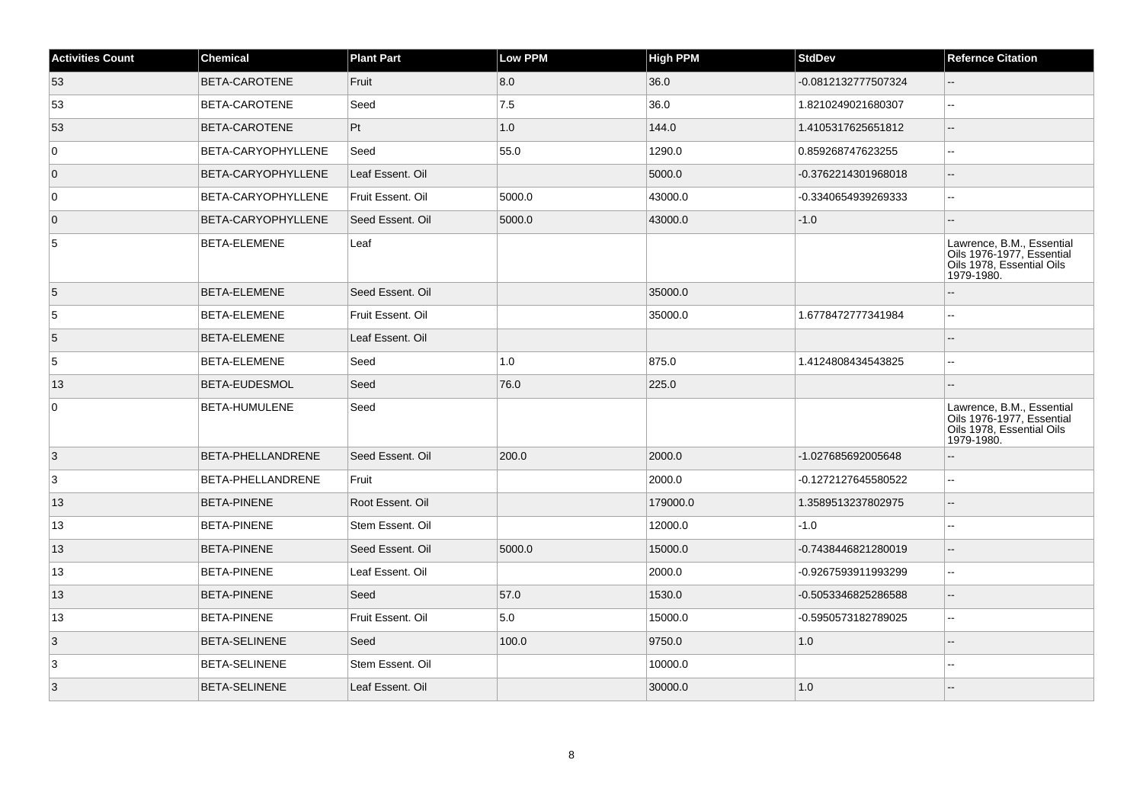| <b>Activities Count</b> | <b>Chemical</b>           | <b>Plant Part</b> | <b>Low PPM</b> | <b>High PPM</b> | <b>StdDev</b>       | <b>Refernce Citation</b>                                                                          |
|-------------------------|---------------------------|-------------------|----------------|-----------------|---------------------|---------------------------------------------------------------------------------------------------|
| 53                      | BETA-CAROTENE             | Fruit             | 8.0            | 36.0            | -0.0812132777507324 | --                                                                                                |
| 53                      | <b>BETA-CAROTENE</b>      | Seed              | 7.5            | 36.0            | 1.8210249021680307  | ۵.                                                                                                |
| 53                      | <b>BETA-CAROTENE</b>      | Pt                | 1.0            | 144.0           | 1.4105317625651812  | Ξ.                                                                                                |
| $\mathbf 0$             | <b>BETA-CARYOPHYLLENE</b> | Seed              | 55.0           | 1290.0          | 0.859268747623255   | Ξ.                                                                                                |
| $\overline{0}$          | BETA-CARYOPHYLLENE        | Leaf Essent. Oil  |                | 5000.0          | -0.3762214301968018 | $-$                                                                                               |
| $\mathbf 0$             | <b>BETA-CARYOPHYLLENE</b> | Fruit Essent. Oil | 5000.0         | 43000.0         | -0.3340654939269333 | ۵.                                                                                                |
| $\overline{0}$          | <b>BETA-CARYOPHYLLENE</b> | Seed Essent. Oil  | 5000.0         | 43000.0         | $-1.0$              |                                                                                                   |
| 5                       | BETA-ELEMENE              | Leaf              |                |                 |                     | Lawrence, B.M., Essential<br>Oils 1976-1977, Essential<br>Oils 1978, Essential Oils<br>1979-1980. |
| 5                       | <b>BETA-ELEMENE</b>       | Seed Essent, Oil  |                | 35000.0         |                     | --                                                                                                |
| $\sqrt{5}$              | <b>BETA-ELEMENE</b>       | Fruit Essent, Oil |                | 35000.0         | 1.6778472777341984  |                                                                                                   |
| 5                       | <b>BETA-ELEMENE</b>       | Leaf Essent. Oil  |                |                 |                     |                                                                                                   |
| $\overline{5}$          | BETA-ELEMENE              | Seed              | 1.0            | 875.0           | 1.4124808434543825  | --                                                                                                |
| 13                      | <b>BETA-EUDESMOL</b>      | Seed              | 76.0           | 225.0           |                     |                                                                                                   |
| 0                       | BETA-HUMULENE             | Seed              |                |                 |                     | Lawrence, B.M., Essential<br>Oils 1976-1977, Essential<br>Oils 1978, Essential Oils<br>1979-1980. |
| 3                       | <b>BETA-PHELLANDRENE</b>  | Seed Essent, Oil  | 200.0          | 2000.0          | -1.027685692005648  |                                                                                                   |
| 3                       | BETA-PHELLANDRENE         | Fruit             |                | 2000.0          | -0.1272127645580522 | $\overline{\phantom{a}}$                                                                          |
| 13                      | <b>BETA-PINENE</b>        | Root Essent, Oil  |                | 179000.0        | 1.3589513237802975  | $\overline{\phantom{a}}$                                                                          |
| 13                      | <b>BETA-PINENE</b>        | Stem Essent. Oil  |                | 12000.0         | $-1.0$              | --                                                                                                |
| 13                      | <b>BETA-PINENE</b>        | Seed Essent. Oil  | 5000.0         | 15000.0         | -0.7438446821280019 | ۵.                                                                                                |
| 13                      | <b>BETA-PINENE</b>        | Leaf Essent. Oil  |                | 2000.0          | -0.9267593911993299 | ۵۵                                                                                                |
| 13                      | <b>BETA-PINENE</b>        | Seed              | 57.0           | 1530.0          | -0.5053346825286588 | --                                                                                                |
| 13                      | <b>BETA-PINENE</b>        | Fruit Essent. Oil | 5.0            | 15000.0         | -0.5950573182789025 | ц.                                                                                                |
| 3                       | <b>BETA-SELINENE</b>      | Seed              | 100.0          | 9750.0          | 1.0                 |                                                                                                   |
| 3                       | <b>BETA-SELINENE</b>      | Stem Essent. Oil  |                | 10000.0         |                     |                                                                                                   |
| 3                       | <b>BETA-SELINENE</b>      | Leaf Essent. Oil  |                | 30000.0         | 1.0                 |                                                                                                   |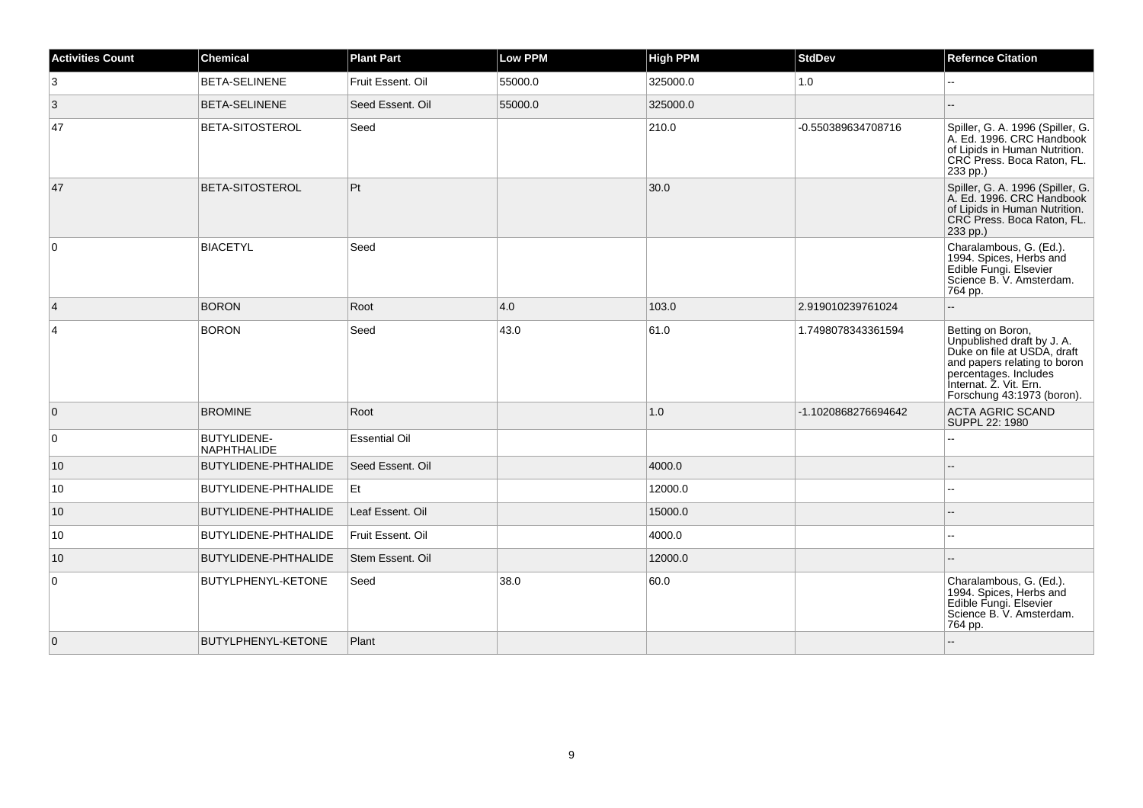| <b>Activities Count</b> | <b>Chemical</b>                   | <b>Plant Part</b>    | <b>Low PPM</b> | <b>High PPM</b> | <b>StdDev</b>       | <b>Refernce Citation</b>                                                                                                                                                                        |
|-------------------------|-----------------------------------|----------------------|----------------|-----------------|---------------------|-------------------------------------------------------------------------------------------------------------------------------------------------------------------------------------------------|
| 3                       | BETA-SELINENE                     | Fruit Essent. Oil    | 55000.0        | 325000.0        | 1.0                 |                                                                                                                                                                                                 |
| 3                       | BETA-SELINENE                     | Seed Essent. Oil     | 55000.0        | 325000.0        |                     |                                                                                                                                                                                                 |
| 47                      | BETA-SITOSTEROL                   | Seed                 |                | 210.0           | -0.550389634708716  | Spiller, G. A. 1996 (Spiller, G.<br>A. Ed. 1996. CRC Handbook<br>of Lipids in Human Nutrition.<br>CRC Press. Boca Raton, FL.<br>233 pp.)                                                        |
| 47                      | BETA-SITOSTEROL                   | Pt                   |                | 30.0            |                     | Spiller, G. A. 1996 (Spiller, G.<br>A. Ed. 1996. CRC Handbook<br>of Lipids in Human Nutrition.<br>CRC Press. Boca Raton, FL.<br>233 pp.)                                                        |
| 0                       | <b>BIACETYL</b>                   | Seed                 |                |                 |                     | Charalambous, G. (Ed.).<br>1994. Spices, Herbs and<br>Edible Fungi. Elsevier<br>Science B. V. Amsterdam.<br>764 pp.                                                                             |
| $\overline{4}$          | <b>BORON</b>                      | Root                 | 4.0            | 103.0           | 2.919010239761024   | ۵.                                                                                                                                                                                              |
| $\overline{4}$          | <b>BORON</b>                      | Seed                 | 43.0           | 61.0            | 1.7498078343361594  | Betting on Boron,<br>Unpublished draft by J. A.<br>Duke on file at USDA, draft<br>and papers relating to boron<br>percentages. Includes<br>Internat. Z. Vit. Ern.<br>Forschung 43:1973 (boron). |
| $\overline{0}$          | <b>BROMINE</b>                    | Root                 |                | 1.0             | -1.1020868276694642 | <b>ACTA AGRIC SCAND</b><br>SUPPL 22: 1980                                                                                                                                                       |
| $\mathbf 0$             | BUTYLIDENE-<br><b>NAPHTHALIDE</b> | <b>Essential Oil</b> |                |                 |                     | ۵.                                                                                                                                                                                              |
| 10                      | BUTYLIDENE-PHTHALIDE              | Seed Essent, Oil     |                | 4000.0          |                     |                                                                                                                                                                                                 |
| 10                      | BUTYLIDENE-PHTHALIDE              | Et                   |                | 12000.0         |                     | $\overline{a}$                                                                                                                                                                                  |
| 10                      | BUTYLIDENE-PHTHALIDE              | Leaf Essent. Oil     |                | 15000.0         |                     |                                                                                                                                                                                                 |
| 10                      | BUTYLIDENE-PHTHALIDE              | Fruit Essent, Oil    |                | 4000.0          |                     | $\sim$                                                                                                                                                                                          |
| 10                      | BUTYLIDENE-PHTHALIDE              | Stem Essent. Oil     |                | 12000.0         |                     |                                                                                                                                                                                                 |
| 0                       | BUTYLPHENYL-KETONE                | Seed                 | 38.0           | 60.0            |                     | Charalambous, G. (Ed.).<br>1994. Spices, Herbs and<br>Edible Fungi. Elsevier<br>Science B. V. Amsterdam.<br>764 pp.                                                                             |
| $\overline{0}$          | BUTYLPHENYL-KETONE                | Plant                |                |                 |                     |                                                                                                                                                                                                 |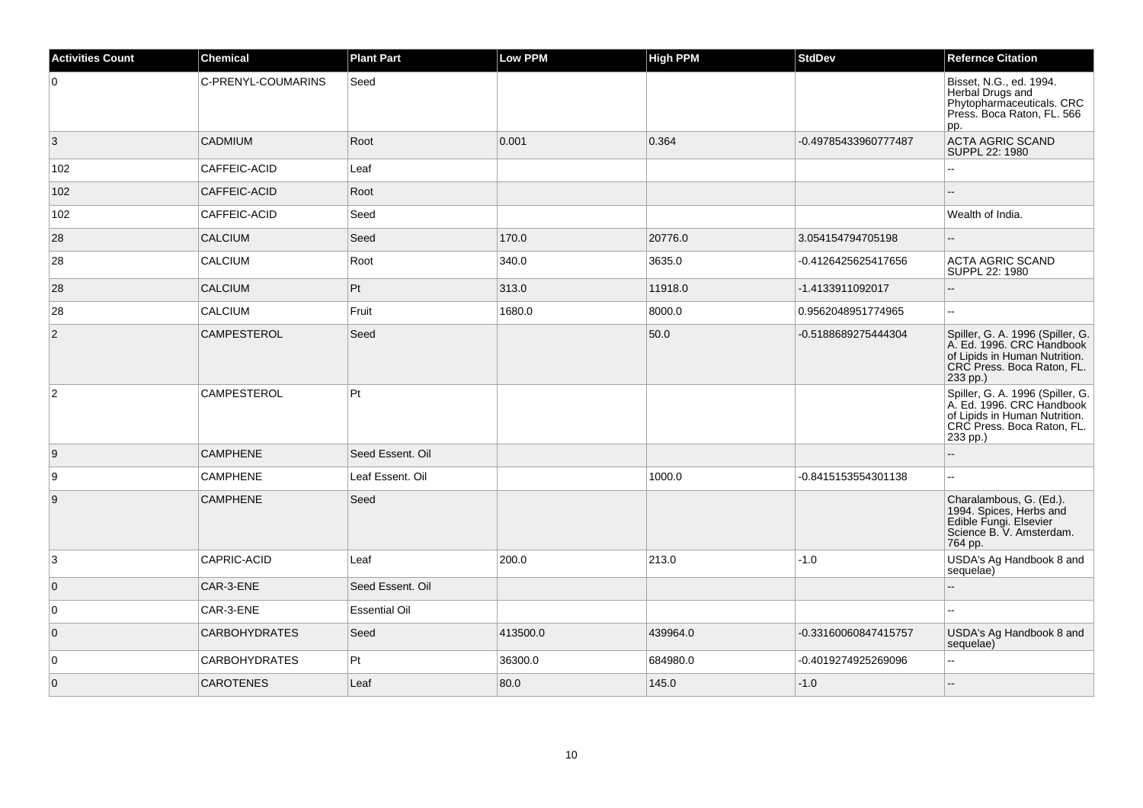| <b>Activities Count</b> | <b>Chemical</b>      | <b>Plant Part</b>    | <b>Low PPM</b> | <b>High PPM</b> | <b>StdDev</b>        | <b>Refernce Citation</b>                                                                                                                 |
|-------------------------|----------------------|----------------------|----------------|-----------------|----------------------|------------------------------------------------------------------------------------------------------------------------------------------|
| 0                       | C-PRENYL-COUMARINS   | Seed                 |                |                 |                      | Bisset, N.G., ed. 1994.<br>Herbal Drugs and<br>Phytopharmaceuticals. CRC<br>Press. Boca Raton, FL. 566<br>pp.                            |
| $\overline{3}$          | <b>CADMIUM</b>       | Root                 | 0.001          | 0.364           | -0.49785433960777487 | <b>ACTA AGRIC SCAND</b><br>SUPPL 22: 1980                                                                                                |
| 102                     | CAFFEIC-ACID         | Leaf                 |                |                 |                      | Ξ.                                                                                                                                       |
| 102                     | CAFFEIC-ACID         | Root                 |                |                 |                      |                                                                                                                                          |
| 102                     | CAFFEIC-ACID         | Seed                 |                |                 |                      | Wealth of India.                                                                                                                         |
| 28                      | <b>CALCIUM</b>       | Seed                 | 170.0          | 20776.0         | 3.054154794705198    | $-$                                                                                                                                      |
| 28                      | CALCIUM              | Root                 | 340.0          | 3635.0          | -0.4126425625417656  | <b>ACTA AGRIC SCAND</b><br>SUPPL 22: 1980                                                                                                |
| 28                      | CALCIUM              | Pt                   | 313.0          | 11918.0         | -1.4133911092017     | $-$                                                                                                                                      |
| 28                      | <b>CALCIUM</b>       | Fruit                | 1680.0         | 8000.0          | 0.9562048951774965   | $\overline{a}$                                                                                                                           |
| $\overline{2}$          | <b>CAMPESTEROL</b>   | Seed                 |                | 50.0            | -0.5188689275444304  | Spiller, G. A. 1996 (Spiller, G.<br>A. Ed. 1996. CRC Handbook<br>of Lipids in Human Nutrition.<br>CRC Press. Boca Raton, FL.<br>233 pp.) |
| $\overline{c}$          | <b>CAMPESTEROL</b>   | Pt                   |                |                 |                      | Spiller, G. A. 1996 (Spiller, G.<br>A. Ed. 1996. CRC Handbook<br>of Lipids in Human Nutrition.<br>CRC Press. Boca Raton, FL.<br>233 pp.) |
| 9                       | <b>CAMPHENE</b>      | Seed Essent, Oil     |                |                 |                      |                                                                                                                                          |
| $\boldsymbol{9}$        | <b>CAMPHENE</b>      | Leaf Essent. Oil     |                | 1000.0          | -0.8415153554301138  | $\overline{a}$                                                                                                                           |
| $9\,$                   | <b>CAMPHENE</b>      | Seed                 |                |                 |                      | Charalambous, G. (Ed.).<br>1994. Spices, Herbs and<br>Edible Fungi. Elsevier<br>Science B. V. Amsterdam.<br>764 pp.                      |
| 3                       | CAPRIC-ACID          | Leaf                 | 200.0          | 213.0           | $-1.0$               | USDA's Ag Handbook 8 and<br>sequelae)                                                                                                    |
| $\overline{0}$          | CAR-3-ENE            | Seed Essent. Oil     |                |                 |                      | $\overline{a}$                                                                                                                           |
| $\overline{0}$          | CAR-3-ENE            | <b>Essential Oil</b> |                |                 |                      |                                                                                                                                          |
| $\overline{0}$          | <b>CARBOHYDRATES</b> | Seed                 | 413500.0       | 439964.0        | -0.33160060847415757 | USDA's Ag Handbook 8 and<br>sequelae)                                                                                                    |
| 0                       | <b>CARBOHYDRATES</b> | Pt                   | 36300.0        | 684980.0        | -0.4019274925269096  | $\overline{a}$                                                                                                                           |
| $\overline{0}$          | <b>CAROTENES</b>     | Leaf                 | 80.0           | 145.0           | $-1.0$               |                                                                                                                                          |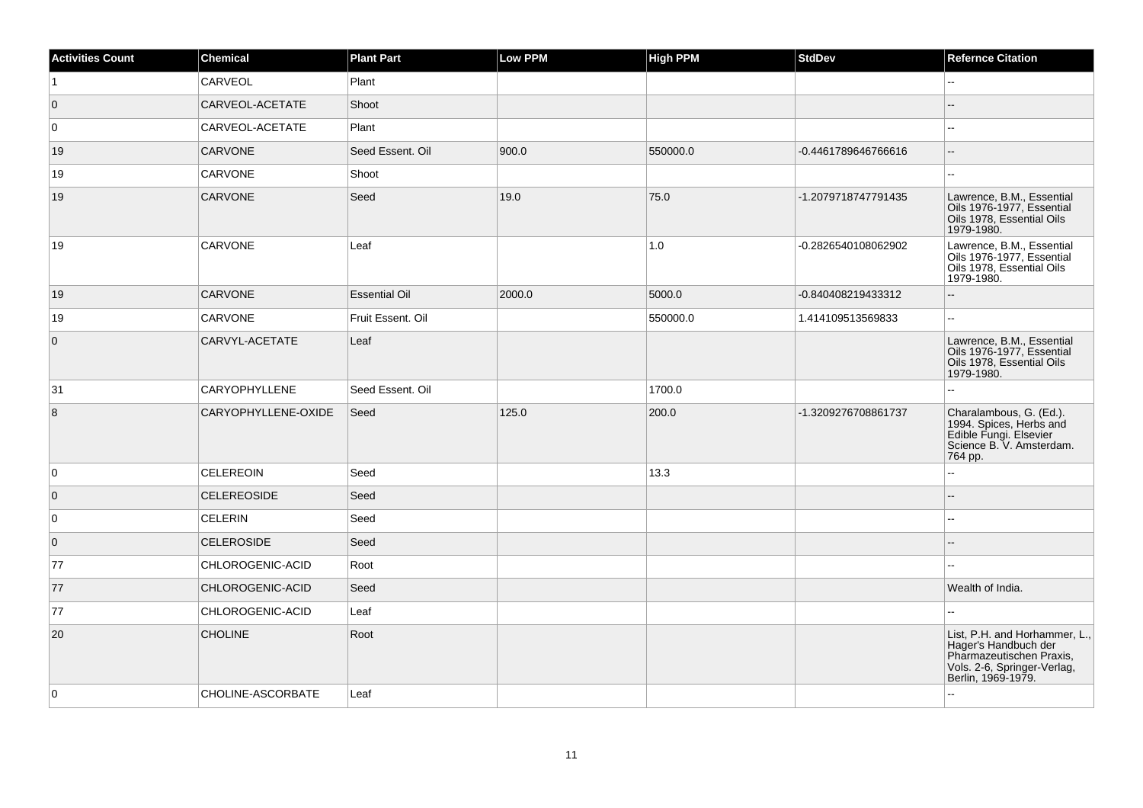| <b>Activities Count</b> | <b>Chemical</b>      | <b>Plant Part</b>    | Low PPM | <b>High PPM</b> | <b>StdDev</b>       | <b>Refernce Citation</b>                                                                                                               |
|-------------------------|----------------------|----------------------|---------|-----------------|---------------------|----------------------------------------------------------------------------------------------------------------------------------------|
| $\vert$ 1               | CARVEOL              | Plant                |         |                 |                     | ۵.                                                                                                                                     |
| $\overline{0}$          | CARVEOL-ACETATE      | Shoot                |         |                 |                     | ۵.                                                                                                                                     |
| 0                       | CARVEOL-ACETATE      | Plant                |         |                 |                     | ۵.                                                                                                                                     |
| 19                      | <b>CARVONE</b>       | Seed Essent. Oil     | 900.0   | 550000.0        | -0.4461789646766616 | $-$                                                                                                                                    |
| 19                      | <b>CARVONE</b>       | Shoot                |         |                 |                     | $\overline{\phantom{a}}$                                                                                                               |
| 19                      | <b>CARVONE</b>       | Seed                 | 19.0    | 75.0            | -1.2079718747791435 | Lawrence, B.M., Essential<br>Oils 1976-1977, Essential<br>Oils 1978, Essential Oils<br>1979-1980.                                      |
| 19                      | CARVONE              | Leaf                 |         | 1.0             | -0.2826540108062902 | Lawrence, B.M., Essential<br>Oils 1976-1977, Essential<br>Oils 1978, Essential Oils<br>1979-1980.                                      |
| 19                      | <b>CARVONE</b>       | <b>Essential Oil</b> | 2000.0  | 5000.0          | -0.840408219433312  | $\overline{a}$                                                                                                                         |
| 19                      | <b>CARVONE</b>       | Fruit Essent. Oil    |         | 550000.0        | 1.414109513569833   | $\overline{\phantom{a}}$                                                                                                               |
| $\overline{0}$          | CARVYL-ACETATE       | Leaf                 |         |                 |                     | Lawrence, B.M., Essential<br>Oils 1976-1977, Essential<br>Oils 1978, Essential Oils<br>1979-1980.                                      |
| 31                      | <b>CARYOPHYLLENE</b> | Seed Essent. Oil     |         | 1700.0          |                     |                                                                                                                                        |
| $\overline{8}$          | CARYOPHYLLENE-OXIDE  | Seed                 | 125.0   | 200.0           | -1.3209276708861737 | Charalambous, G. (Ed.).<br>1994. Spices, Herbs and<br>Edible Fungi. Elsevier<br>Science B. V. Amsterdam.<br>764 pp.                    |
| 0                       | <b>CELEREOIN</b>     | Seed                 |         | 13.3            |                     | L.                                                                                                                                     |
| $\overline{0}$          | <b>CELEREOSIDE</b>   | Seed                 |         |                 |                     |                                                                                                                                        |
| 0                       | <b>CELERIN</b>       | Seed                 |         |                 |                     |                                                                                                                                        |
| $\overline{0}$          | <b>CELEROSIDE</b>    | Seed                 |         |                 |                     |                                                                                                                                        |
| 77                      | CHLOROGENIC-ACID     | Root                 |         |                 |                     |                                                                                                                                        |
| 77                      | CHLOROGENIC-ACID     | Seed                 |         |                 |                     | Wealth of India.                                                                                                                       |
| 77                      | CHLOROGENIC-ACID     | Leaf                 |         |                 |                     |                                                                                                                                        |
| 20                      | <b>CHOLINE</b>       | Root                 |         |                 |                     | List, P.H. and Horhammer, L.,<br>Hager's Handbuch der<br>Pharmazeutischen Praxis,<br>Vols. 2-6, Springer-Verlag,<br>Berlin, 1969-1979. |
| 0                       | CHOLINE-ASCORBATE    | Leaf                 |         |                 |                     | 44                                                                                                                                     |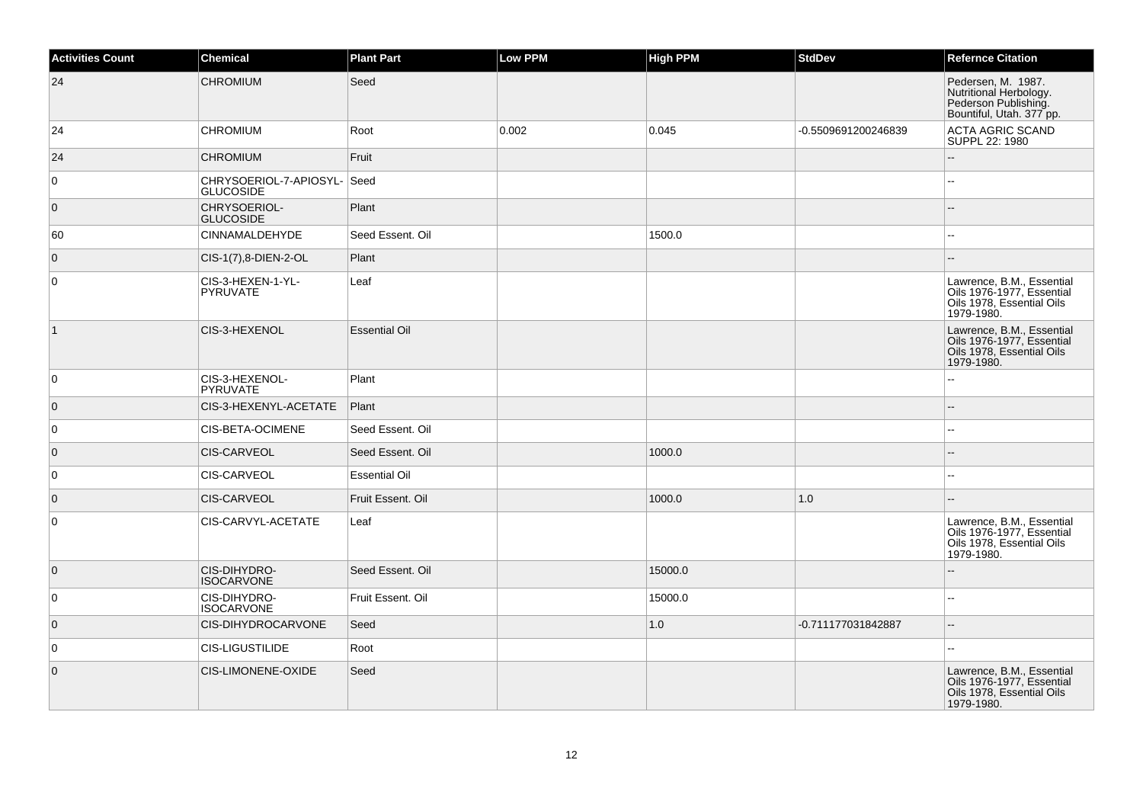| <b>Activities Count</b> | Chemical                                   | <b>Plant Part</b>    | <b>Low PPM</b> | <b>High PPM</b> | <b>StdDev</b>       | <b>Refernce Citation</b>                                                                          |
|-------------------------|--------------------------------------------|----------------------|----------------|-----------------|---------------------|---------------------------------------------------------------------------------------------------|
| 24                      | <b>CHROMIUM</b>                            | Seed                 |                |                 |                     | Pedersen, M. 1987.<br>Nutritional Herbology.<br>Pederson Publishing.<br>Bountiful, Utah. 377 pp.  |
| 24                      | <b>CHROMIUM</b>                            | Root                 | 0.002          | 0.045           | -0.5509691200246839 | <b>ACTA AGRIC SCAND</b><br>SUPPL 22: 1980                                                         |
| 24                      | <b>CHROMIUM</b>                            | Fruit                |                |                 |                     | Ξ.                                                                                                |
| 0                       | CHRYSOERIOL-7-APIOSYL-<br><b>GLUCOSIDE</b> | Seed                 |                |                 |                     | ۵.                                                                                                |
| $\overline{0}$          | CHRYSOERIOL-<br><b>GLUCOSIDE</b>           | Plant                |                |                 |                     | $=$                                                                                               |
| 60                      | <b>CINNAMALDEHYDE</b>                      | Seed Essent, Oil     |                | 1500.0          |                     |                                                                                                   |
| $\mathbf 0$             | CIS-1(7),8-DIEN-2-OL                       | Plant                |                |                 |                     |                                                                                                   |
| $\mathbf 0$             | CIS-3-HEXEN-1-YL-<br><b>PYRUVATE</b>       | Leaf                 |                |                 |                     | Lawrence, B.M., Essential<br>Oils 1976-1977, Essential<br>Oils 1978, Essential Oils<br>1979-1980. |
| $\vert$ 1               | CIS-3-HEXENOL                              | <b>Essential Oil</b> |                |                 |                     | Lawrence, B.M., Essential<br>Oils 1976-1977, Essential<br>Oils 1978, Essential Oils<br>1979-1980. |
| 0                       | CIS-3-HEXENOL-<br><b>PYRUVATE</b>          | Plant                |                |                 |                     |                                                                                                   |
| $\overline{0}$          | CIS-3-HEXENYL-ACETATE                      | Plant                |                |                 |                     | --                                                                                                |
| $\mathbf 0$             | CIS-BETA-OCIMENE                           | Seed Essent. Oil     |                |                 |                     | ۵.                                                                                                |
| $\overline{0}$          | <b>CIS-CARVEOL</b>                         | Seed Essent. Oil     |                | 1000.0          |                     |                                                                                                   |
| $\mathbf 0$             | CIS-CARVEOL                                | <b>Essential Oil</b> |                |                 |                     |                                                                                                   |
| $\overline{0}$          | <b>CIS-CARVEOL</b>                         | Fruit Essent. Oil    |                | 1000.0          | 1.0                 |                                                                                                   |
| $\mathbf 0$             | CIS-CARVYL-ACETATE                         | Leaf                 |                |                 |                     | Lawrence, B.M., Essential<br>Oils 1976-1977, Essential<br>Oils 1978, Essential Oils<br>1979-1980. |
| $\overline{0}$          | CIS-DIHYDRO-<br><b>ISOCARVONE</b>          | Seed Essent, Oil     |                | 15000.0         |                     |                                                                                                   |
| 0                       | CIS-DIHYDRO-<br><b>ISOCARVONE</b>          | Fruit Essent. Oil    |                | 15000.0         |                     | L.                                                                                                |
| $\overline{0}$          | CIS-DIHYDROCARVONE                         | Seed                 |                | 1.0             | -0.711177031842887  | $-$                                                                                               |
| 0                       | <b>CIS-LIGUSTILIDE</b>                     | Root                 |                |                 |                     | $\sim$                                                                                            |
| $\mathbf 0$             | CIS-LIMONENE-OXIDE                         | Seed                 |                |                 |                     | Lawrence, B.M., Essential<br>Oils 1976-1977, Essential<br>Oils 1978, Essential Oils<br>1979-1980. |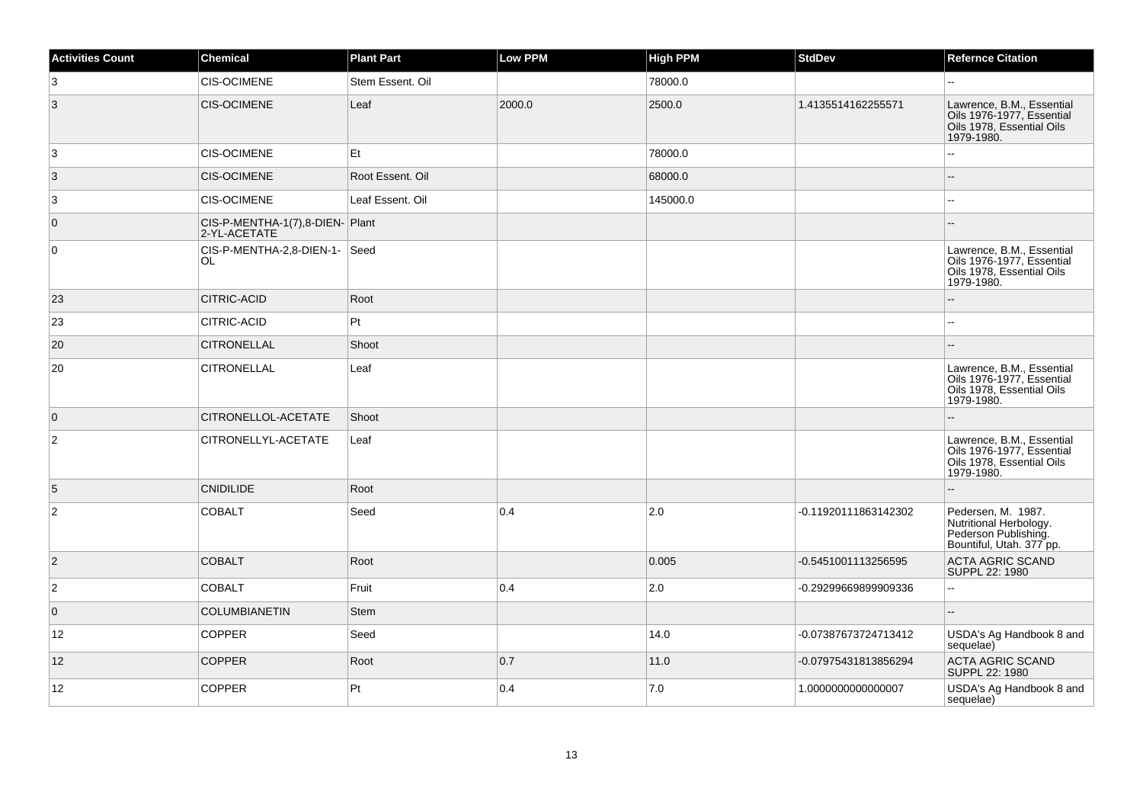| Activities Count | <b>Chemical</b>                                | <b>Plant Part</b> | <b>Low PPM</b> | <b>High PPM</b> | <b>StdDev</b>        | <b>Refernce Citation</b>                                                                          |
|------------------|------------------------------------------------|-------------------|----------------|-----------------|----------------------|---------------------------------------------------------------------------------------------------|
| 3                | <b>CIS-OCIMENE</b>                             | Stem Essent. Oil  |                | 78000.0         |                      |                                                                                                   |
| 3                | <b>CIS-OCIMENE</b>                             | Leaf              | 2000.0         | 2500.0          | 1.4135514162255571   | Lawrence, B.M., Essential<br>Oils 1976-1977, Essential<br>Oils 1978, Essential Oils<br>1979-1980. |
| 3                | <b>CIS-OCIMENE</b>                             | Et                |                | 78000.0         |                      | 44                                                                                                |
| 3                | <b>CIS-OCIMENE</b>                             | Root Essent. Oil  |                | 68000.0         |                      |                                                                                                   |
| 3                | <b>CIS-OCIMENE</b>                             | Leaf Essent. Oil  |                | 145000.0        |                      |                                                                                                   |
| $\overline{0}$   | CIS-P-MENTHA-1(7),8-DIEN-Plant<br>2-YL-ACETATE |                   |                |                 |                      |                                                                                                   |
| $\overline{0}$   | CIS-P-MENTHA-2,8-DIEN-1- Seed<br>OL            |                   |                |                 |                      | Lawrence, B.M., Essential<br>Oils 1976-1977, Essential<br>Oils 1978, Essential Oils<br>1979-1980. |
| 23               | CITRIC-ACID                                    | Root              |                |                 |                      | ۵.                                                                                                |
| 23               | CITRIC-ACID                                    | Pt                |                |                 |                      |                                                                                                   |
| 20               | <b>CITRONELLAL</b>                             | Shoot             |                |                 |                      |                                                                                                   |
| 20               | <b>CITRONELLAL</b>                             | Leaf              |                |                 |                      | Lawrence, B.M., Essential<br>Oils 1976-1977, Essential<br>Oils 1978, Essential Oils<br>1979-1980. |
| $\overline{0}$   | CITRONELLOL-ACETATE                            | Shoot             |                |                 |                      |                                                                                                   |
| 2                | CITRONELLYL-ACETATE                            | Leaf              |                |                 |                      | Lawrence, B.M., Essential<br>Oils 1976-1977, Essential<br>Oils 1978, Essential Oils<br>1979-1980. |
| 5                | <b>CNIDILIDE</b>                               | Root              |                |                 |                      | --                                                                                                |
| 2                | <b>COBALT</b>                                  | Seed              | 0.4            | 2.0             | -0.11920111863142302 | Pedersen, M. 1987.<br>Nutritional Herbology.<br>Pederson Publishing.<br>Bountiful, Utah. 377 pp.  |
| $\overline{2}$   | <b>COBALT</b>                                  | Root              |                | 0.005           | -0.5451001113256595  | <b>ACTA AGRIC SCAND</b><br>SUPPL 22: 1980                                                         |
| $\overline{c}$   | <b>COBALT</b>                                  | Fruit             | 0.4            | 2.0             | -0.29299669899909336 | Ξ.                                                                                                |
| $\mathbf 0$      | <b>COLUMBIANETIN</b>                           | <b>Stem</b>       |                |                 |                      |                                                                                                   |
| 12               | <b>COPPER</b>                                  | Seed              |                | 14.0            | -0.07387673724713412 | USDA's Ag Handbook 8 and<br>sequelae)                                                             |
| 12               | <b>COPPER</b>                                  | Root              | 0.7            | 11.0            | -0.07975431813856294 | <b>ACTA AGRIC SCAND</b><br>SUPPL 22: 1980                                                         |
| 12               | COPPER                                         | Pt                | 0.4            | 7.0             | 1.0000000000000007   | USDA's Ag Handbook 8 and<br>sequelae)                                                             |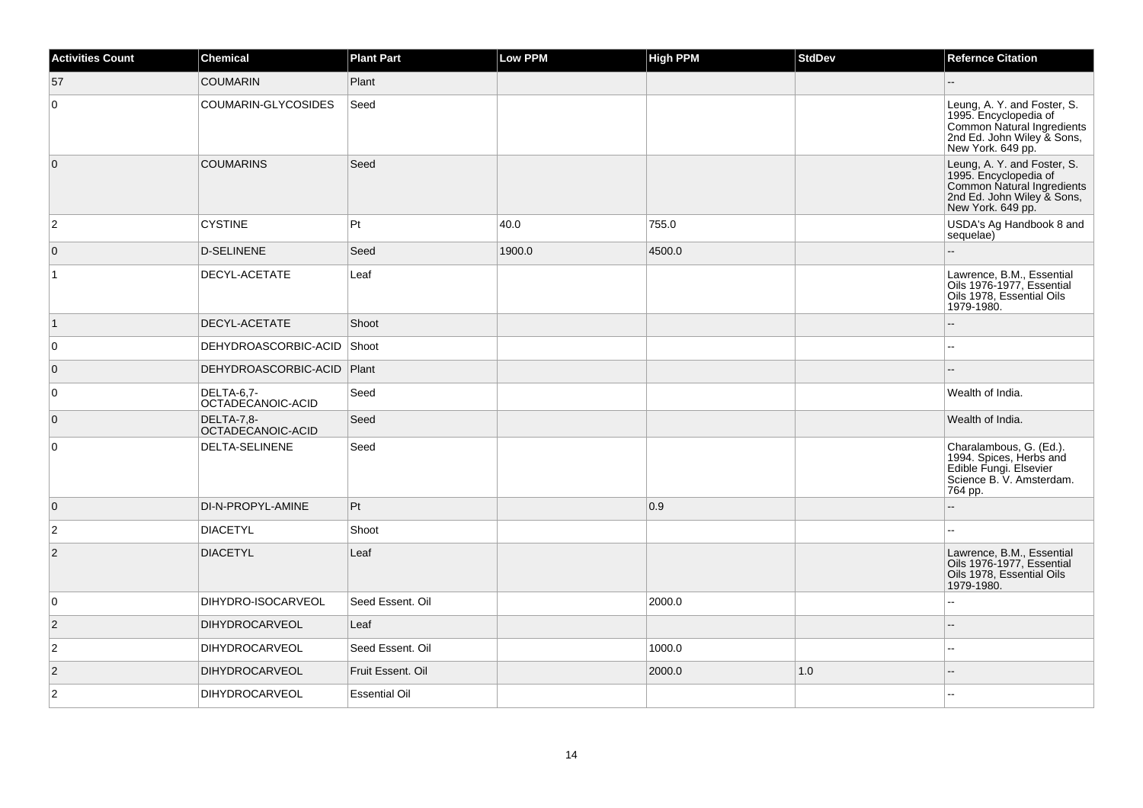| <b>Activities Count</b> | Chemical                        | <b>Plant Part</b>    | Low PPM | <b>High PPM</b> | <b>StdDev</b> | <b>Refernce Citation</b>                                                                                                              |
|-------------------------|---------------------------------|----------------------|---------|-----------------|---------------|---------------------------------------------------------------------------------------------------------------------------------------|
| 57                      | <b>COUMARIN</b>                 | Plant                |         |                 |               | $-$                                                                                                                                   |
| $\overline{0}$          | COUMARIN-GLYCOSIDES             | Seed                 |         |                 |               | Leung, A. Y. and Foster, S.<br>1995. Encyclopedia of<br>Common Natural Ingredients<br>2nd Ed. John Wiley & Sons,<br>New York. 649 pp. |
| $\overline{0}$          | <b>COUMARINS</b>                | Seed                 |         |                 |               | Leung, A. Y. and Foster, S.<br>1995. Encyclopedia of<br>Common Natural Ingredients<br>2nd Ed. John Wiley & Sons,<br>New York. 649 pp. |
| $\overline{2}$          | <b>CYSTINE</b>                  | Pt                   | 40.0    | 755.0           |               | USDA's Ag Handbook 8 and<br>sequelae)                                                                                                 |
| $\overline{0}$          | <b>D-SELINENE</b>               | Seed                 | 1900.0  | 4500.0          |               | $-$                                                                                                                                   |
| $\overline{1}$          | DECYL-ACETATE                   | Leaf                 |         |                 |               | Lawrence, B.M., Essential<br>Oils 1976-1977, Essential<br>Oils 1978, Essential Oils<br>1979-1980.                                     |
| $\vert$ 1               | DECYL-ACETATE                   | Shoot                |         |                 |               |                                                                                                                                       |
| $\overline{0}$          | DEHYDROASCORBIC-ACID            | Shoot                |         |                 |               | $-$                                                                                                                                   |
| $\overline{0}$          | DEHYDROASCORBIC-ACID            | Plant                |         |                 |               |                                                                                                                                       |
| $\overline{0}$          | DELTA-6,7-<br>OCTADECANOIC-ACID | Seed                 |         |                 |               | Wealth of India.                                                                                                                      |
| $\overline{0}$          | DELTA-7,8-<br>OCTADECANOIC-ACID | Seed                 |         |                 |               | Wealth of India.                                                                                                                      |
| $\overline{0}$          | DELTA-SELINENE                  | Seed                 |         |                 |               | Charalambous, G. (Ed.).<br>1994. Spices, Herbs and<br>Edible Fungi. Elsevier<br>Science B. V. Amsterdam.<br>764 pp.                   |
| $\overline{0}$          | DI-N-PROPYL-AMINE               | Pt                   |         | 0.9             |               |                                                                                                                                       |
| $\overline{2}$          | <b>DIACETYL</b>                 | Shoot                |         |                 |               | $\overline{a}$                                                                                                                        |
| $ 2\rangle$             | <b>DIACETYL</b>                 | Leaf                 |         |                 |               | Lawrence, B.M., Essential<br>Oils 1976-1977, Essential<br>Oils 1978, Essential Oils<br>1979-1980.                                     |
| 0                       | DIHYDRO-ISOCARVEOL              | Seed Essent. Oil     |         | 2000.0          |               |                                                                                                                                       |
| $\vert$ 2               | <b>DIHYDROCARVEOL</b>           | Leaf                 |         |                 |               |                                                                                                                                       |
| $\overline{c}$          | DIHYDROCARVEOL                  | Seed Essent. Oil     |         | 1000.0          |               | $-$                                                                                                                                   |
| $\overline{2}$          | <b>DIHYDROCARVEOL</b>           | Fruit Essent. Oil    |         | 2000.0          | 1.0           | $-$                                                                                                                                   |
| $\overline{2}$          | DIHYDROCARVEOL                  | <b>Essential Oil</b> |         |                 |               |                                                                                                                                       |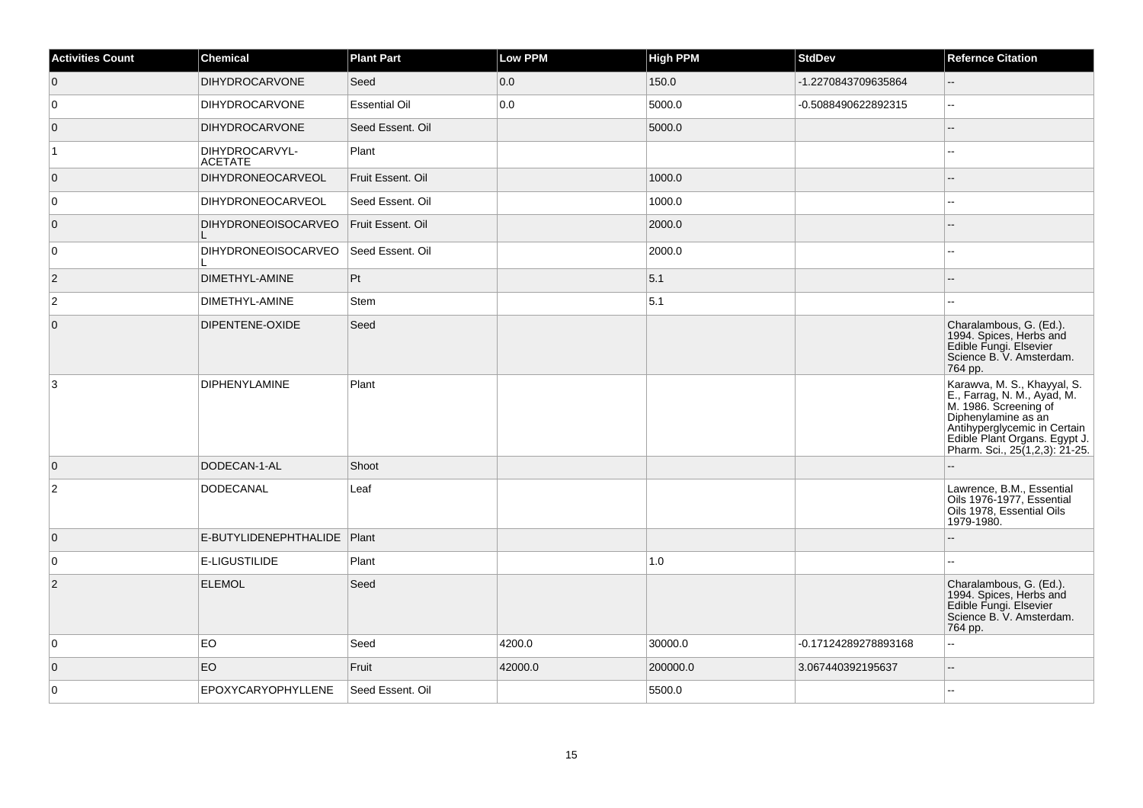| <b>Activities Count</b> | <b>Chemical</b>                  | <b>Plant Part</b>    | Low PPM | High PPM | <b>StdDev</b>        | <b>Refernce Citation</b>                                                                                                                                                                                      |
|-------------------------|----------------------------------|----------------------|---------|----------|----------------------|---------------------------------------------------------------------------------------------------------------------------------------------------------------------------------------------------------------|
| 0                       | <b>DIHYDROCARVONE</b>            | Seed                 | 0.0     | 150.0    | -1.2270843709635864  | $\overline{\phantom{a}}$                                                                                                                                                                                      |
| 0                       | DIHYDROCARVONE                   | <b>Essential Oil</b> | 0.0     | 5000.0   | -0.5088490622892315  | $\overline{a}$                                                                                                                                                                                                |
| $\overline{0}$          | <b>DIHYDROCARVONE</b>            | Seed Essent. Oil     |         | 5000.0   |                      | $-$                                                                                                                                                                                                           |
| $\vert$ 1               | DIHYDROCARVYL-<br><b>ACETATE</b> | Plant                |         |          |                      | $\sim$                                                                                                                                                                                                        |
| $\overline{0}$          | DIHYDRONEOCARVEOL                | Fruit Essent. Oil    |         | 1000.0   |                      |                                                                                                                                                                                                               |
| 0                       | DIHYDRONEOCARVEOL                | Seed Essent. Oil     |         | 1000.0   |                      | $\overline{\phantom{a}}$                                                                                                                                                                                      |
| $\overline{0}$          | <b>DIHYDRONEOISOCARVEO</b>       | Fruit Essent, Oil    |         | 2000.0   |                      |                                                                                                                                                                                                               |
| 0                       | <b>DIHYDRONEOISOCARVEO</b>       | Seed Essent. Oil     |         | 2000.0   |                      |                                                                                                                                                                                                               |
| $\overline{2}$          | DIMETHYL-AMINE                   | $ P_t $              |         | 5.1      |                      |                                                                                                                                                                                                               |
| $\overline{2}$          | DIMETHYL-AMINE                   | Stem                 |         | 5.1      |                      |                                                                                                                                                                                                               |
| $\overline{0}$          | DIPENTENE-OXIDE                  | Seed                 |         |          |                      | Charalambous, G. (Ed.).<br>1994. Spices, Herbs and<br>Edible Fungi. Elsevier<br>Science B. V. Amsterdam.<br>764 pp.                                                                                           |
| 3                       | <b>DIPHENYLAMINE</b>             | Plant                |         |          |                      | Karawva, M. S., Khayyal, S.<br>E., Farrag, N. M., Ayad, M.<br>M. 1986. Screening of<br>Diphenylamine as an<br>Antihyperglycemic in Certain<br>Edible Plant Organs. Egypt J.<br>Pharm. Sci., 25(1,2,3): 21-25. |
| $\overline{0}$          | DODECAN-1-AL                     | Shoot                |         |          |                      |                                                                                                                                                                                                               |
| $\overline{2}$          | <b>DODECANAL</b>                 | Leaf                 |         |          |                      | Lawrence, B.M., Essential<br>Oils 1976-1977, Essential<br>Oils 1978, Essential Oils<br>1979-1980.                                                                                                             |
| $\overline{0}$          | E-BUTYLIDENEPHTHALIDE   Plant    |                      |         |          |                      |                                                                                                                                                                                                               |
| 0                       | E-LIGUSTILIDE                    | Plant                |         | 1.0      |                      | $\overline{a}$                                                                                                                                                                                                |
| $\vert$ 2               | <b>ELEMOL</b>                    | Seed                 |         |          |                      | Charalambous, G. (Ed.).<br>1994. Spices, Herbs and<br>Edible Fungi. Elsevier<br>Science B. V. Amsterdam.<br>764 pp.                                                                                           |
| 0                       | EO                               | Seed                 | 4200.0  | 30000.0  | -0.17124289278893168 | $\overline{a}$                                                                                                                                                                                                |
| $\overline{0}$          | EO                               | Fruit                | 42000.0 | 200000.0 | 3.067440392195637    | $-$                                                                                                                                                                                                           |
| 0                       | EPOXYCARYOPHYLLENE               | Seed Essent. Oil     |         | 5500.0   |                      |                                                                                                                                                                                                               |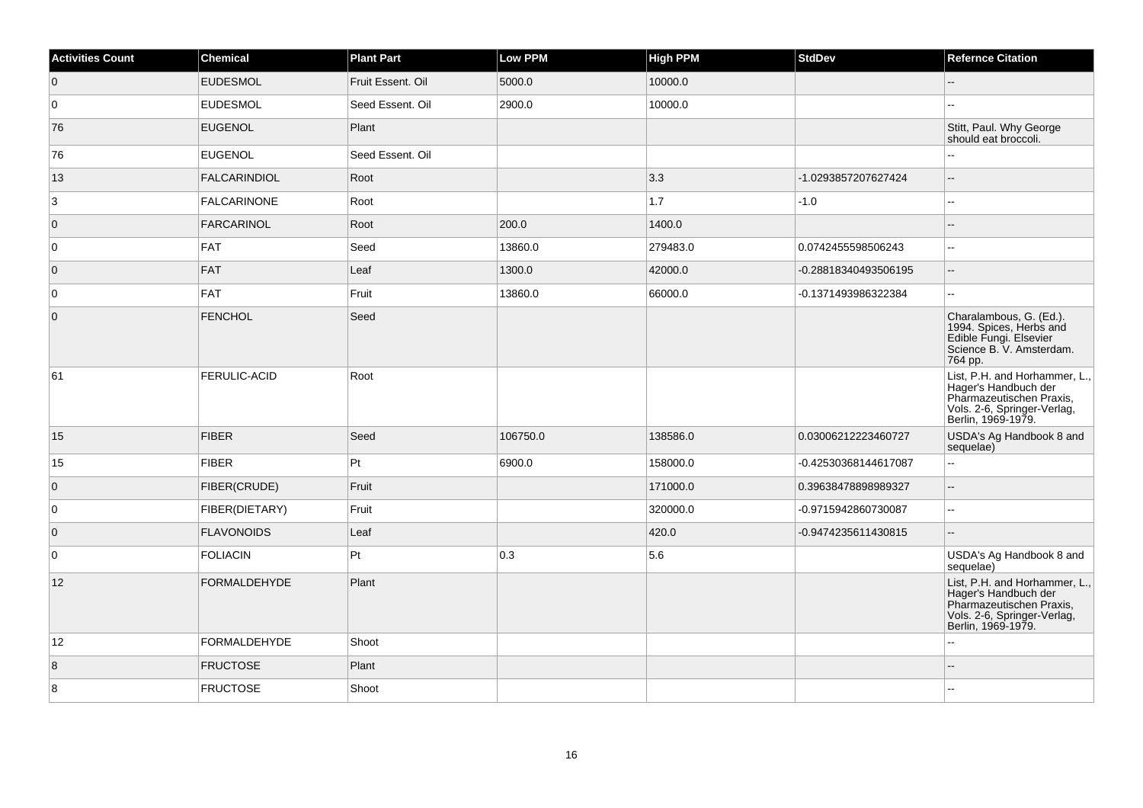| <b>Activities Count</b> | <b>Chemical</b>     | <b>Plant Part</b> | <b>Low PPM</b> | <b>High PPM</b> | <b>StdDev</b>        | <b>Refernce Citation</b>                                                                                                               |
|-------------------------|---------------------|-------------------|----------------|-----------------|----------------------|----------------------------------------------------------------------------------------------------------------------------------------|
| $\overline{0}$          | <b>EUDESMOL</b>     | Fruit Essent, Oil | 5000.0         | 10000.0         |                      | Ξ.                                                                                                                                     |
| 0                       | <b>EUDESMOL</b>     | Seed Essent. Oil  | 2900.0         | 10000.0         |                      |                                                                                                                                        |
| 76                      | <b>EUGENOL</b>      | Plant             |                |                 |                      | Stitt, Paul. Why George<br>should eat broccoli.                                                                                        |
| 76                      | <b>EUGENOL</b>      | Seed Essent. Oil  |                |                 |                      | $\overline{a}$                                                                                                                         |
| 13                      | <b>FALCARINDIOL</b> | Root              |                | 3.3             | -1.0293857207627424  | $-$                                                                                                                                    |
| 3                       | <b>FALCARINONE</b>  | Root              |                | 1.7             | $-1.0$               | $-$                                                                                                                                    |
| $\overline{0}$          | <b>FARCARINOL</b>   | Root              | 200.0          | 1400.0          |                      | ÷.                                                                                                                                     |
| 0                       | <b>FAT</b>          | Seed              | 13860.0        | 279483.0        | 0.0742455598506243   |                                                                                                                                        |
| $\overline{0}$          | <b>FAT</b>          | Leaf              | 1300.0         | 42000.0         | -0.28818340493506195 | Ξ.                                                                                                                                     |
| $\overline{0}$          | <b>FAT</b>          | Fruit             | 13860.0        | 66000.0         | -0.1371493986322384  | $\overline{a}$                                                                                                                         |
| $\overline{0}$          | FENCHOL             | Seed              |                |                 |                      | Charalambous, G. (Ed.).<br>1994. Spices, Herbs and<br>Edible Fungi. Elsevier<br>Science B. V. Amsterdam.<br>764 pp.                    |
| 61                      | <b>FERULIC-ACID</b> | Root              |                |                 |                      | List, P.H. and Horhammer, L., Hager's Handbuch der<br>Pharmazeutischen Praxis,<br>Vols. 2-6, Springer-Verlag,<br>Berlin, 1969-1979.    |
| 15                      | FIBER               | Seed              | 106750.0       | 138586.0        | 0.03006212223460727  | USDA's Ag Handbook 8 and<br>sequelae)                                                                                                  |
| 15                      | <b>FIBER</b>        | Pt                | 6900.0         | 158000.0        | -0.42530368144617087 | $\overline{a}$                                                                                                                         |
| $\overline{0}$          | FIBER(CRUDE)        | Fruit             |                | 171000.0        | 0.39638478898989327  | L.                                                                                                                                     |
| $\overline{0}$          | FIBER(DIETARY)      | Fruit             |                | 320000.0        | -0.9715942860730087  | $\sim$                                                                                                                                 |
| $\overline{0}$          | <b>FLAVONOIDS</b>   | Leaf              |                | 420.0           | -0.9474235611430815  | $-$                                                                                                                                    |
| 0                       | <b>FOLIACIN</b>     | Pt                | 0.3            | 5.6             |                      | USDA's Ag Handbook 8 and<br>sequelae)                                                                                                  |
| 12                      | <b>FORMALDEHYDE</b> | Plant             |                |                 |                      | List, P.H. and Horhammer, L.,<br>Hager's Handbuch der<br>Pharmazeutischen Praxis,<br>Vols. 2-6, Springer-Verlag,<br>Berlin, 1969-1979. |
| 12                      | <b>FORMALDEHYDE</b> | Shoot             |                |                 |                      | $\overline{a}$                                                                                                                         |
| 8                       | <b>FRUCTOSE</b>     | Plant             |                |                 |                      |                                                                                                                                        |
| 8                       | <b>FRUCTOSE</b>     | Shoot             |                |                 |                      |                                                                                                                                        |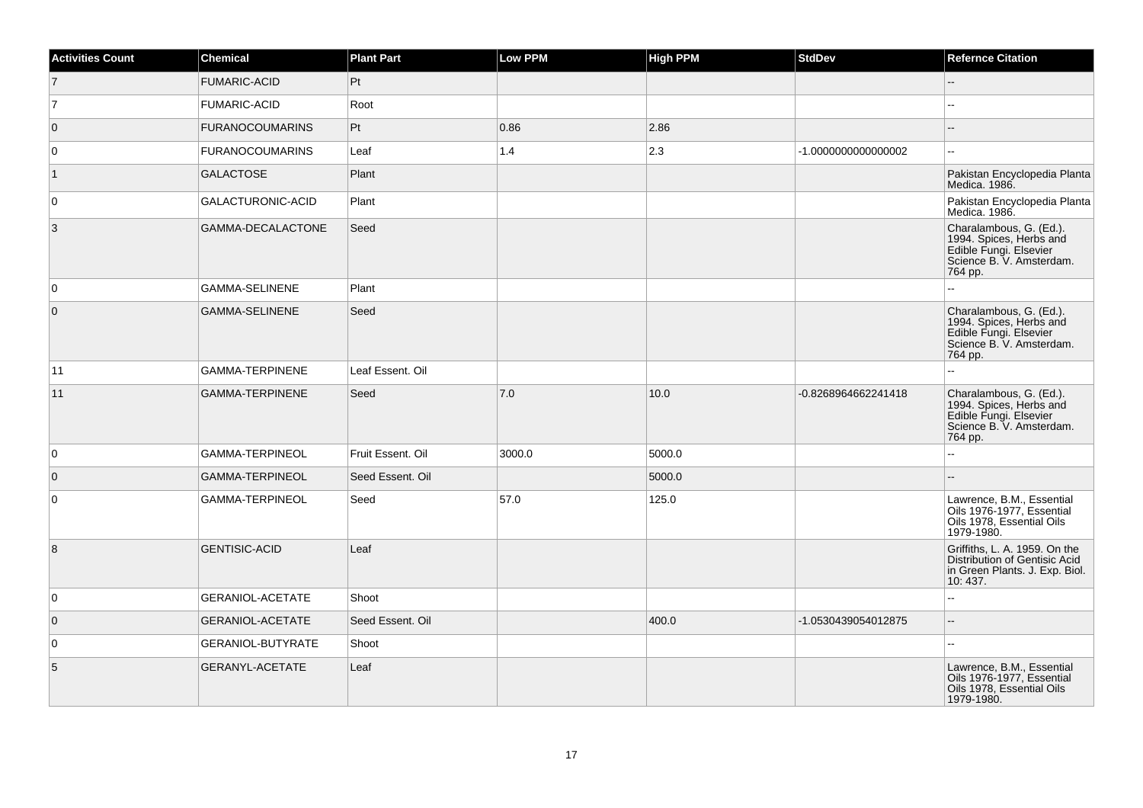| <b>Activities Count</b> | <b>Chemical</b>          | <b>Plant Part</b> | <b>Low PPM</b> | <b>High PPM</b> | <b>StdDev</b>       | <b>Refernce Citation</b>                                                                                            |
|-------------------------|--------------------------|-------------------|----------------|-----------------|---------------------|---------------------------------------------------------------------------------------------------------------------|
| $\overline{7}$          | <b>FUMARIC-ACID</b>      | Pt                |                |                 |                     | $\overline{\phantom{a}}$                                                                                            |
| 7                       | <b>FUMARIC-ACID</b>      | Root              |                |                 |                     |                                                                                                                     |
| $\overline{0}$          | <b>FURANOCOUMARINS</b>   | Pt                | 0.86           | 2.86            |                     | --                                                                                                                  |
| 0                       | <b>FURANOCOUMARINS</b>   | Leaf              | $1.4$          | 2.3             | -1.000000000000002  |                                                                                                                     |
| $\vert$ 1               | <b>GALACTOSE</b>         | Plant             |                |                 |                     | Pakistan Encyclopedia Planta<br>Medica. 1986.                                                                       |
| $\overline{0}$          | GALACTURONIC-ACID        | Plant             |                |                 |                     | Pakistan Encyclopedia Planta<br>Medica. 1986.                                                                       |
| 3                       | GAMMA-DECALACTONE        | Seed              |                |                 |                     | Charalambous, G. (Ed.).<br>1994. Spices, Herbs and<br>Edible Fungi. Elsevier<br>Science B. V. Amsterdam.<br>764 pp. |
| $\overline{0}$          | <b>GAMMA-SELINENE</b>    | Plant             |                |                 |                     |                                                                                                                     |
| $\overline{0}$          | <b>GAMMA-SELINENE</b>    | Seed              |                |                 |                     | Charalambous, G. (Ed.).<br>1994. Spices, Herbs and<br>Edible Fungi. Elsevier<br>Science B. V. Amsterdam.<br>764 pp. |
| 11                      | <b>GAMMA-TERPINENE</b>   | Leaf Essent. Oil  |                |                 |                     |                                                                                                                     |
| 11                      | <b>GAMMA-TERPINENE</b>   | Seed              | 7.0            | 10.0            | -0.8268964662241418 | Charalambous, G. (Ed.).<br>1994. Spices, Herbs and<br>Edible Fungi. Elsevier<br>Science B. V. Amsterdam.<br>764 pp. |
| $\overline{0}$          | GAMMA-TERPINEOL          | Fruit Essent. Oil | 3000.0         | 5000.0          |                     | u.                                                                                                                  |
| $\overline{0}$          | GAMMA-TERPINEOL          | Seed Essent. Oil  |                | 5000.0          |                     |                                                                                                                     |
| $\overline{0}$          | GAMMA-TERPINEOL          | Seed              | 57.0           | 125.0           |                     | Lawrence, B.M., Essential<br>Oils 1976-1977, Essential<br>Oils 1978, Essential Oils<br>1979-1980.                   |
| $\boldsymbol{8}$        | <b>GENTISIC-ACID</b>     | Leaf              |                |                 |                     | Griffiths, L. A. 1959. On the<br>Distribution of Gentisic Acid<br>in Green Plants. J. Exp. Biol.<br>10:437.         |
| $\overline{0}$          | <b>GERANIOL-ACETATE</b>  | Shoot             |                |                 |                     | ۵.                                                                                                                  |
| $\overline{0}$          | <b>GERANIOL-ACETATE</b>  | Seed Essent. Oil  |                | 400.0           | -1.0530439054012875 | --                                                                                                                  |
| $\overline{0}$          | <b>GERANIOL-BUTYRATE</b> | Shoot             |                |                 |                     |                                                                                                                     |
| 5                       | GERANYL-ACETATE          | Leaf              |                |                 |                     | Lawrence, B.M., Essential<br>Oils 1976-1977, Essential<br>Oils 1978, Essential Oils<br>1979-1980.                   |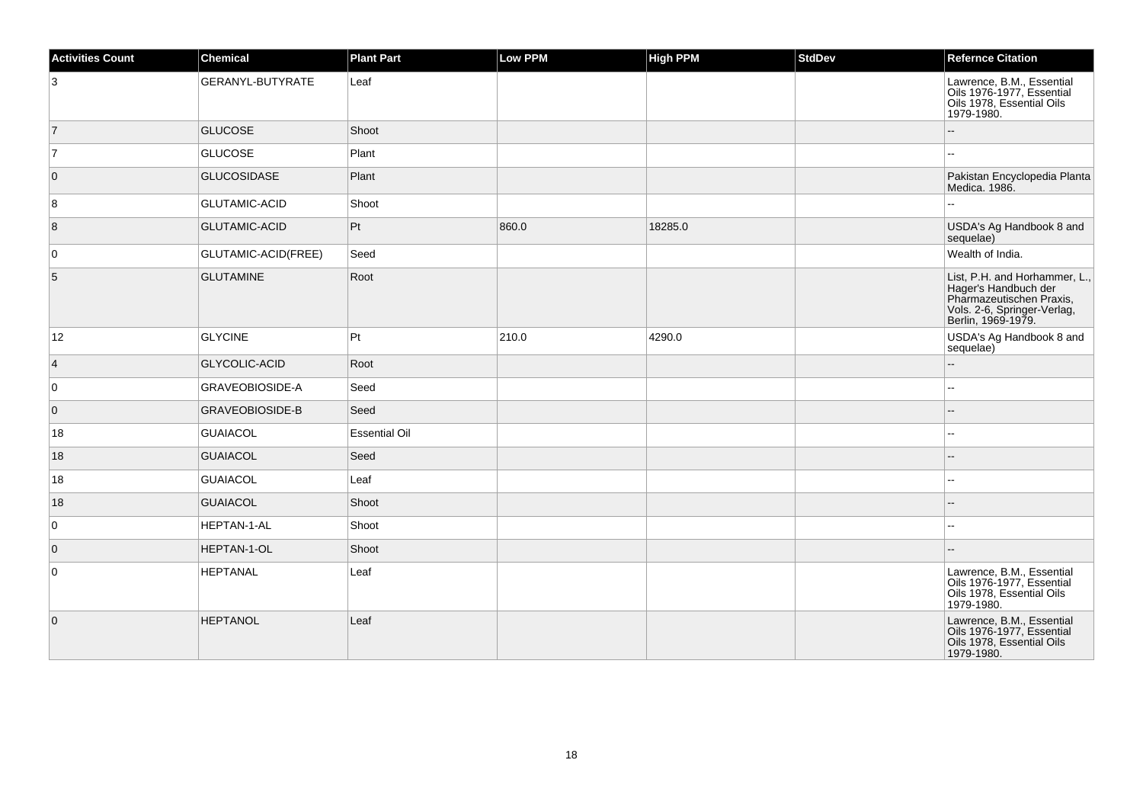| <b>Activities Count</b> | <b>Chemical</b>        | <b>Plant Part</b>    | <b>Low PPM</b> | <b>High PPM</b> | <b>StdDev</b> | <b>Refernce Citation</b>                                                                                                               |
|-------------------------|------------------------|----------------------|----------------|-----------------|---------------|----------------------------------------------------------------------------------------------------------------------------------------|
| 3                       | GERANYL-BUTYRATE       | Leaf                 |                |                 |               | Lawrence, B.M., Essential<br>Oils 1976-1977, Essential<br>Oils 1978, Essential Oils<br>1979-1980.                                      |
| $\overline{7}$          | <b>GLUCOSE</b>         | Shoot                |                |                 |               |                                                                                                                                        |
| 17                      | <b>GLUCOSE</b>         | Plant                |                |                 |               | --                                                                                                                                     |
| $\overline{0}$          | <b>GLUCOSIDASE</b>     | Plant                |                |                 |               | Pakistan Encyclopedia Planta<br>Medica. 1986.                                                                                          |
| 8                       | <b>GLUTAMIC-ACID</b>   | Shoot                |                |                 |               |                                                                                                                                        |
| $\boldsymbol{8}$        | <b>GLUTAMIC-ACID</b>   | Pt                   | 860.0          | 18285.0         |               | USDA's Ag Handbook 8 and<br>sequelae)                                                                                                  |
| 0                       | GLUTAMIC-ACID(FREE)    | Seed                 |                |                 |               | Wealth of India.                                                                                                                       |
| $\sqrt{5}$              | <b>GLUTAMINE</b>       | Root                 |                |                 |               | List, P.H. and Horhammer, L.,<br>Hager's Handbuch der<br>Pharmazeutischen Praxis,<br>Vols. 2-6, Springer-Verlag,<br>Berlin, 1969-1979. |
| 12                      | <b>GLYCINE</b>         | Pt                   | 210.0          | 4290.0          |               | USDA's Ag Handbook 8 and<br>sequelae)                                                                                                  |
| $\overline{4}$          | <b>GLYCOLIC-ACID</b>   | Root                 |                |                 |               |                                                                                                                                        |
| $\overline{0}$          | GRAVEOBIOSIDE-A        | Seed                 |                |                 |               | Щ,                                                                                                                                     |
| $\overline{0}$          | <b>GRAVEOBIOSIDE-B</b> | Seed                 |                |                 |               | --                                                                                                                                     |
| 18                      | <b>GUAIACOL</b>        | <b>Essential Oil</b> |                |                 |               |                                                                                                                                        |
| 18                      | <b>GUAIACOL</b>        | Seed                 |                |                 |               |                                                                                                                                        |
| 18                      | <b>GUAIACOL</b>        | Leaf                 |                |                 |               |                                                                                                                                        |
| 18                      | <b>GUAIACOL</b>        | Shoot                |                |                 |               |                                                                                                                                        |
| $\overline{0}$          | <b>HEPTAN-1-AL</b>     | Shoot                |                |                 |               | $-1$                                                                                                                                   |
| $\overline{0}$          | HEPTAN-1-OL            | Shoot                |                |                 |               |                                                                                                                                        |
| $\overline{0}$          | <b>HEPTANAL</b>        | Leaf                 |                |                 |               | Lawrence, B.M., Essential<br>Oils 1976-1977, Essential<br>Oils 1978, Essential Oils<br>1979-1980.                                      |
| $\overline{0}$          | <b>HEPTANOL</b>        | Leaf                 |                |                 |               | Lawrence, B.M., Essential<br>Oils 1976-1977, Essential<br>Oils 1978, Essential Oils<br>1979-1980.                                      |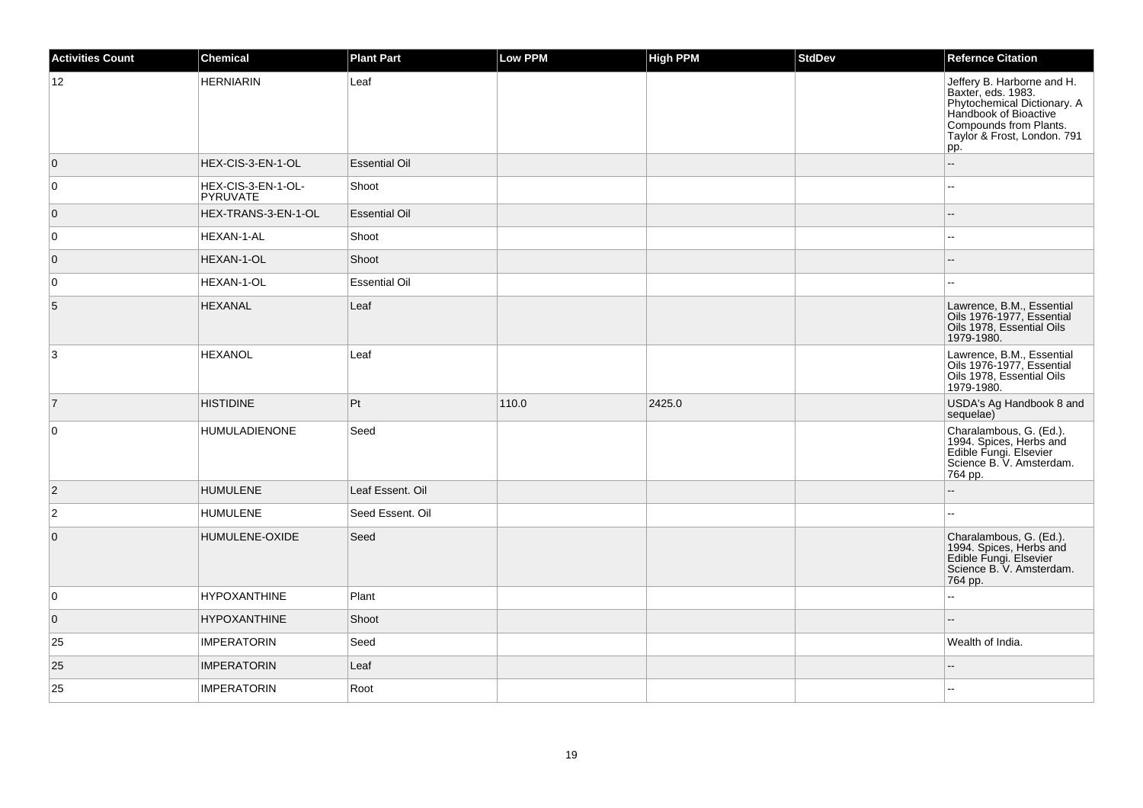| <b>Activities Count</b> | Chemical                       | <b>Plant Part</b>    | Low PPM | High PPM | <b>StdDev</b> | <b>Refernce Citation</b>                                                                                                                                                 |
|-------------------------|--------------------------------|----------------------|---------|----------|---------------|--------------------------------------------------------------------------------------------------------------------------------------------------------------------------|
| 12                      | <b>HERNIARIN</b>               | Leaf                 |         |          |               | Jeffery B. Harborne and H.<br>Baxter, eds. 1983.<br>Phytochemical Dictionary. A<br>Handbook of Bioactive<br>Compounds from Plants.<br>Taylor & Frost, London. 791<br>pp. |
| $\overline{0}$          | HEX-CIS-3-EN-1-OL              | <b>Essential Oil</b> |         |          |               | ÷.                                                                                                                                                                       |
| 0                       | HEX-CIS-3-EN-1-OL-<br>PYRUVATE | Shoot                |         |          |               |                                                                                                                                                                          |
| $\overline{0}$          | HEX-TRANS-3-EN-1-OL            | <b>Essential Oil</b> |         |          |               |                                                                                                                                                                          |
| 0                       | HEXAN-1-AL                     | Shoot                |         |          |               |                                                                                                                                                                          |
| $\overline{0}$          | HEXAN-1-OL                     | Shoot                |         |          |               |                                                                                                                                                                          |
| 0                       | HEXAN-1-OL                     | <b>Essential Oil</b> |         |          |               | $\sim$                                                                                                                                                                   |
| 5                       | <b>HEXANAL</b>                 | Leaf                 |         |          |               | Lawrence, B.M., Essential<br>Oils 1976-1977, Essential<br>Oils 1978, Essential Oils<br>1979-1980.                                                                        |
| 3                       | <b>HEXANOL</b>                 | Leaf                 |         |          |               | Lawrence, B.M., Essential<br>Oils 1976-1977, Essential<br>Oils 1978, Essential Oils<br>1979-1980.                                                                        |
| $\vert$ 7               | <b>HISTIDINE</b>               | Pt                   | 110.0   | 2425.0   |               | USDA's Ag Handbook 8 and<br>sequelae)                                                                                                                                    |
| $\pmb{0}$               | <b>HUMULADIENONE</b>           | Seed                 |         |          |               | Charalambous, G. (Ed.).<br>1994. Spices, Herbs and<br>Edible Fungi. Elsevier<br>Science B. V. Amsterdam.<br>764 pp.                                                      |
| $\overline{2}$          | <b>HUMULENE</b>                | Leaf Essent. Oil     |         |          |               |                                                                                                                                                                          |
| $\overline{2}$          | <b>HUMULENE</b>                | Seed Essent. Oil     |         |          |               |                                                                                                                                                                          |
| $\overline{0}$          | HUMULENE-OXIDE                 | Seed                 |         |          |               | Charalambous, G. (Ed.).<br>1994. Spices, Herbs and<br>Edible Fungi. Elsevier<br>Science B. V. Amsterdam.<br>764 pp.                                                      |
| 0                       | <b>HYPOXANTHINE</b>            | Plant                |         |          |               |                                                                                                                                                                          |
| $\overline{0}$          | <b>HYPOXANTHINE</b>            | Shoot                |         |          |               |                                                                                                                                                                          |
| 25                      | <b>IMPERATORIN</b>             | Seed                 |         |          |               | Wealth of India.                                                                                                                                                         |
| 25                      | <b>IMPERATORIN</b>             | Leaf                 |         |          |               |                                                                                                                                                                          |
| 25                      | <b>IMPERATORIN</b>             | Root                 |         |          |               |                                                                                                                                                                          |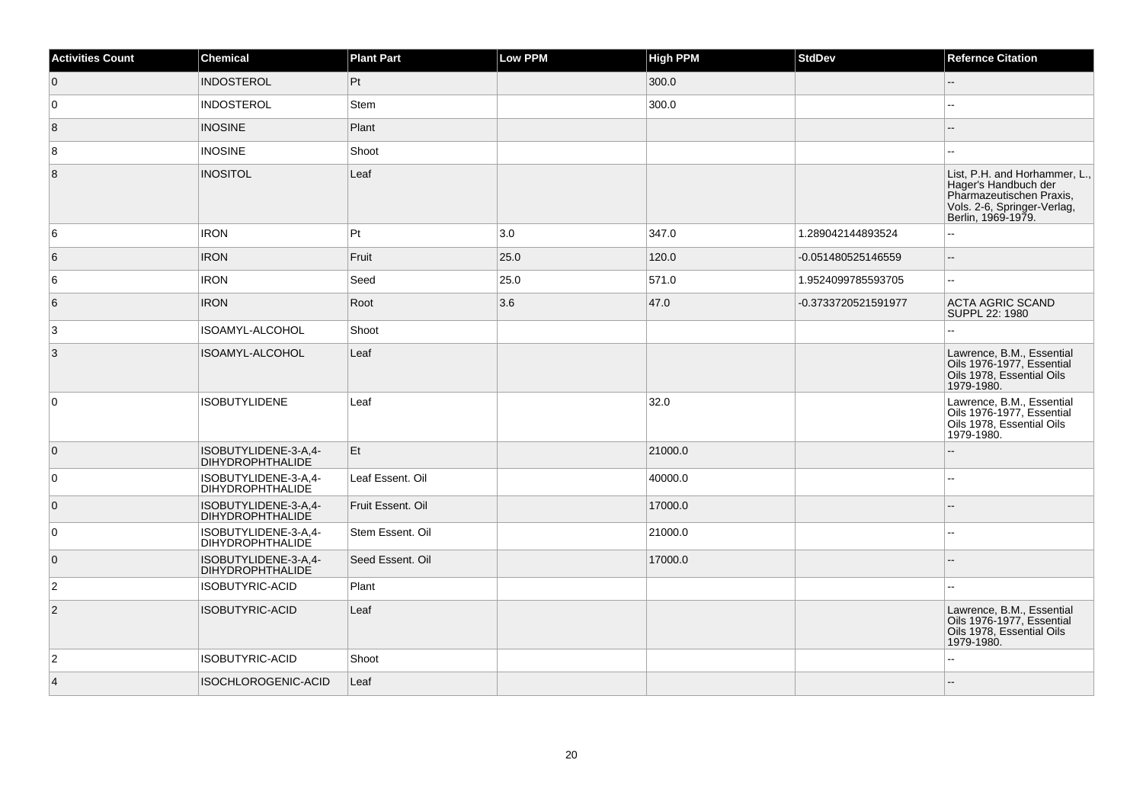| <b>Activities Count</b> | Chemical                                        | <b>Plant Part</b> | Low PPM | <b>High PPM</b> | <b>StdDev</b>       | <b>Refernce Citation</b>                                                                                                               |
|-------------------------|-------------------------------------------------|-------------------|---------|-----------------|---------------------|----------------------------------------------------------------------------------------------------------------------------------------|
| $\overline{0}$          | <b>INDOSTEROL</b>                               | Pt                |         | 300.0           |                     | Ш.                                                                                                                                     |
| 0                       | <b>INDOSTEROL</b>                               | Stem              |         | 300.0           |                     |                                                                                                                                        |
| 8                       | <b>INOSINE</b>                                  | Plant             |         |                 |                     |                                                                                                                                        |
| 8                       | <b>INOSINE</b>                                  | Shoot             |         |                 |                     | --                                                                                                                                     |
| 8                       | <b>INOSITOL</b>                                 | Leaf              |         |                 |                     | List, P.H. and Horhammer, L.,<br>Hager's Handbuch der<br>Pharmazeutischen Praxis,<br>Vols. 2-6, Springer-Verlag,<br>Berlin, 1969-1979. |
| 6                       | <b>IRON</b>                                     | Pt                | 3.0     | 347.0           | 1.289042144893524   | $\overline{a}$                                                                                                                         |
| 6                       | <b>IRON</b>                                     | Fruit             | 25.0    | 120.0           | -0.051480525146559  | $\overline{\phantom{a}}$                                                                                                               |
| 6                       | <b>IRON</b>                                     | Seed              | 25.0    | 571.0           | 1.9524099785593705  | --                                                                                                                                     |
| 6                       | <b>IRON</b>                                     | Root              | 3.6     | 47.0            | -0.3733720521591977 | <b>ACTA AGRIC SCAND</b><br>SUPPL 22: 1980                                                                                              |
| 3                       | ISOAMYL-ALCOHOL                                 | Shoot             |         |                 |                     |                                                                                                                                        |
| $\overline{3}$          | ISOAMYL-ALCOHOL                                 | Leaf              |         |                 |                     | Lawrence, B.M., Essential<br>Oils 1976-1977, Essential<br>Oils 1978, Essential Oils<br>1979-1980.                                      |
| $\overline{0}$          | <b>ISOBUTYLIDENE</b>                            | Leaf              |         | 32.0            |                     | Lawrence, B.M., Essential<br>Oils 1976-1977, Essential<br>Oils 1978, Essential Oils<br>1979-1980.                                      |
| $\overline{0}$          | ISOBUTYLIDENE-3-A,4-<br><b>DIHYDROPHTHALIDE</b> | Et                |         | 21000.0         |                     |                                                                                                                                        |
| 0                       | ISOBUTYLIDENE-3-A,4-<br><b>DIHYDROPHTHALIDE</b> | Leaf Essent, Oil  |         | 40000.0         |                     |                                                                                                                                        |
| $\overline{0}$          | ISOBUTYLIDENE-3-A,4-<br><b>DIHYDROPHTHALIDE</b> | Fruit Essent. Oil |         | 17000.0         |                     |                                                                                                                                        |
| 0                       | ISOBUTYLIDENE-3-A,4-<br><b>DIHYDROPHTHALIDE</b> | Stem Essent. Oil  |         | 21000.0         |                     |                                                                                                                                        |
| $\overline{0}$          | ISOBUTYLIDENE-3-A.4-<br><b>DIHYDROPHTHALIDE</b> | Seed Essent, Oil  |         | 17000.0         |                     |                                                                                                                                        |
| $\overline{2}$          | ISOBUTYRIC-ACID                                 | Plant             |         |                 |                     |                                                                                                                                        |
| $\vert$ 2               | <b>ISOBUTYRIC-ACID</b>                          | Leaf              |         |                 |                     | Lawrence, B.M., Essential<br>Oils 1976-1977, Essential<br>Oils 1978, Essential Oils<br>1979-1980.                                      |
| $\overline{2}$          | <b>ISOBUTYRIC-ACID</b>                          | Shoot             |         |                 |                     |                                                                                                                                        |
| $\vert$ 4               | ISOCHLOROGENIC-ACID                             | Leaf              |         |                 |                     |                                                                                                                                        |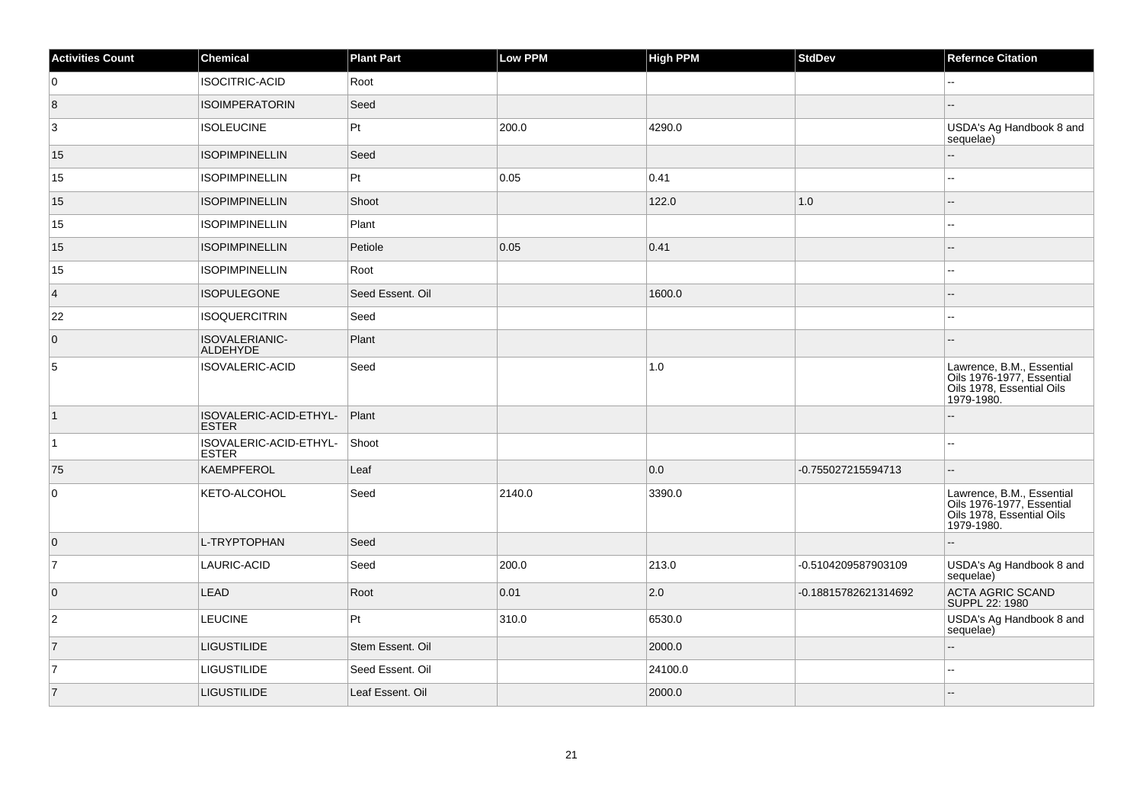| <b>Activities Count</b> | Chemical                               | <b>Plant Part</b> | Low PPM | <b>High PPM</b> | <b>StdDev</b>        | <b>Refernce Citation</b>                                                                                                  |
|-------------------------|----------------------------------------|-------------------|---------|-----------------|----------------------|---------------------------------------------------------------------------------------------------------------------------|
| 0                       | <b>ISOCITRIC-ACID</b>                  | Root              |         |                 |                      |                                                                                                                           |
| $\overline{8}$          | <b>ISOIMPERATORIN</b>                  | Seed              |         |                 |                      |                                                                                                                           |
| 3                       | <b>ISOLEUCINE</b>                      | Pt                | 200.0   | 4290.0          |                      | USDA's Ag Handbook 8 and<br>sequelae)                                                                                     |
| 15                      | <b>ISOPIMPINELLIN</b>                  | Seed              |         |                 |                      | --                                                                                                                        |
| 15                      | <b>ISOPIMPINELLIN</b>                  | Pt                | 0.05    | 0.41            |                      |                                                                                                                           |
| 15                      | <b>ISOPIMPINELLIN</b>                  | Shoot             |         | 122.0           | 1.0                  |                                                                                                                           |
| 15                      | <b>ISOPIMPINELLIN</b>                  | Plant             |         |                 |                      |                                                                                                                           |
| 15                      | <b>ISOPIMPINELLIN</b>                  | Petiole           | 0.05    | 0.41            |                      |                                                                                                                           |
| 15                      | <b>ISOPIMPINELLIN</b>                  | Root              |         |                 |                      |                                                                                                                           |
| $\vert$ 4               | <b>ISOPULEGONE</b>                     | Seed Essent. Oil  |         | 1600.0          |                      |                                                                                                                           |
| 22                      | <b>ISOQUERCITRIN</b>                   | Seed              |         |                 |                      |                                                                                                                           |
| $\overline{0}$          | ISOVALERIANIC-<br>ALDEHYDE             | Plant             |         |                 |                      |                                                                                                                           |
| 5                       | <b>ISOVALERIC-ACID</b>                 | Seed              |         | 1.0             |                      | Lawrence, B.M., Essential<br>Oils 1976-1977, Essential<br>Oils 1978, Essential Oils<br>1979-1980.                         |
| $\vert$ 1               | ISOVALERIC-ACID-ETHYL-<br><b>ESTER</b> | Plant             |         |                 |                      |                                                                                                                           |
| 1                       | ISOVALERIC-ACID-ETHYL-<br><b>ESTER</b> | Shoot             |         |                 |                      |                                                                                                                           |
| 75                      | <b>KAEMPFEROL</b>                      | Leaf              |         | 0.0             | -0.755027215594713   |                                                                                                                           |
| 0                       | <b>KETO-ALCOHOL</b>                    | Seed              | 2140.0  | 3390.0          |                      | Lawrence, B.M., Essential<br>Oils 1976-1977, Essential<br>Oils 1978, Essential<br>Oils 1979, Essential<br>Oils 1979-1980. |
| $\overline{0}$          | L-TRYPTOPHAN                           | Seed              |         |                 |                      | --                                                                                                                        |
| $\overline{7}$          | LAURIC-ACID                            | Seed              | 200.0   | 213.0           | -0.5104209587903109  | USDA's Ag Handbook 8 and<br>sequelae)                                                                                     |
| $\overline{0}$          | <b>LEAD</b>                            | Root              | 0.01    | 2.0             | -0.18815782621314692 | ACTA AGRIC SCAND<br>SUPPL 22: 1980                                                                                        |
| $\overline{2}$          | <b>LEUCINE</b>                         | Pt                | 310.0   | 6530.0          |                      | USDA's Ag Handbook 8 and<br>sequelae)                                                                                     |
| $\overline{7}$          | <b>LIGUSTILIDE</b>                     | Stem Essent. Oil  |         | 2000.0          |                      |                                                                                                                           |
| $\overline{7}$          | <b>LIGUSTILIDE</b>                     | Seed Essent, Oil  |         | 24100.0         |                      | --                                                                                                                        |
| $\overline{7}$          | <b>LIGUSTILIDE</b>                     | Leaf Essent. Oil  |         | 2000.0          |                      |                                                                                                                           |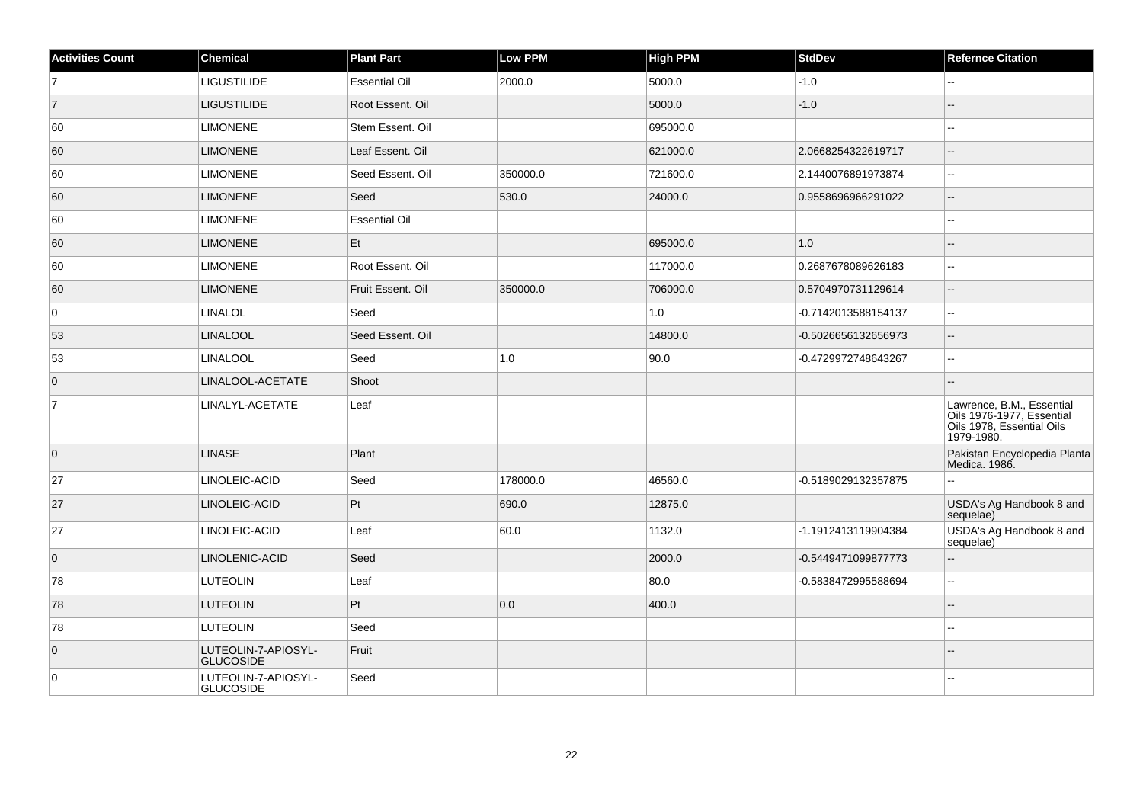| <b>Activities Count</b> | <b>Chemical</b>                  | <b>Plant Part</b>    | <b>Low PPM</b> | <b>High PPM</b> | <b>StdDev</b>       | <b>Refernce Citation</b>                                                                          |
|-------------------------|----------------------------------|----------------------|----------------|-----------------|---------------------|---------------------------------------------------------------------------------------------------|
| $\overline{7}$          | LIGUSTILIDE                      | <b>Essential Oil</b> | 2000.0         | 5000.0          | $-1.0$              | Щ,                                                                                                |
| $\vert$ 7               | <b>LIGUSTILIDE</b>               | Root Essent. Oil     |                | 5000.0          | $-1.0$              |                                                                                                   |
| 60                      | <b>LIMONENE</b>                  | Stem Essent. Oil     |                | 695000.0        |                     | $-1$                                                                                              |
| 60                      | <b>LIMONENE</b>                  | Leaf Essent. Oil     |                | 621000.0        | 2.0668254322619717  | $-$                                                                                               |
| 60                      | <b>LIMONENE</b>                  | Seed Essent. Oil     | 350000.0       | 721600.0        | 2.1440076891973874  | $\overline{\phantom{a}}$                                                                          |
| 60                      | <b>LIMONENE</b>                  | Seed                 | 530.0          | 24000.0         | 0.9558696966291022  | $\overline{\phantom{a}}$                                                                          |
| 60                      | <b>LIMONENE</b>                  | <b>Essential Oil</b> |                |                 |                     | --                                                                                                |
| 60                      | <b>LIMONENE</b>                  | Et                   |                | 695000.0        | 1.0                 | ш,                                                                                                |
| 60                      | <b>LIMONENE</b>                  | Root Essent. Oil     |                | 117000.0        | 0.2687678089626183  | $\sim$ $\sim$                                                                                     |
| 60                      | <b>LIMONENE</b>                  | Fruit Essent. Oil    | 350000.0       | 706000.0        | 0.5704970731129614  |                                                                                                   |
| 0                       | <b>LINALOL</b>                   | Seed                 |                | 1.0             | -0.7142013588154137 | $\overline{\phantom{a}}$                                                                          |
| 53                      | <b>LINALOOL</b>                  | Seed Essent. Oil     |                | 14800.0         | -0.5026656132656973 | $\sim$ $\sim$                                                                                     |
| 53                      | <b>LINALOOL</b>                  | Seed                 | 1.0            | 90.0            | -0.4729972748643267 | ц.                                                                                                |
| $\overline{0}$          | LINALOOL-ACETATE                 | Shoot                |                |                 |                     | ш,                                                                                                |
| $\overline{7}$          | LINALYL-ACETATE                  | Leaf                 |                |                 |                     | Lawrence, B.M., Essential<br>Oils 1976-1977, Essential<br>Oils 1978, Essential Oils<br>1979-1980. |
| $\overline{0}$          | <b>LINASE</b>                    | Plant                |                |                 |                     | Pakistan Encyclopedia Planta<br>Medica. 1986.                                                     |
| 27                      | LINOLEIC-ACID                    | Seed                 | 178000.0       | 46560.0         | -0.5189029132357875 | Ξ.                                                                                                |
| 27                      | LINOLEIC-ACID                    | Pt                   | 690.0          | 12875.0         |                     | USDA's Ag Handbook 8 and<br>sequelae)                                                             |
| 27                      | LINOLEIC-ACID                    | Leaf                 | 60.0           | 1132.0          | -1.1912413119904384 | USDA's Ag Handbook 8 and<br>sequelae)                                                             |
| $\overline{0}$          | LINOLENIC-ACID                   | Seed                 |                | 2000.0          | -0.5449471099877773 | ш,                                                                                                |
| 78                      | <b>LUTEOLIN</b>                  | Leaf                 |                | 80.0            | -0.5838472995588694 | $\overline{\phantom{a}}$                                                                          |
| 78                      | <b>LUTEOLIN</b>                  | Pt                   | 0.0            | 400.0           |                     | $-$                                                                                               |
| 78                      | <b>LUTEOLIN</b>                  | Seed                 |                |                 |                     | Щ,                                                                                                |
| $\overline{0}$          | LUTEOLIN-7-APIOSYL-<br>GLUCOSIDE | Fruit                |                |                 |                     |                                                                                                   |
| $\overline{0}$          | LUTEOLIN-7-APIOSYL-<br>GLUCOSIDE | Seed                 |                |                 |                     |                                                                                                   |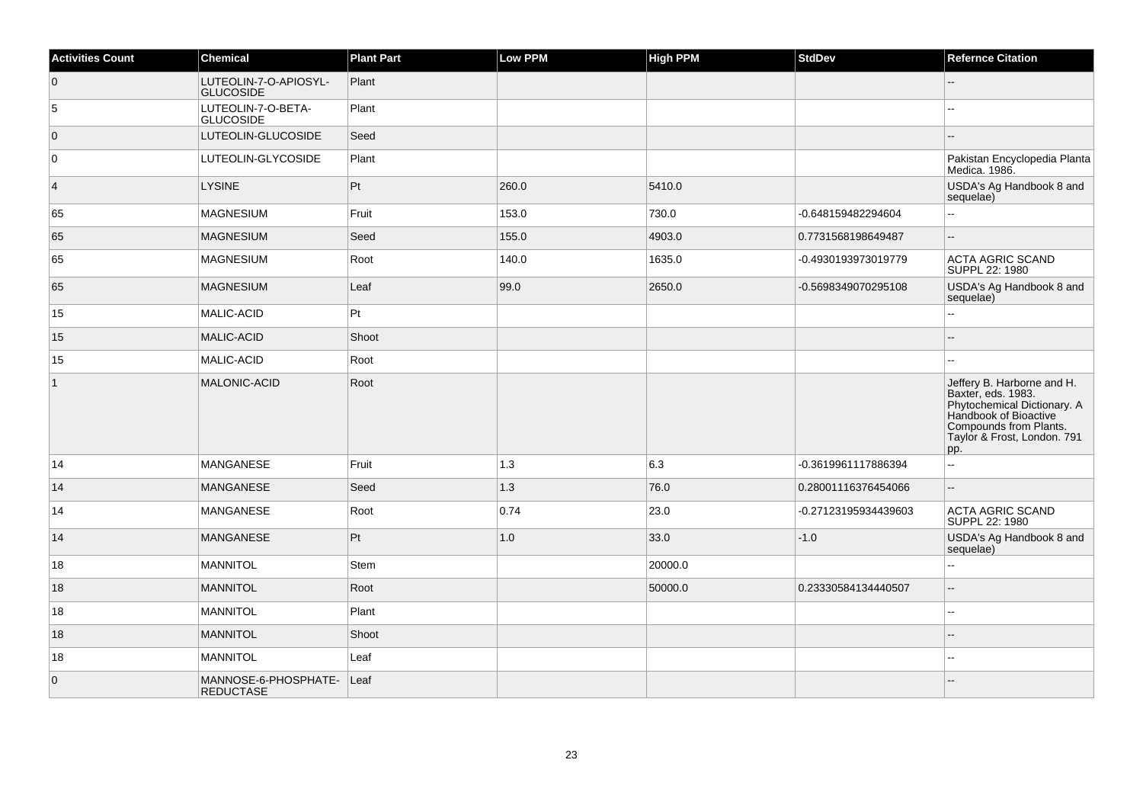| <b>Activities Count</b> | Chemical                                 | <b>Plant Part</b> | Low PPM | <b>High PPM</b> | <b>StdDev</b>        | <b>Refernce Citation</b>                                                                                                                                                 |
|-------------------------|------------------------------------------|-------------------|---------|-----------------|----------------------|--------------------------------------------------------------------------------------------------------------------------------------------------------------------------|
| $\overline{0}$          | LUTEOLIN-7-O-APIOSYL-<br>GLUCOSIDE       | Plant             |         |                 |                      |                                                                                                                                                                          |
| 5                       | LUTEOLIN-7-O-BETA-<br><b>GLUCOSIDE</b>   | Plant             |         |                 |                      |                                                                                                                                                                          |
| $\overline{0}$          | LUTEOLIN-GLUCOSIDE                       | Seed              |         |                 |                      | --                                                                                                                                                                       |
| $\mathbf 0$             | LUTEOLIN-GLYCOSIDE                       | Plant             |         |                 |                      | Pakistan Encyclopedia Planta<br>Medica. 1986.                                                                                                                            |
| $\overline{4}$          | <b>LYSINE</b>                            | Pt                | 260.0   | 5410.0          |                      | USDA's Ag Handbook 8 and<br>sequelae)                                                                                                                                    |
| 65                      | <b>MAGNESIUM</b>                         | Fruit             | 153.0   | 730.0           | -0.648159482294604   | --                                                                                                                                                                       |
| 65                      | MAGNESIUM                                | Seed              | 155.0   | 4903.0          | 0.7731568198649487   |                                                                                                                                                                          |
| 65                      | <b>MAGNESIUM</b>                         | Root              | 140.0   | 1635.0          | -0.4930193973019779  | <b>ACTA AGRIC SCAND</b><br>SUPPL 22: 1980                                                                                                                                |
| 65                      | MAGNESIUM                                | Leaf              | 99.0    | 2650.0          | -0.5698349070295108  | USDA's Ag Handbook 8 and<br>sequelae)                                                                                                                                    |
| 15                      | MALIC-ACID                               | $ P_t $           |         |                 |                      | 44                                                                                                                                                                       |
| 15                      | MALIC-ACID                               | Shoot             |         |                 |                      | ۵.                                                                                                                                                                       |
| 15                      | MALIC-ACID                               | Root              |         |                 |                      |                                                                                                                                                                          |
| $\mathbf{1}$            | <b>MALONIC-ACID</b>                      | Root              |         |                 |                      | Jeffery B. Harborne and H.<br>Baxter, eds. 1983.<br>Phytochemical Dictionary. A<br>Handbook of Bioactive<br>Compounds from Plants.<br>Taylor & Frost, London. 791<br>pp. |
| 14                      | <b>MANGANESE</b>                         | Fruit             | 1.3     | 6.3             | -0.3619961117886394  | $\mathbb{Z}^2$                                                                                                                                                           |
| 14                      | <b>MANGANESE</b>                         | Seed              | 1.3     | 76.0            | 0.28001116376454066  | Ξ.                                                                                                                                                                       |
| 14                      | <b>MANGANESE</b>                         | Root              | 0.74    | 23.0            | -0.27123195934439603 | ACTA AGRIC SCAND<br>SUPPL 22: 1980                                                                                                                                       |
| 14                      | <b>MANGANESE</b>                         | Pt                | 1.0     | 33.0            | $-1.0$               | USDA's Ag Handbook 8 and<br>sequelae)                                                                                                                                    |
| 18                      | <b>MANNITOL</b>                          | Stem              |         | 20000.0         |                      | L.                                                                                                                                                                       |
| 18                      | <b>MANNITOL</b>                          | Root              |         | 50000.0         | 0.23330584134440507  | $\overline{a}$                                                                                                                                                           |
| 18                      | MANNITOL                                 | Plant             |         |                 |                      | --                                                                                                                                                                       |
| 18                      | MANNITOL                                 | Shoot             |         |                 |                      |                                                                                                                                                                          |
| 18                      | MANNITOL                                 | Leaf              |         |                 |                      | ۵.                                                                                                                                                                       |
| $\overline{0}$          | MANNOSE-6-PHOSPHATE-<br><b>REDUCTASE</b> | Leaf              |         |                 |                      |                                                                                                                                                                          |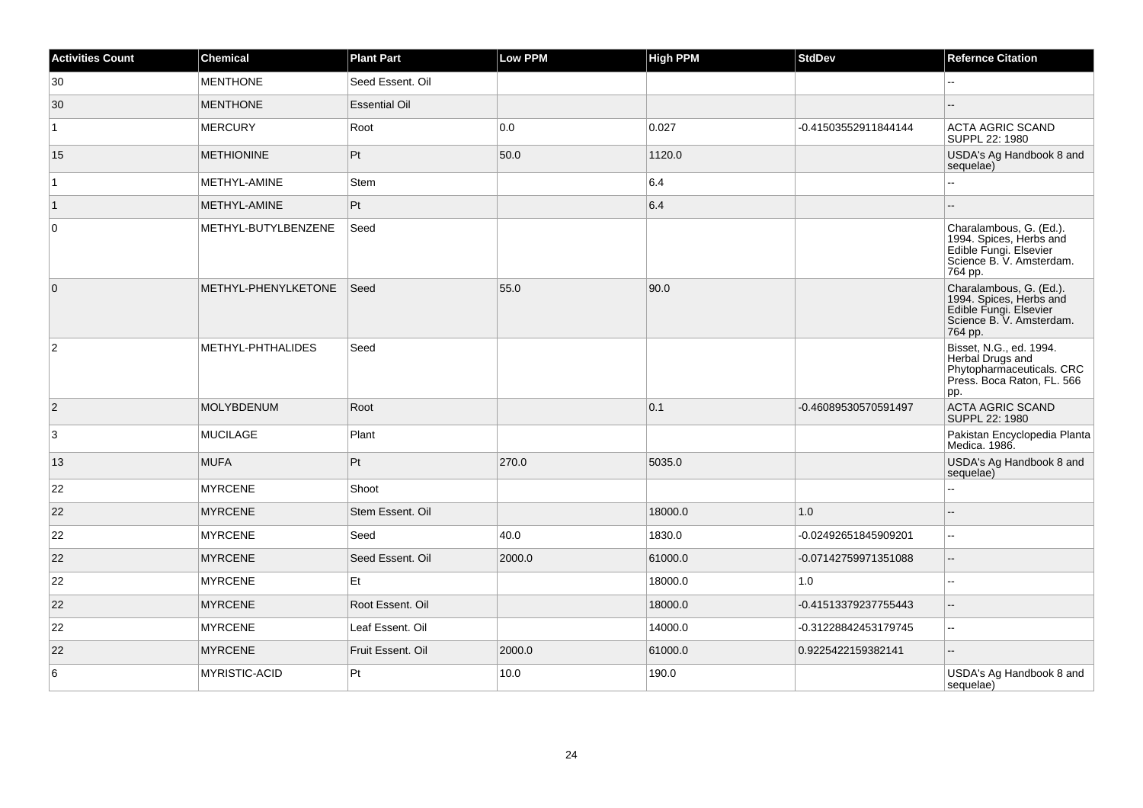| <b>Activities Count</b> | <b>Chemical</b>     | <b>Plant Part</b>    | <b>Low PPM</b> | <b>High PPM</b> | <b>StdDev</b>        | <b>Refernce Citation</b>                                                                                            |
|-------------------------|---------------------|----------------------|----------------|-----------------|----------------------|---------------------------------------------------------------------------------------------------------------------|
| 30                      | <b>MENTHONE</b>     | Seed Essent, Oil     |                |                 |                      |                                                                                                                     |
| 30                      | <b>MENTHONE</b>     | <b>Essential Oil</b> |                |                 |                      |                                                                                                                     |
| $\mathbf{1}$            | <b>MERCURY</b>      | Root                 | 0.0            | 0.027           | -0.41503552911844144 | <b>ACTA AGRIC SCAND</b><br>SUPPL 22: 1980                                                                           |
| 15                      | <b>METHIONINE</b>   | Pt                   | 50.0           | 1120.0          |                      | USDA's Ag Handbook 8 and<br>sequelae)                                                                               |
| $\mathbf{1}$            | METHYL-AMINE        | Stem                 |                | 6.4             |                      | $\overline{a}$                                                                                                      |
| $\vert$ 1               | METHYL-AMINE        | $ P_t $              |                | 6.4             |                      | $-$                                                                                                                 |
| 0                       | METHYL-BUTYLBENZENE | Seed                 |                |                 |                      | Charalambous, G. (Ed.).<br>1994. Spices, Herbs and<br>Edible Fungi. Elsevier<br>Science B. V. Amsterdam.<br>764 pp. |
| $\overline{0}$          | METHYL-PHENYLKETONE | Seed                 | 55.0           | 90.0            |                      | Charalambous, G. (Ed.).<br>1994. Spices, Herbs and<br>Edible Fungi. Elsevier<br>Science B. V. Amsterdam.<br>764 pp. |
| $\overline{2}$          | METHYL-PHTHALIDES   | Seed                 |                |                 |                      | Bisset, N.G., ed. 1994.<br>Herbal Drugs and<br>Phytopharmaceuticals. CRC<br>Press. Boca Raton, FL. 566<br>pp.       |
| $\vert$ 2               | <b>MOLYBDENUM</b>   | Root                 |                | 0.1             | -0.46089530570591497 | <b>ACTA AGRIC SCAND</b><br>SUPPL 22: 1980                                                                           |
| 3                       | <b>MUCILAGE</b>     | Plant                |                |                 |                      | Pakistan Encyclopedia Planta<br>Medica. 1986.                                                                       |
| 13                      | <b>MUFA</b>         | Pt                   | 270.0          | 5035.0          |                      | USDA's Ag Handbook 8 and<br>sequelae)                                                                               |
| 22                      | <b>MYRCENE</b>      | Shoot                |                |                 |                      | Ξ.                                                                                                                  |
| 22                      | <b>MYRCENE</b>      | Stem Essent. Oil     |                | 18000.0         | 1.0                  | $-$                                                                                                                 |
| 22                      | <b>MYRCENE</b>      | Seed                 | 40.0           | 1830.0          | -0.02492651845909201 | $\mathbf{H}$                                                                                                        |
| 22                      | <b>MYRCENE</b>      | Seed Essent. Oil     | 2000.0         | 61000.0         | -0.07142759971351088 | $\sim$                                                                                                              |
| 22                      | <b>MYRCENE</b>      | Et                   |                | 18000.0         | 1.0                  | --                                                                                                                  |
| 22                      | <b>MYRCENE</b>      | Root Essent, Oil     |                | 18000.0         | -0.41513379237755443 | Ξ.                                                                                                                  |
| 22                      | <b>MYRCENE</b>      | Leaf Essent. Oil     |                | 14000.0         | -0.31228842453179745 | $\sim$                                                                                                              |
| 22                      | <b>MYRCENE</b>      | Fruit Essent. Oil    | 2000.0         | 61000.0         | 0.9225422159382141   | --                                                                                                                  |
| 6                       | MYRISTIC-ACID       | Pt                   | 10.0           | 190.0           |                      | USDA's Ag Handbook 8 and<br>sequelae)                                                                               |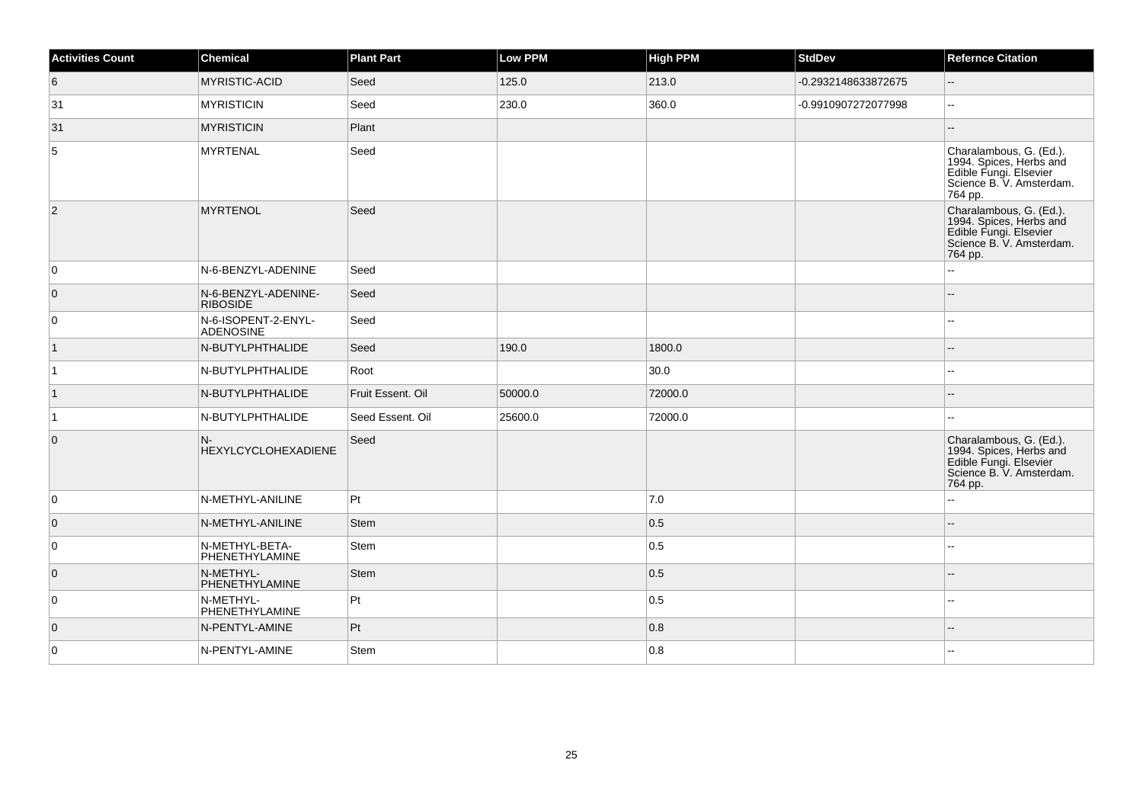| <b>Activities Count</b> | Chemical                               | <b>Plant Part</b> | <b>Low PPM</b> | <b>High PPM</b> | <b>StdDev</b>       | <b>Refernce Citation</b>                                                                                            |
|-------------------------|----------------------------------------|-------------------|----------------|-----------------|---------------------|---------------------------------------------------------------------------------------------------------------------|
| $6\phantom{.}6$         | MYRISTIC-ACID                          | Seed              | 125.0          | 213.0           | -0.2932148633872675 | $\overline{\phantom{a}}$                                                                                            |
| 31                      | <b>MYRISTICIN</b>                      | Seed              | 230.0          | 360.0           | -0.9910907272077998 | $\overline{a}$                                                                                                      |
| 31                      | <b>MYRISTICIN</b>                      | Plant             |                |                 |                     |                                                                                                                     |
| 5                       | <b>MYRTENAL</b>                        | Seed              |                |                 |                     | Charalambous, G. (Ed.).<br>1994. Spices, Herbs and<br>Edible Fungi. Elsevier<br>Science B. V. Amsterdam.<br>764 pp. |
| $ 2\rangle$             | <b>MYRTENOL</b>                        | Seed              |                |                 |                     | Charalambous, G. (Ed.).<br>1994. Spices, Herbs and<br>Edible Fungi. Elsevier<br>Science B. V. Amsterdam.<br>764 pp. |
| $\overline{0}$          | N-6-BENZYL-ADENINE                     | Seed              |                |                 |                     |                                                                                                                     |
| $\overline{0}$          | N-6-BENZYL-ADENINE-<br><b>RIBOSIDE</b> | Seed              |                |                 |                     |                                                                                                                     |
| $\overline{0}$          | N-6-ISOPENT-2-ENYL-<br>ADENOSINE       | Seed              |                |                 |                     |                                                                                                                     |
| $\vert$ 1               | N-BUTYLPHTHALIDE                       | Seed              | 190.0          | 1800.0          |                     |                                                                                                                     |
| $\overline{1}$          | N-BUTYLPHTHALIDE                       | Root              |                | 30.0            |                     |                                                                                                                     |
| $\vert$ 1               | N-BUTYLPHTHALIDE                       | Fruit Essent. Oil | 50000.0        | 72000.0         |                     |                                                                                                                     |
| $\vert$ 1               | N-BUTYLPHTHALIDE                       | Seed Essent. Oil  | 25600.0        | 72000.0         |                     |                                                                                                                     |
| $\overline{0}$          | $N-$<br><b>HEXYLCYCLOHEXADIENE</b>     | Seed              |                |                 |                     | Charalambous, G. (Ed.).<br>1994. Spices, Herbs and<br>Edible Fungi. Elsevier<br>Science B. V. Amsterdam.<br>764 pp. |
| $\overline{0}$          | N-METHYL-ANILINE                       | Pt                |                | 7.0             |                     |                                                                                                                     |
| $\overline{0}$          | N-METHYL-ANILINE                       | <b>Stem</b>       |                | 0.5             |                     |                                                                                                                     |
| 0                       | N-METHYL-BETA-<br>PHENETHYLAMINE       | Stem              |                | 0.5             |                     |                                                                                                                     |
| $\overline{0}$          | N-METHYL-<br>PHENETHYLAMINE            | <b>Stem</b>       |                | 0.5             |                     |                                                                                                                     |
| $\overline{0}$          | N-METHYL-<br>PHENETHYLAMINE            | Pt                |                | 0.5             |                     |                                                                                                                     |
| $\overline{0}$          | N-PENTYL-AMINE                         | Pt                |                | 0.8             |                     |                                                                                                                     |
| $\overline{0}$          | N-PENTYL-AMINE                         | Stem              |                | 0.8             |                     |                                                                                                                     |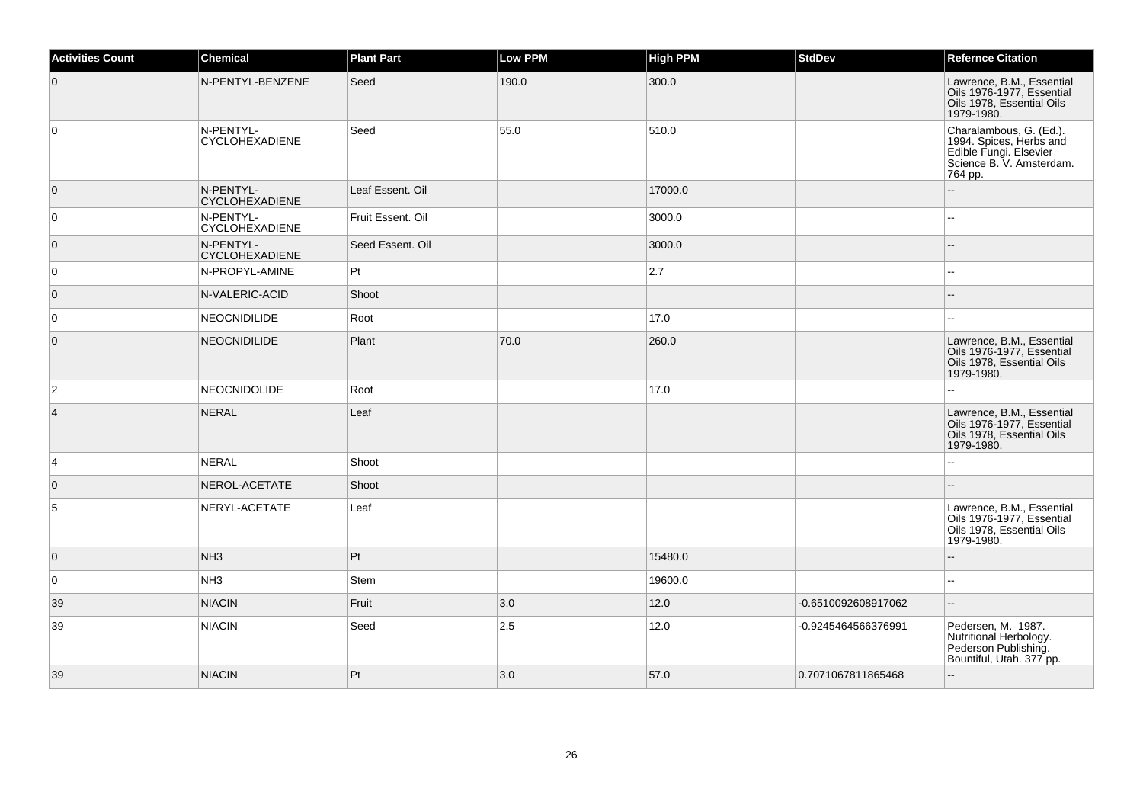| <b>Activities Count</b> | <b>Chemical</b>                    | <b>Plant Part</b> | <b>Low PPM</b> | <b>High PPM</b> | <b>StdDev</b>       | <b>Refernce Citation</b>                                                                                            |
|-------------------------|------------------------------------|-------------------|----------------|-----------------|---------------------|---------------------------------------------------------------------------------------------------------------------|
| $\overline{0}$          | N-PENTYL-BENZENE                   | Seed              | 190.0          | 300.0           |                     | Lawrence, B.M., Essential<br>Oils 1976-1977, Essential<br>Oils 1978, Essential Oils<br>1979-1980.                   |
| 0                       | N-PENTYL-<br><b>CYCLOHEXADIENE</b> | Seed              | 55.0           | 510.0           |                     | Charalambous, G. (Ed.).<br>1994. Spices, Herbs and<br>Edible Fungi. Elsevier<br>Science B. V. Amsterdam.<br>764 pp. |
| $\overline{0}$          | N-PENTYL-<br><b>CYCLOHEXADIENE</b> | Leaf Essent. Oil  |                | 17000.0         |                     |                                                                                                                     |
| 0                       | N-PENTYL-<br><b>CYCLOHEXADIENE</b> | Fruit Essent. Oil |                | 3000.0          |                     | $-$                                                                                                                 |
| $\overline{0}$          | N-PENTYL-<br><b>CYCLOHEXADIENE</b> | Seed Essent. Oil  |                | 3000.0          |                     |                                                                                                                     |
| 0                       | N-PROPYL-AMINE                     | $ P_t $           |                | 2.7             |                     | Ξ.                                                                                                                  |
| $\overline{0}$          | N-VALERIC-ACID                     | Shoot             |                |                 |                     | $-$                                                                                                                 |
| $\overline{0}$          | NEOCNIDILIDE                       | Root              |                | 17.0            |                     |                                                                                                                     |
| $\overline{0}$          | <b>NEOCNIDILIDE</b>                | Plant             | 70.0           | 260.0           |                     | Lawrence, B.M., Essential<br>Oils 1976-1977, Essential<br>Oils 1978, Essential Oils<br>1979-1980.                   |
| $\overline{2}$          | <b>NEOCNIDOLIDE</b>                | Root              |                | 17.0            |                     | Ξ.                                                                                                                  |
| $\vert$ 4               | NERAL                              | Leaf              |                |                 |                     | Lawrence, B.M., Essential<br>Oils 1976-1977, Essential<br>Oils 1978, Essential Oils<br>1979-1980.                   |
| 4                       | <b>NERAL</b>                       | Shoot             |                |                 |                     | $\overline{\phantom{a}}$                                                                                            |
| $\overline{0}$          | NEROL-ACETATE                      | Shoot             |                |                 |                     |                                                                                                                     |
| $\sqrt{5}$              | NERYL-ACETATE                      | Leaf              |                |                 |                     | Lawrence, B.M., Essential<br>Oils 1976-1977, Essential<br>Oils 1978, Essential Oils<br>1979-1980.                   |
| $\overline{0}$          | NH <sub>3</sub>                    | Pt                |                | 15480.0         |                     |                                                                                                                     |
| 0                       | NH <sub>3</sub>                    | Stem              |                | 19600.0         |                     | $\overline{\phantom{a}}$                                                                                            |
| 39                      | <b>NIACIN</b>                      | Fruit             | 3.0            | 12.0            | -0.6510092608917062 | $-$                                                                                                                 |
| 39                      | <b>NIACIN</b>                      | Seed              | 2.5            | 12.0            | -0.9245464566376991 | Pedersen, M. 1987.<br>Nutritional Herbology.<br>Pederson Publishing.<br>Bountiful, Utah. 377 pp.                    |
| 39                      | <b>NIACIN</b>                      | Pt                | 3.0            | 57.0            | 0.7071067811865468  | Ξ.                                                                                                                  |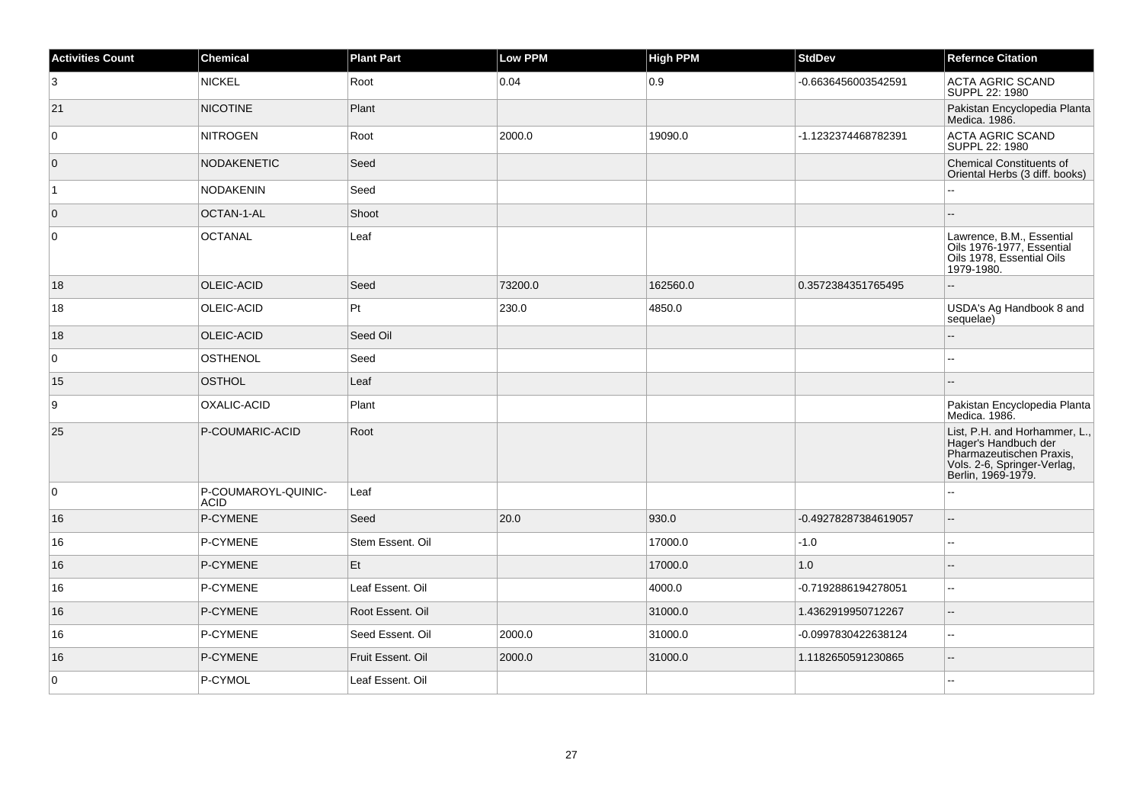| <b>Activities Count</b> | Chemical                           | <b>Plant Part</b> | <b>Low PPM</b> | <b>High PPM</b> | <b>StdDev</b>        | <b>Refernce Citation</b>                                                                                                               |
|-------------------------|------------------------------------|-------------------|----------------|-----------------|----------------------|----------------------------------------------------------------------------------------------------------------------------------------|
| 3                       | NICKEL                             | Root              | 0.04           | 0.9             | -0.6636456003542591  | <b>ACTA AGRIC SCAND</b><br>SUPPL 22: 1980                                                                                              |
| 21                      | <b>NICOTINE</b>                    | Plant             |                |                 |                      | Pakistan Encyclopedia Planta<br>Medica. 1986.                                                                                          |
| $\overline{0}$          | <b>NITROGEN</b>                    | Root              | 2000.0         | 19090.0         | -1.1232374468782391  | <b>ACTA AGRIC SCAND</b><br>SUPPL 22: 1980                                                                                              |
| $\overline{0}$          | <b>NODAKENETIC</b>                 | Seed              |                |                 |                      | <b>Chemical Constituents of</b><br>Oriental Herbs (3 diff. books)                                                                      |
| $\overline{1}$          | <b>NODAKENIN</b>                   | Seed              |                |                 |                      |                                                                                                                                        |
| $\overline{0}$          | OCTAN-1-AL                         | Shoot             |                |                 |                      |                                                                                                                                        |
| 0                       | <b>OCTANAL</b>                     | Leaf              |                |                 |                      | Lawrence, B.M., Essential<br>Oils 1976-1977, Essential<br>Oils 1978, Essential Oils<br>1979-1980.                                      |
| 18                      | <b>OLEIC-ACID</b>                  | Seed              | 73200.0        | 162560.0        | 0.3572384351765495   |                                                                                                                                        |
| 18                      | OLEIC-ACID                         | Pt                | 230.0          | 4850.0          |                      | USDA's Ag Handbook 8 and<br>sequelae)                                                                                                  |
| 18                      | OLEIC-ACID                         | Seed Oil          |                |                 |                      |                                                                                                                                        |
| $\overline{0}$          | <b>OSTHENOL</b>                    | Seed              |                |                 |                      |                                                                                                                                        |
| 15                      | <b>OSTHOL</b>                      | Leaf              |                |                 |                      |                                                                                                                                        |
| 9                       | OXALIC-ACID                        | Plant             |                |                 |                      | Pakistan Encyclopedia Planta<br>Medica. 1986.                                                                                          |
| 25                      | P-COUMARIC-ACID                    | Root              |                |                 |                      | List, P.H. and Horhammer, L.,<br>Hager's Handbuch der<br>Pharmazeutischen Praxis,<br>Vols. 2-6, Springer-Verlag,<br>Berlin, 1969-1979. |
| 0                       | P-COUMAROYL-QUINIC-<br><b>ACID</b> | Leaf              |                |                 |                      | ۵.                                                                                                                                     |
| 16                      | P-CYMENE                           | Seed              | 20.0           | 930.0           | -0.49278287384619057 | $\overline{a}$                                                                                                                         |
| 16                      | P-CYMENE                           | Stem Essent. Oil  |                | 17000.0         | $-1.0$               | ÷÷.                                                                                                                                    |
| 16                      | P-CYMENE                           | Et                |                | 17000.0         | 1.0                  | $-$                                                                                                                                    |
| 16                      | P-CYMENE                           | Leaf Essent. Oil  |                | 4000.0          | -0.7192886194278051  | $\overline{\phantom{a}}$                                                                                                               |
| 16                      | P-CYMENE                           | Root Essent. Oil  |                | 31000.0         | 1.4362919950712267   | $\overline{a}$                                                                                                                         |
| 16                      | P-CYMENE                           | Seed Essent. Oil  | 2000.0         | 31000.0         | -0.0997830422638124  | $\overline{\phantom{a}}$                                                                                                               |
| 16                      | P-CYMENE                           | Fruit Essent. Oil | 2000.0         | 31000.0         | 1.1182650591230865   | $\overline{\phantom{a}}$                                                                                                               |
| $\overline{0}$          | P-CYMOL                            | Leaf Essent. Oil  |                |                 |                      | L.                                                                                                                                     |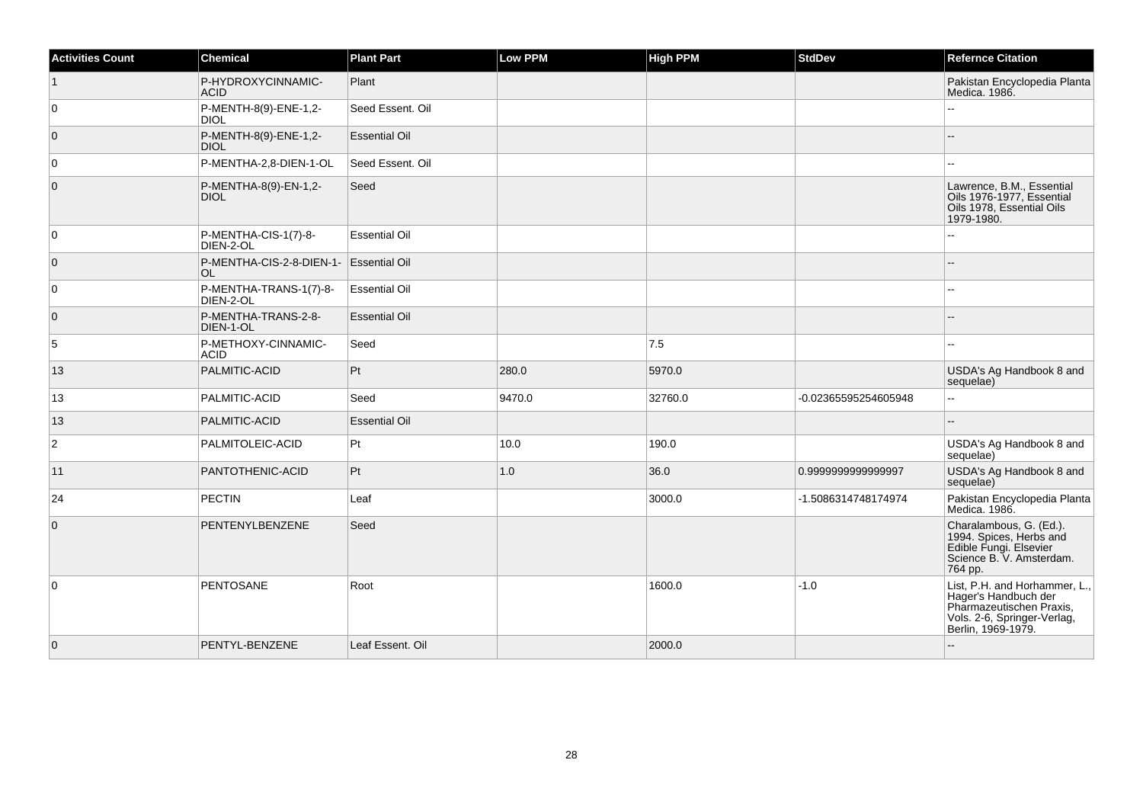| <b>Activities Count</b> | Chemical                             | <b>Plant Part</b>    | Low PPM | <b>High PPM</b> | <b>StdDev</b>        | <b>Refernce Citation</b>                                                                                                               |
|-------------------------|--------------------------------------|----------------------|---------|-----------------|----------------------|----------------------------------------------------------------------------------------------------------------------------------------|
| $\overline{1}$          | P-HYDROXYCINNAMIC-<br><b>ACID</b>    | Plant                |         |                 |                      | Pakistan Encyclopedia Planta<br>Medica. 1986.                                                                                          |
| 0                       | P-MENTH-8(9)-ENE-1,2-<br><b>DIOL</b> | Seed Essent. Oil     |         |                 |                      |                                                                                                                                        |
| $\overline{0}$          | P-MENTH-8(9)-ENE-1,2-<br><b>DIOL</b> | <b>Essential Oil</b> |         |                 |                      |                                                                                                                                        |
| $\overline{0}$          | P-MENTHA-2,8-DIEN-1-OL               | Seed Essent, Oil     |         |                 |                      | --                                                                                                                                     |
| $\overline{0}$          | P-MENTHA-8(9)-EN-1,2-<br><b>DIOL</b> | Seed                 |         |                 |                      | Lawrence, B.M., Essential<br>Oils 1976-1977, Essential<br>Oils 1978, Essential Oils<br>1979-1980.                                      |
| 0                       | P-MENTHA-CIS-1(7)-8-<br>DIEN-2-OL    | <b>Essential Oil</b> |         |                 |                      |                                                                                                                                        |
| $\overline{0}$          | P-MENTHA-CIS-2-8-DIEN-1-<br>OL.      | <b>Essential Oil</b> |         |                 |                      |                                                                                                                                        |
| $\overline{0}$          | P-MENTHA-TRANS-1(7)-8-<br>DIEN-2-OL  | <b>Essential Oil</b> |         |                 |                      | --                                                                                                                                     |
| $\overline{0}$          | P-MENTHA-TRANS-2-8-<br>DIEN-1-OL     | <b>Essential Oil</b> |         |                 |                      |                                                                                                                                        |
| 5                       | P-METHOXY-CINNAMIC-<br><b>ACID</b>   | Seed                 |         | 7.5             |                      | н.                                                                                                                                     |
| 13                      | PALMITIC-ACID                        | Pt                   | 280.0   | 5970.0          |                      | USDA's Ag Handbook 8 and<br>sequelae)                                                                                                  |
| 13                      | PALMITIC-ACID                        | Seed                 | 9470.0  | 32760.0         | -0.02365595254605948 | L.                                                                                                                                     |
| 13                      | PALMITIC-ACID                        | <b>Essential Oil</b> |         |                 |                      | $-$                                                                                                                                    |
| $\overline{2}$          | PALMITOLEIC-ACID                     | Pt                   | 10.0    | 190.0           |                      | USDA's Ag Handbook 8 and<br>sequelae)                                                                                                  |
| 11                      | PANTOTHENIC-ACID                     | Pt                   | 1.0     | 36.0            | 0.999999999999997    | USDA's Ag Handbook 8 and<br>sequelae)                                                                                                  |
| 24                      | PECTIN                               | Leaf                 |         | 3000.0          | -1.5086314748174974  | Pakistan Encyclopedia Planta<br>Medica. 1986.                                                                                          |
| $\overline{0}$          | PENTENYLBENZENE                      | Seed                 |         |                 |                      | Charalambous, G. (Ed.).<br>1994. Spices, Herbs and<br>Edible Fungi. Elsevier<br>Science B. V. Amsterdam.<br>764 pp.                    |
| 0                       | <b>PENTOSANE</b>                     | Root                 |         | 1600.0          | $-1.0$               | List, P.H. and Horhammer, L.,<br>Hager's Handbuch der<br>Pharmazeutischen Praxis,<br>Vols. 2-6, Springer-Verlag,<br>Berlin, 1969-1979. |
| $\overline{0}$          | PENTYL-BENZENE                       | Leaf Essent. Oil     |         | 2000.0          |                      |                                                                                                                                        |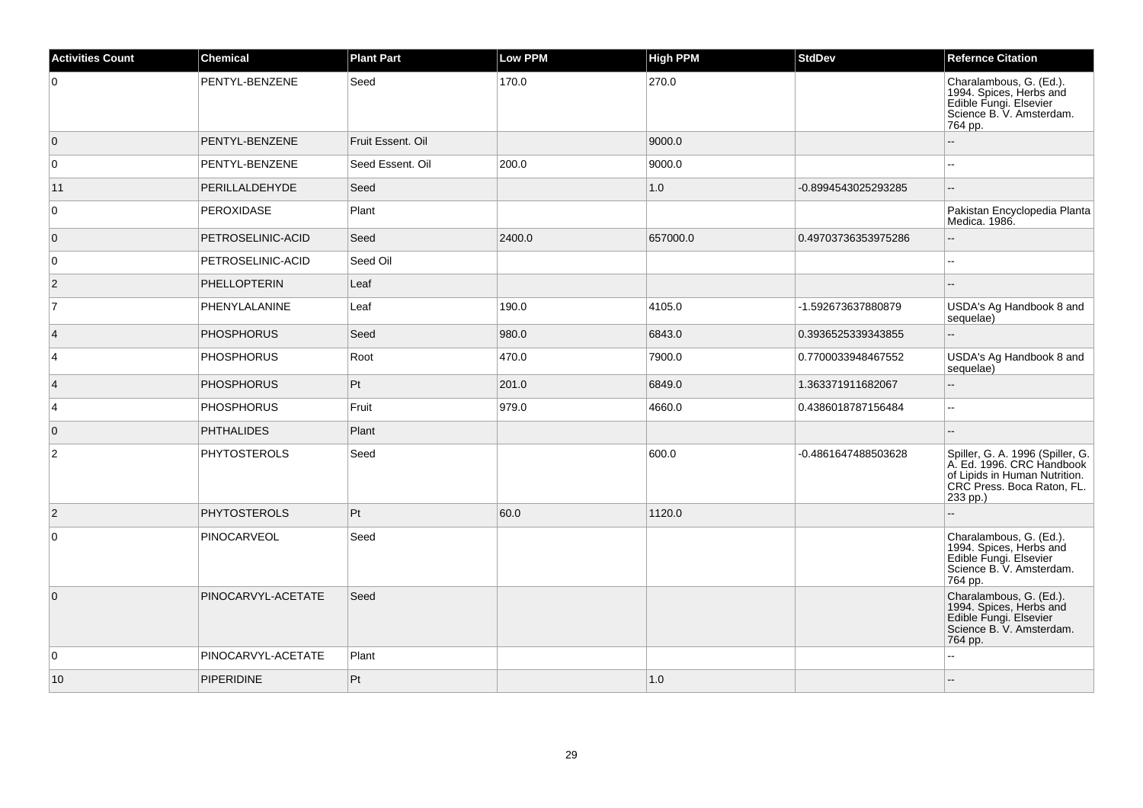| <b>Activities Count</b> | <b>Chemical</b>     | <b>Plant Part</b> | <b>Low PPM</b> | <b>High PPM</b> | <b>StdDev</b>       | <b>Refernce Citation</b>                                                                                                                 |
|-------------------------|---------------------|-------------------|----------------|-----------------|---------------------|------------------------------------------------------------------------------------------------------------------------------------------|
| $\overline{0}$          | PENTYL-BENZENE      | Seed              | 170.0          | 270.0           |                     | Charalambous, G. (Ed.).<br>1994. Spices, Herbs and<br>Edible Fungi. Elsevier<br>Science B. V. Amsterdam.<br>764 pp.                      |
| $\overline{0}$          | PENTYL-BENZENE      | Fruit Essent, Oil |                | 9000.0          |                     | $-$                                                                                                                                      |
| $\overline{0}$          | PENTYL-BENZENE      | Seed Essent. Oil  | 200.0          | 9000.0          |                     | ۵.                                                                                                                                       |
| 11                      | PERILLALDEHYDE      | Seed              |                | 1.0             | -0.8994543025293285 | L.                                                                                                                                       |
| 0                       | PEROXIDASE          | Plant             |                |                 |                     | Pakistan Encyclopedia Planta<br>Medica. 1986.                                                                                            |
| $\overline{0}$          | PETROSELINIC-ACID   | Seed              | 2400.0         | 657000.0        | 0.49703736353975286 | --                                                                                                                                       |
| 0                       | PETROSELINIC-ACID   | Seed Oil          |                |                 |                     | --                                                                                                                                       |
| $\overline{2}$          | <b>PHELLOPTERIN</b> | Leaf              |                |                 |                     |                                                                                                                                          |
| $\overline{7}$          | PHENYLALANINE       | Leaf              | 190.0          | 4105.0          | -1.592673637880879  | USDA's Ag Handbook 8 and<br>sequelae)                                                                                                    |
| $\vert 4 \vert$         | <b>PHOSPHORUS</b>   | Seed              | 980.0          | 6843.0          | 0.3936525339343855  | Ξ.                                                                                                                                       |
| 4                       | <b>PHOSPHORUS</b>   | Root              | 470.0          | 7900.0          | 0.7700033948467552  | USDA's Ag Handbook 8 and<br>sequelae)                                                                                                    |
| $\vert 4 \vert$         | <b>PHOSPHORUS</b>   | Pt                | 201.0          | 6849.0          | 1.363371911682067   | Ξ.                                                                                                                                       |
| 4                       | <b>PHOSPHORUS</b>   | Fruit             | 979.0          | 4660.0          | 0.4386018787156484  | Щ,                                                                                                                                       |
| $\overline{0}$          | <b>PHTHALIDES</b>   | Plant             |                |                 |                     | ۵.                                                                                                                                       |
| $\overline{2}$          | <b>PHYTOSTEROLS</b> | Seed              |                | 600.0           | -0.4861647488503628 | Spiller, G. A. 1996 (Spiller, G.<br>A. Ed. 1996. CRC Handbook<br>of Lipids in Human Nutrition.<br>CRC Press. Boca Raton, FL.<br>233 pp.) |
| $\vert$ 2               | <b>PHYTOSTEROLS</b> | Pt                | 60.0           | 1120.0          |                     |                                                                                                                                          |
| $\overline{0}$          | PINOCARVEOL         | Seed              |                |                 |                     | Charalambous, G. (Ed.).<br>1994. Spices, Herbs and<br>Edible Fungi. Elsevier<br>Science B. V. Amsterdam.<br>764 pp.                      |
| $\overline{0}$          | PINOCARVYL-ACETATE  | Seed              |                |                 |                     | Charalambous, G. (Ed.).<br>1994. Spices, Herbs and<br>Edible Fungi. Elsevier<br>Science B. V. Amsterdam.<br>764 pp.                      |
| $\overline{0}$          | PINOCARVYL-ACETATE  | Plant             |                |                 |                     |                                                                                                                                          |
| 10                      | <b>PIPERIDINE</b>   | Pt                |                | 1.0             |                     |                                                                                                                                          |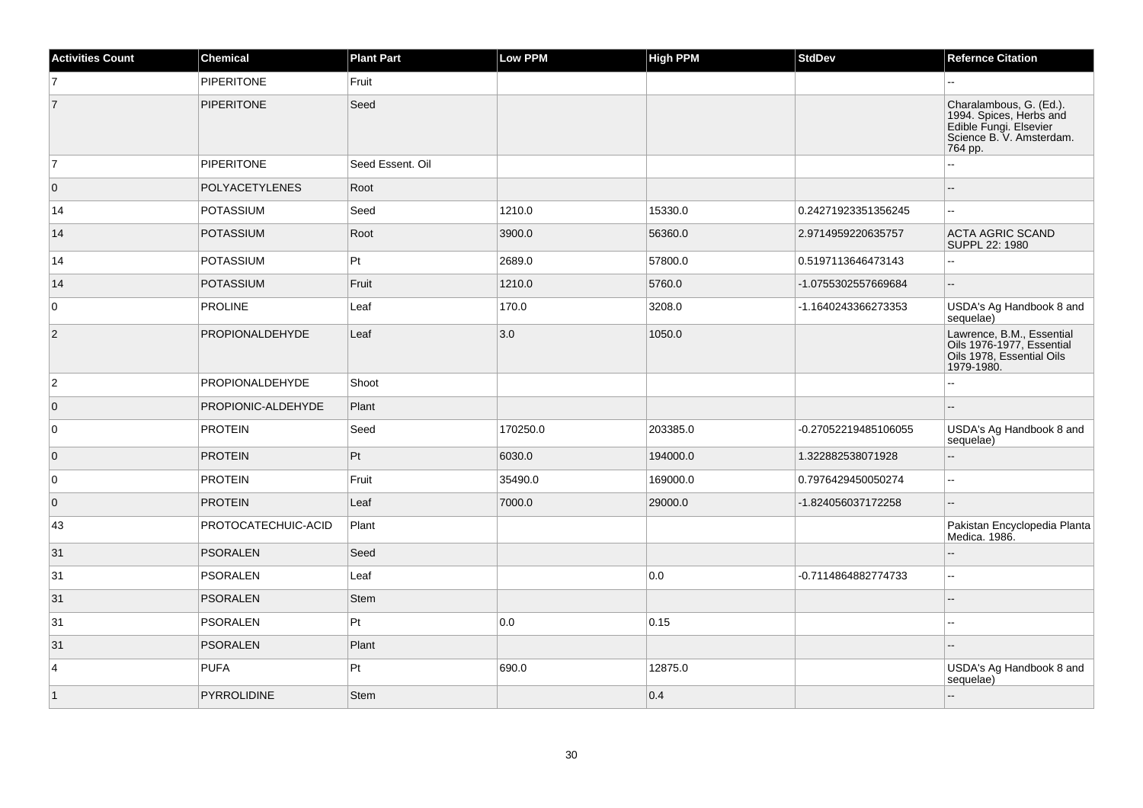| <b>Activities Count</b> | Chemical               | <b>Plant Part</b> | Low PPM  | <b>High PPM</b> | <b>StdDev</b>        | <b>Refernce Citation</b>                                                                                            |
|-------------------------|------------------------|-------------------|----------|-----------------|----------------------|---------------------------------------------------------------------------------------------------------------------|
| $\overline{7}$          | <b>PIPERITONE</b>      | Fruit             |          |                 |                      |                                                                                                                     |
| $\overline{7}$          | <b>PIPERITONE</b>      | Seed              |          |                 |                      | Charalambous, G. (Ed.).<br>1994. Spices, Herbs and<br>Edible Fungi. Elsevier<br>Science B. V. Amsterdam.<br>764 pp. |
| $\overline{7}$          | <b>PIPERITONE</b>      | Seed Essent. Oil  |          |                 |                      | Ξ.                                                                                                                  |
| $\overline{0}$          | <b>POLYACETYLENES</b>  | Root              |          |                 |                      |                                                                                                                     |
| 14                      | <b>POTASSIUM</b>       | Seed              | 1210.0   | 15330.0         | 0.24271923351356245  | $\mathbf{u}$                                                                                                        |
| 14                      | <b>POTASSIUM</b>       | Root              | 3900.0   | 56360.0         | 2.9714959220635757   | <b>ACTA AGRIC SCAND</b><br>SUPPL 22: 1980                                                                           |
| 14                      | <b>POTASSIUM</b>       | Pt                | 2689.0   | 57800.0         | 0.5197113646473143   | L.                                                                                                                  |
| 14                      | <b>POTASSIUM</b>       | Fruit             | 1210.0   | 5760.0          | -1.0755302557669684  | $-$                                                                                                                 |
| $\overline{0}$          | PROLINE                | Leaf              | 170.0    | 3208.0          | -1.1640243366273353  | USDA's Ag Handbook 8 and<br>sequelae)                                                                               |
| $\overline{2}$          | PROPIONALDEHYDE        | Leaf              | 3.0      | 1050.0          |                      | Lawrence, B.M., Essential<br>Oils 1976-1977, Essential<br>Oils 1978, Essential Oils<br>1979-1980.                   |
| $\overline{2}$          | <b>PROPIONALDEHYDE</b> | Shoot             |          |                 |                      |                                                                                                                     |
| $\overline{0}$          | PROPIONIC-ALDEHYDE     | Plant             |          |                 |                      | $\overline{a}$                                                                                                      |
| 0                       | <b>PROTEIN</b>         | Seed              | 170250.0 | 203385.0        | -0.27052219485106055 | USDA's Ag Handbook 8 and<br>sequelae)                                                                               |
| $\overline{0}$          | <b>PROTEIN</b>         | Pt                | 6030.0   | 194000.0        | 1.322882538071928    | ă.                                                                                                                  |
| 0                       | <b>PROTEIN</b>         | Fruit             | 35490.0  | 169000.0        | 0.7976429450050274   | 44                                                                                                                  |
| $\overline{0}$          | <b>PROTEIN</b>         | Leaf              | 7000.0   | 29000.0         | -1.824056037172258   | ш,                                                                                                                  |
| 43                      | PROTOCATECHUIC-ACID    | Plant             |          |                 |                      | Pakistan Encyclopedia Planta<br>Medica. 1986.                                                                       |
| 31                      | <b>PSORALEN</b>        | Seed              |          |                 |                      | $-$                                                                                                                 |
| 31                      | PSORALEN               | Leaf              |          | 0.0             | -0.7114864882774733  | ă.                                                                                                                  |
| 31                      | <b>PSORALEN</b>        | <b>Stem</b>       |          |                 |                      | $-$                                                                                                                 |
| 31                      | <b>PSORALEN</b>        | $ P_t $           | 0.0      | 0.15            |                      | $\overline{a}$                                                                                                      |
| 31                      | PSORALEN               | Plant             |          |                 |                      |                                                                                                                     |
| $\vert$ 4               | <b>PUFA</b>            | Pt                | 690.0    | 12875.0         |                      | USDA's Ag Handbook 8 and<br>sequelae)                                                                               |
| $\vert$ 1               | <b>PYRROLIDINE</b>     | <b>Stem</b>       |          | 0.4             |                      | $-$                                                                                                                 |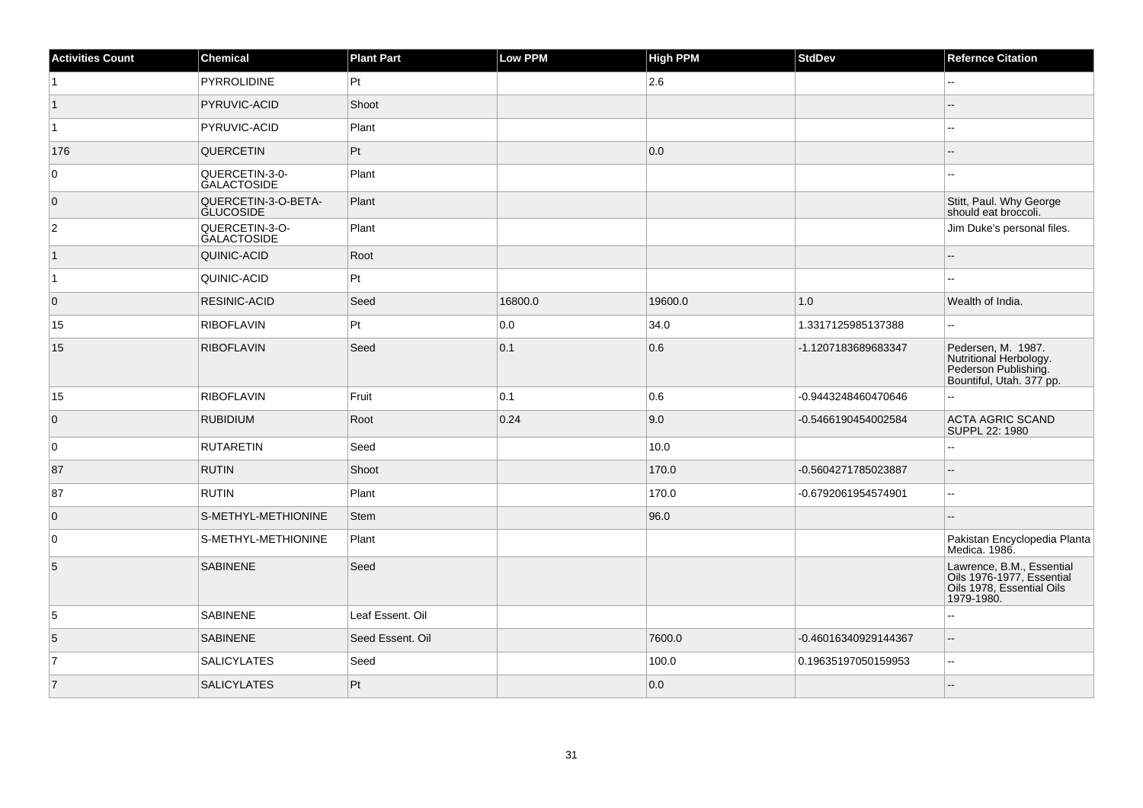| <b>Activities Count</b> | Chemical                                | <b>Plant Part</b> | Low PPM | <b>High PPM</b> | <b>StdDev</b>        | <b>Refernce Citation</b>                                                                          |
|-------------------------|-----------------------------------------|-------------------|---------|-----------------|----------------------|---------------------------------------------------------------------------------------------------|
| $\vert$ 1               | PYRROLIDINE                             | Pt                |         | 2.6             |                      |                                                                                                   |
| $\vert$ 1               | PYRUVIC-ACID                            | Shoot             |         |                 |                      |                                                                                                   |
| $\overline{1}$          | PYRUVIC-ACID                            | Plant             |         |                 |                      |                                                                                                   |
| 176                     | QUERCETIN                               | Pt                |         | 0.0             |                      | $- -$                                                                                             |
| $\overline{0}$          | QUERCETIN-3-0-<br><b>GALACTOSIDE</b>    | Plant             |         |                 |                      | ÷÷.                                                                                               |
| $\overline{0}$          | QUERCETIN-3-O-BETA-<br><b>GLUCOSIDE</b> | Plant             |         |                 |                      | Stitt, Paul. Why George<br>should eat broccoli.                                                   |
| $\overline{2}$          | QUERCETIN-3-O-<br><b>GALACTOSIDE</b>    | Plant             |         |                 |                      | Jim Duke's personal files.                                                                        |
| $\vert$ 1               | QUINIC-ACID                             | Root              |         |                 |                      |                                                                                                   |
| $\overline{1}$          | QUINIC-ACID                             | Pt                |         |                 |                      |                                                                                                   |
| $\overline{0}$          | <b>RESINIC-ACID</b>                     | Seed              | 16800.0 | 19600.0         | 1.0                  | Wealth of India.                                                                                  |
| 15                      | <b>RIBOFLAVIN</b>                       | Pt                | 0.0     | 34.0            | 1.3317125985137388   | ц.                                                                                                |
| 15                      | <b>RIBOFLAVIN</b>                       | Seed              | 0.1     | 0.6             | -1.1207183689683347  | Pedersen, M. 1987.<br>Nutritional Herbology.<br>Pederson Publishing.<br>Bountiful, Utah. 377 pp.  |
| 15                      | <b>RIBOFLAVIN</b>                       | Fruit             | 0.1     | 0.6             | -0.9443248460470646  | L.                                                                                                |
| $\overline{0}$          | <b>RUBIDIUM</b>                         | Root              | 0.24    | 9.0             | -0.5466190454002584  | <b>ACTA AGRIC SCAND</b><br>SUPPL 22: 1980                                                         |
| $\overline{0}$          | <b>RUTARETIN</b>                        | Seed              |         | 10.0            |                      | шш.                                                                                               |
| 87                      | <b>RUTIN</b>                            | Shoot             |         | 170.0           | -0.5604271785023887  | ۵.                                                                                                |
| 87                      | <b>RUTIN</b>                            | Plant             |         | 170.0           | -0.6792061954574901  | шш.                                                                                               |
| $\overline{0}$          | S-METHYL-METHIONINE                     | <b>Stem</b>       |         | 96.0            |                      |                                                                                                   |
| $\overline{0}$          | S-METHYL-METHIONINE                     | Plant             |         |                 |                      | Pakistan Encyclopedia Planta<br>Medica. 1986.                                                     |
| 5                       | <b>SABINENE</b>                         | Seed              |         |                 |                      | Lawrence, B.M., Essential<br>Oils 1976-1977, Essential<br>Oils 1978, Essential Oils<br>1979-1980. |
| 5                       | <b>SABINENE</b>                         | Leaf Essent. Oil  |         |                 |                      | Ξ.                                                                                                |
| 5                       | <b>SABINENE</b>                         | Seed Essent. Oil  |         | 7600.0          | -0.46016340929144367 | $- -$                                                                                             |
| $\overline{7}$          | <b>SALICYLATES</b>                      | Seed              |         | 100.0           | 0.19635197050159953  | 44                                                                                                |
| $\vert$ 7               | <b>SALICYLATES</b>                      | Pt                |         | 0.0             |                      | --                                                                                                |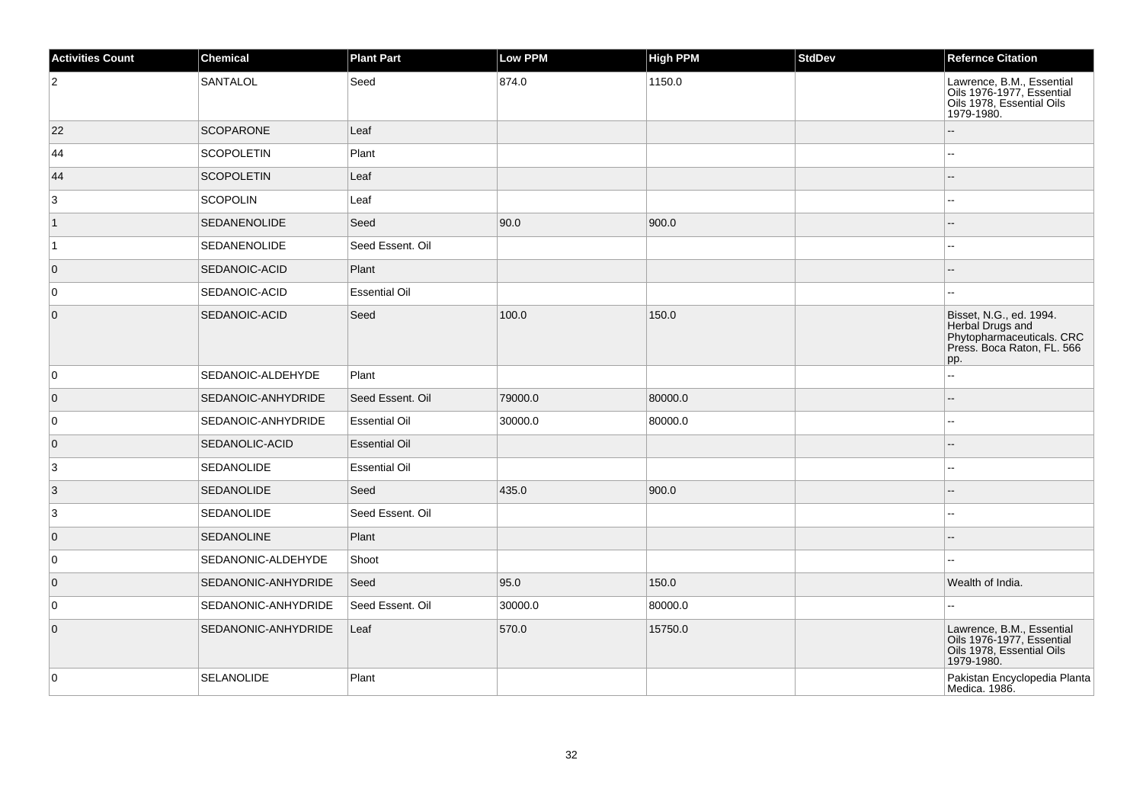| <b>Activities Count</b> | Chemical            | <b>Plant Part</b>    | <b>Low PPM</b> | <b>High PPM</b> | <b>StdDev</b> | <b>Refernce Citation</b>                                                                                      |
|-------------------------|---------------------|----------------------|----------------|-----------------|---------------|---------------------------------------------------------------------------------------------------------------|
| $ 2\rangle$             | SANTALOL            | Seed                 | 874.0          | 1150.0          |               | Lawrence, B.M., Essential<br>Oils 1976-1977, Essential<br>Oils 1978, Essential Oils<br>1979-1980.             |
| 22                      | <b>SCOPARONE</b>    | Leaf                 |                |                 |               |                                                                                                               |
| 44                      | <b>SCOPOLETIN</b>   | Plant                |                |                 |               | Щ,                                                                                                            |
| 44                      | <b>SCOPOLETIN</b>   | Leaf                 |                |                 |               | ш,                                                                                                            |
| 3                       | <b>SCOPOLIN</b>     | Leaf                 |                |                 |               | $\sim$ $\sim$                                                                                                 |
| $\mathbf{1}$            | <b>SEDANENOLIDE</b> | Seed                 | 90.0           | 900.0           |               |                                                                                                               |
| $\vert$ 1               | SEDANENOLIDE        | Seed Essent. Oil     |                |                 |               | --                                                                                                            |
| $\overline{0}$          | SEDANOIC-ACID       | Plant                |                |                 |               | $-$                                                                                                           |
| 0                       | SEDANOIC-ACID       | <b>Essential Oil</b> |                |                 |               | ۵.                                                                                                            |
| $\overline{0}$          | SEDANOIC-ACID       | Seed                 | 100.0          | 150.0           |               | Bisset, N.G., ed. 1994.<br>Herbal Drugs and<br>Phytopharmaceuticals. CRC<br>Press. Boca Raton, FL. 566<br>pp. |
| 0                       | SEDANOIC-ALDEHYDE   | Plant                |                |                 |               | 44                                                                                                            |
| $\overline{0}$          | SEDANOIC-ANHYDRIDE  | Seed Essent. Oil     | 79000.0        | 80000.0         |               | $-$                                                                                                           |
| 0                       | SEDANOIC-ANHYDRIDE  | <b>Essential Oil</b> | 30000.0        | 80000.0         |               | 44                                                                                                            |
| $\overline{0}$          | SEDANOLIC-ACID      | <b>Essential Oil</b> |                |                 |               |                                                                                                               |
| 3                       | <b>SEDANOLIDE</b>   | <b>Essential Oil</b> |                |                 |               | Щ,                                                                                                            |
| $\vert$ 3               | <b>SEDANOLIDE</b>   | Seed                 | 435.0          | 900.0           |               | $\overline{a}$                                                                                                |
| 3                       | <b>SEDANOLIDE</b>   | Seed Essent. Oil     |                |                 |               | Ξ.                                                                                                            |
| $\overline{0}$          | <b>SEDANOLINE</b>   | Plant                |                |                 |               | --                                                                                                            |
| 0                       | SEDANONIC-ALDEHYDE  | Shoot                |                |                 |               | ۵.                                                                                                            |
| $\overline{0}$          | SEDANONIC-ANHYDRIDE | Seed                 | 95.0           | 150.0           |               | Wealth of India.                                                                                              |
| $\overline{0}$          | SEDANONIC-ANHYDRIDE | Seed Essent. Oil     | 30000.0        | 80000.0         |               | ۵.                                                                                                            |
| $\overline{0}$          | SEDANONIC-ANHYDRIDE | Leaf                 | 570.0          | 15750.0         |               | Lawrence, B.M., Essential<br>Oils 1976-1977, Essential<br>Oils 1978, Essential Oils<br>1979-1980.             |
| $\overline{0}$          | <b>SELANOLIDE</b>   | Plant                |                |                 |               | Pakistan Encyclopedia Planta<br>Medica. 1986.                                                                 |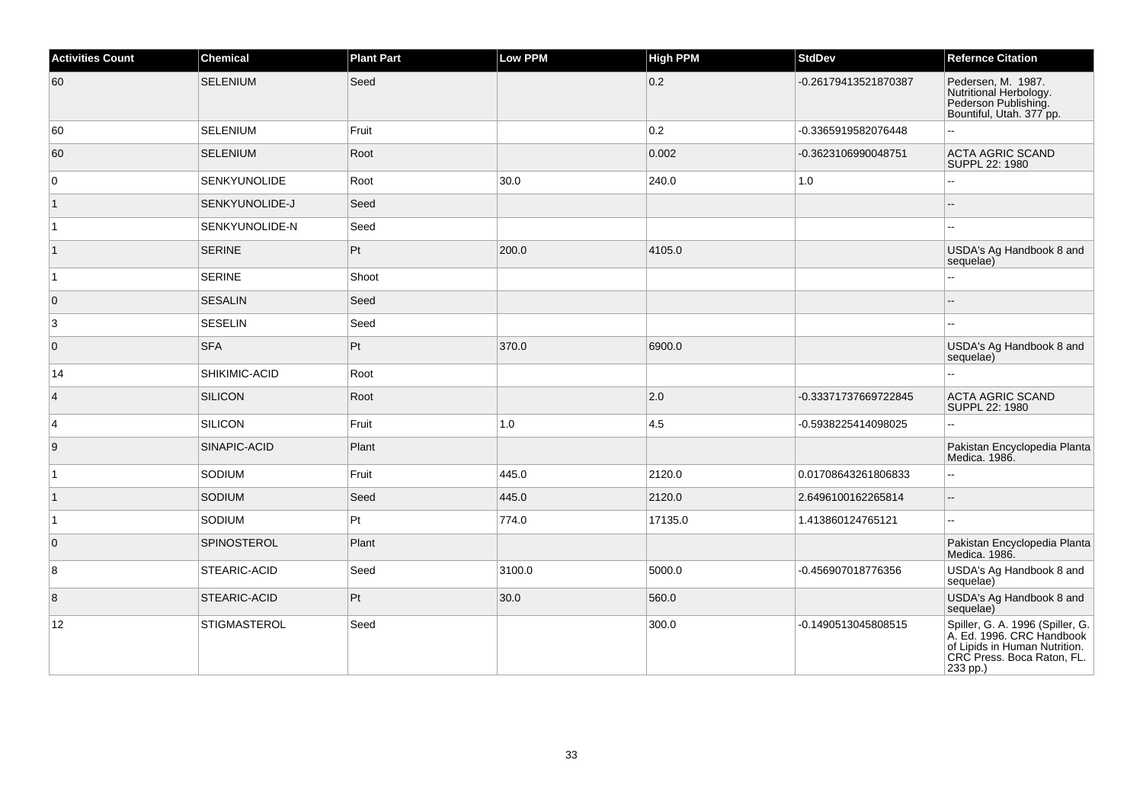| <b>Activities Count</b> | Chemical            | <b>Plant Part</b> | <b>Low PPM</b> | <b>High PPM</b> | <b>StdDev</b>        | <b>Refernce Citation</b>                                                                                                                 |
|-------------------------|---------------------|-------------------|----------------|-----------------|----------------------|------------------------------------------------------------------------------------------------------------------------------------------|
| 60                      | <b>SELENIUM</b>     | Seed              |                | 0.2             | -0.26179413521870387 | Pedersen, M. 1987.<br>Nutritional Herbology.<br>Pederson Publishing.<br>Bountiful, Utah. 377 pp.                                         |
| 60                      | <b>SELENIUM</b>     | Fruit             |                | 0.2             | -0.3365919582076448  | Ξ.                                                                                                                                       |
| 60                      | <b>SELENIUM</b>     | Root              |                | 0.002           | -0.3623106990048751  | <b>ACTA AGRIC SCAND</b><br>SUPPL 22: 1980                                                                                                |
| 0                       | <b>SENKYUNOLIDE</b> | Root              | 30.0           | 240.0           | 1.0                  | --                                                                                                                                       |
| $\vert$ 1               | SENKYUNOLIDE-J      | Seed              |                |                 |                      |                                                                                                                                          |
| $\vert$ 1               | SENKYUNOLIDE-N      | Seed              |                |                 |                      | $\sim$                                                                                                                                   |
| $\vert$ 1               | <b>SERINE</b>       | Pt                | 200.0          | 4105.0          |                      | USDA's Ag Handbook 8 and<br>sequelae)                                                                                                    |
| $\vert$ 1               | <b>SERINE</b>       | Shoot             |                |                 |                      |                                                                                                                                          |
| $\overline{0}$          | <b>SESALIN</b>      | Seed              |                |                 |                      | $\sim$                                                                                                                                   |
| $\mathbf{3}$            | <b>SESELIN</b>      | Seed              |                |                 |                      |                                                                                                                                          |
| $\overline{0}$          | <b>SFA</b>          | Pt                | 370.0          | 6900.0          |                      | USDA's Ag Handbook 8 and<br>sequelae)                                                                                                    |
| 14                      | SHIKIMIC-ACID       | Root              |                |                 |                      |                                                                                                                                          |
| $\overline{4}$          | <b>SILICON</b>      | Root              |                | 2.0             | -0.33371737669722845 | <b>ACTA AGRIC SCAND</b><br>SUPPL 22: 1980                                                                                                |
| $\overline{4}$          | <b>SILICON</b>      | Fruit             | 1.0            | 4.5             | -0.5938225414098025  |                                                                                                                                          |
| $\boldsymbol{9}$        | SINAPIC-ACID        | Plant             |                |                 |                      | Pakistan Encyclopedia Planta<br>Medica. 1986.                                                                                            |
| $\overline{1}$          | SODIUM              | Fruit             | 445.0          | 2120.0          | 0.01708643261806833  |                                                                                                                                          |
| $\vert$ 1               | <b>SODIUM</b>       | Seed              | 445.0          | 2120.0          | 2.6496100162265814   | Ξ.                                                                                                                                       |
| $\vert$ 1               | SODIUM              | Pt                | 774.0          | 17135.0         | 1.413860124765121    | Ξ.                                                                                                                                       |
| $\overline{0}$          | <b>SPINOSTEROL</b>  | Plant             |                |                 |                      | Pakistan Encyclopedia Planta<br>Medica. 1986.                                                                                            |
| 8                       | STEARIC-ACID        | Seed              | 3100.0         | 5000.0          | -0.456907018776356   | USDA's Ag Handbook 8 and<br>sequelae)                                                                                                    |
| $\boldsymbol{8}$        | STEARIC-ACID        | Pt                | 30.0           | 560.0           |                      | USDA's Ag Handbook 8 and<br>sequelae)                                                                                                    |
| 12                      | <b>STIGMASTEROL</b> | Seed              |                | 300.0           | -0.1490513045808515  | Spiller, G. A. 1996 (Spiller, G.<br>A. Ed. 1996. CRC Handbook<br>of Lipids in Human Nutrition.<br>CRC Press. Boca Raton, FL.<br>233 pp.) |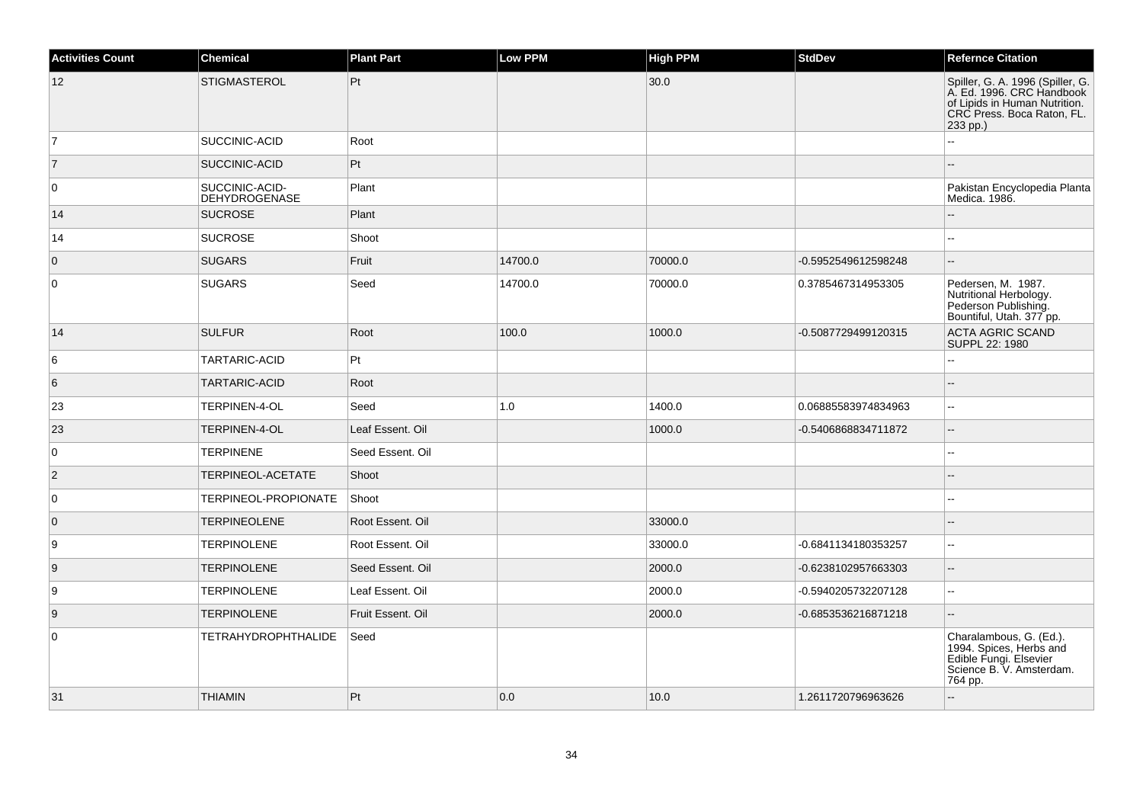| <b>Activities Count</b> | <b>Chemical</b>                 | <b>Plant Part</b> | Low PPM | <b>High PPM</b> | <b>StdDev</b>       | <b>Refernce Citation</b>                                                                                                                 |
|-------------------------|---------------------------------|-------------------|---------|-----------------|---------------------|------------------------------------------------------------------------------------------------------------------------------------------|
| 12                      | <b>STIGMASTEROL</b>             | Pt                |         | 30.0            |                     | Spiller, G. A. 1996 (Spiller, G.<br>A. Ed. 1996. CRC Handbook<br>of Lipids in Human Nutrition.<br>CRC Press. Boca Raton, FL.<br>233 pp.) |
| 17                      | SUCCINIC-ACID                   | Root              |         |                 |                     |                                                                                                                                          |
| 7                       | SUCCINIC-ACID                   | Pt                |         |                 |                     |                                                                                                                                          |
| $\overline{0}$          | SUCCINIC-ACID-<br>DEHYDROGENASE | Plant             |         |                 |                     | Pakistan Encyclopedia Planta<br>Medica. 1986.                                                                                            |
| 14                      | <b>SUCROSE</b>                  | Plant             |         |                 |                     | ÷.                                                                                                                                       |
| 14                      | <b>SUCROSE</b>                  | Shoot             |         |                 |                     | ۵.                                                                                                                                       |
| $\overline{0}$          | <b>SUGARS</b>                   | Fruit             | 14700.0 | 70000.0         | -0.5952549612598248 | $\overline{a}$                                                                                                                           |
| $\overline{0}$          | <b>SUGARS</b>                   | Seed              | 14700.0 | 70000.0         | 0.3785467314953305  | Pedersen, M. 1987.<br>Nutritional Herbology.<br>Pederson Publishing.<br>Bountiful, Utah. 377 pp.                                         |
| 14                      | <b>SULFUR</b>                   | Root              | 100.0   | 1000.0          | -0.5087729499120315 | <b>ACTA AGRIC SCAND</b><br>SUPPL 22: 1980                                                                                                |
| 6                       | TARTARIC-ACID                   | Pt                |         |                 |                     | L.                                                                                                                                       |
| 6                       | <b>TARTARIC-ACID</b>            | Root              |         |                 |                     | $\overline{a}$                                                                                                                           |
| 23                      | TERPINEN-4-OL                   | Seed              | 1.0     | 1400.0          | 0.06885583974834963 | $\mathbf{u}$                                                                                                                             |
| 23                      | TERPINEN-4-OL                   | Leaf Essent. Oil  |         | 1000.0          | -0.5406868834711872 | $\overline{\phantom{a}}$                                                                                                                 |
| 0                       | <b>TERPINENE</b>                | Seed Essent. Oil  |         |                 |                     |                                                                                                                                          |
| $\overline{2}$          | TERPINEOL-ACETATE               | Shoot             |         |                 |                     |                                                                                                                                          |
| 0                       | <b>TERPINEOL-PROPIONATE</b>     | Shoot             |         |                 |                     |                                                                                                                                          |
| $\overline{0}$          | <b>TERPINEOLENE</b>             | Root Essent. Oil  |         | 33000.0         |                     |                                                                                                                                          |
| 9                       | <b>TERPINOLENE</b>              | Root Essent, Oil  |         | 33000.0         | -0.6841134180353257 | $\mathbf{u}$                                                                                                                             |
| 9                       | <b>TERPINOLENE</b>              | Seed Essent. Oil  |         | 2000.0          | -0.6238102957663303 | н.                                                                                                                                       |
| 9                       | <b>TERPINOLENE</b>              | Leaf Essent. Oil  |         | 2000.0          | -0.5940205732207128 | $\mathbf{u}$                                                                                                                             |
| 9                       | <b>TERPINOLENE</b>              | Fruit Essent. Oil |         | 2000.0          | -0.6853536216871218 | Щ.                                                                                                                                       |
| 0                       | <b>TETRAHYDROPHTHALIDE</b>      | Seed              |         |                 |                     | Charalambous, G. (Ed.).<br>1994. Spices, Herbs and<br>Edible Fungi. Elsevier<br>Science B. V. Amsterdam.<br>764 pp.                      |
| 31                      | <b>THIAMIN</b>                  | Pt                | 0.0     | 10.0            | 1.2611720796963626  | ÷.                                                                                                                                       |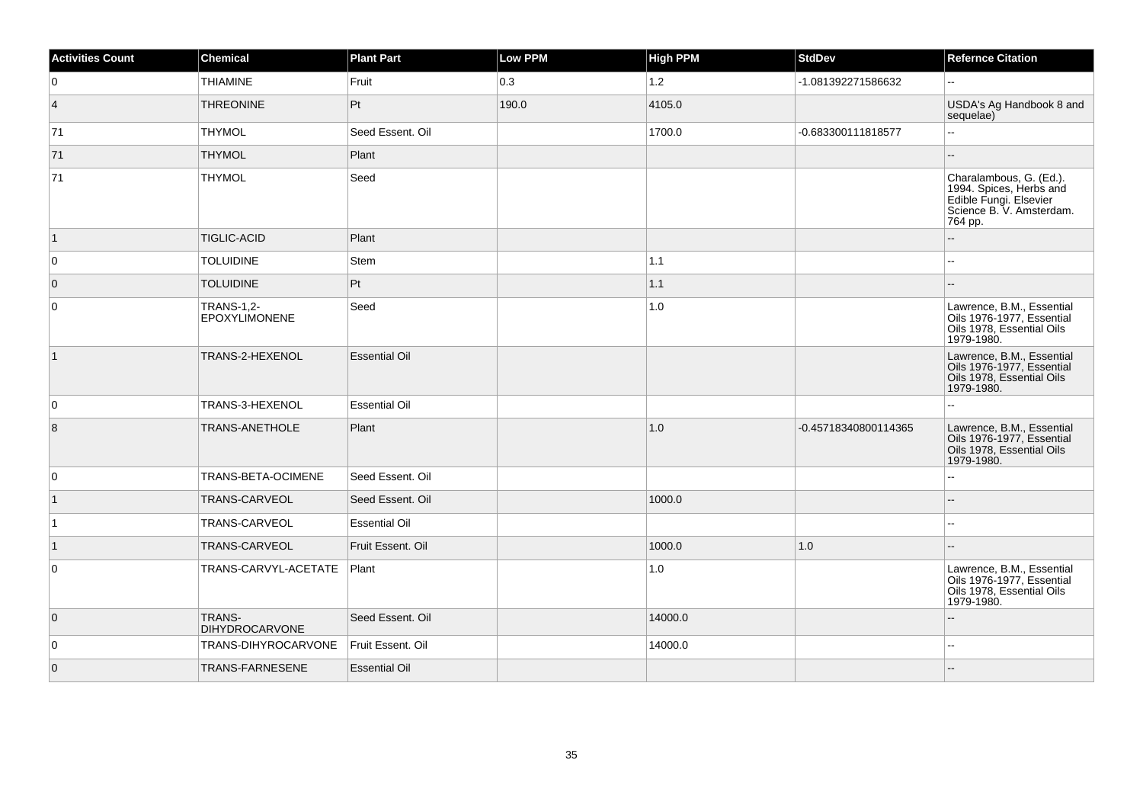| <b>Activities Count</b> | <b>Chemical</b>                           | <b>Plant Part</b>    | <b>Low PPM</b> | <b>High PPM</b> | <b>StdDev</b>        | <b>Refernce Citation</b>                                                                                            |
|-------------------------|-------------------------------------------|----------------------|----------------|-----------------|----------------------|---------------------------------------------------------------------------------------------------------------------|
| $\mathbf 0$             | <b>THIAMINE</b>                           | Fruit                | 0.3            | $1.2$           | -1.081392271586632   | $\overline{\phantom{a}}$                                                                                            |
| $\vert 4 \vert$         | <b>THREONINE</b>                          | Pt                   | 190.0          | 4105.0          |                      | USDA's Ag Handbook 8 and<br>sequelae)                                                                               |
| 71                      | <b>THYMOL</b>                             | Seed Essent. Oil     |                | 1700.0          | -0.683300111818577   | u.                                                                                                                  |
| 71                      | <b>THYMOL</b>                             | Plant                |                |                 |                      |                                                                                                                     |
| 71                      | <b>THYMOL</b>                             | Seed                 |                |                 |                      | Charalambous, G. (Ed.).<br>1994. Spices, Herbs and<br>Edible Fungi. Elsevier<br>Science B. V. Amsterdam.<br>764 pp. |
| $\vert$ 1               | <b>TIGLIC-ACID</b>                        | Plant                |                |                 |                      |                                                                                                                     |
| 0                       | <b>TOLUIDINE</b>                          | Stem                 |                | $1.1$           |                      |                                                                                                                     |
| $\overline{0}$          | <b>TOLUIDINE</b>                          | Pt                   |                | $1.1$           |                      |                                                                                                                     |
| 0                       | <b>TRANS-1,2-</b><br><b>EPOXYLIMONENE</b> | Seed                 |                | 1.0             |                      | Lawrence, B.M., Essential<br>Oils 1976-1977, Essential<br>Oils 1978, Essential Oils<br>1979-1980.                   |
| $\vert$ 1               | TRANS-2-HEXENOL                           | <b>Essential Oil</b> |                |                 |                      | Lawrence, B.M., Essential<br>Oils 1976-1977, Essential<br>Oils 1978, Essential Oils<br>1979-1980.                   |
| 0                       | TRANS-3-HEXENOL                           | <b>Essential Oil</b> |                |                 |                      | Ξ.                                                                                                                  |
| 8                       | TRANS-ANETHOLE                            | Plant                |                | 1.0             | -0.45718340800114365 | Lawrence, B.M., Essential<br>Oils 1976-1977, Essential<br>Oils 1978, Essential Oils<br>1979-1980.                   |
| 0                       | TRANS-BETA-OCIMENE                        | Seed Essent. Oil     |                |                 |                      |                                                                                                                     |
| $\vert$ 1               | TRANS-CARVEOL                             | Seed Essent. Oil     |                | 1000.0          |                      |                                                                                                                     |
| $\vert$ 1               | TRANS-CARVEOL                             | <b>Essential Oil</b> |                |                 |                      |                                                                                                                     |
| $\vert$ 1               | TRANS-CARVEOL                             | Fruit Essent. Oil    |                | 1000.0          | 1.0                  |                                                                                                                     |
| $\mathbf 0$             | TRANS-CARVYL-ACETATE                      | Plant                |                | 1.0             |                      | Lawrence, B.M., Essential<br>Oils 1976-1977, Essential<br>Oils 1978, Essential Oils<br>1979-1980.                   |
| $\overline{0}$          | TRANS-<br><b>DIHYDROCARVONE</b>           | Seed Essent. Oil     |                | 14000.0         |                      |                                                                                                                     |
| $\mathbf 0$             | TRANS-DIHYROCARVONE                       | Fruit Essent. Oil    |                | 14000.0         |                      |                                                                                                                     |
| $\overline{0}$          | TRANS-FARNESENE                           | <b>Essential Oil</b> |                |                 |                      |                                                                                                                     |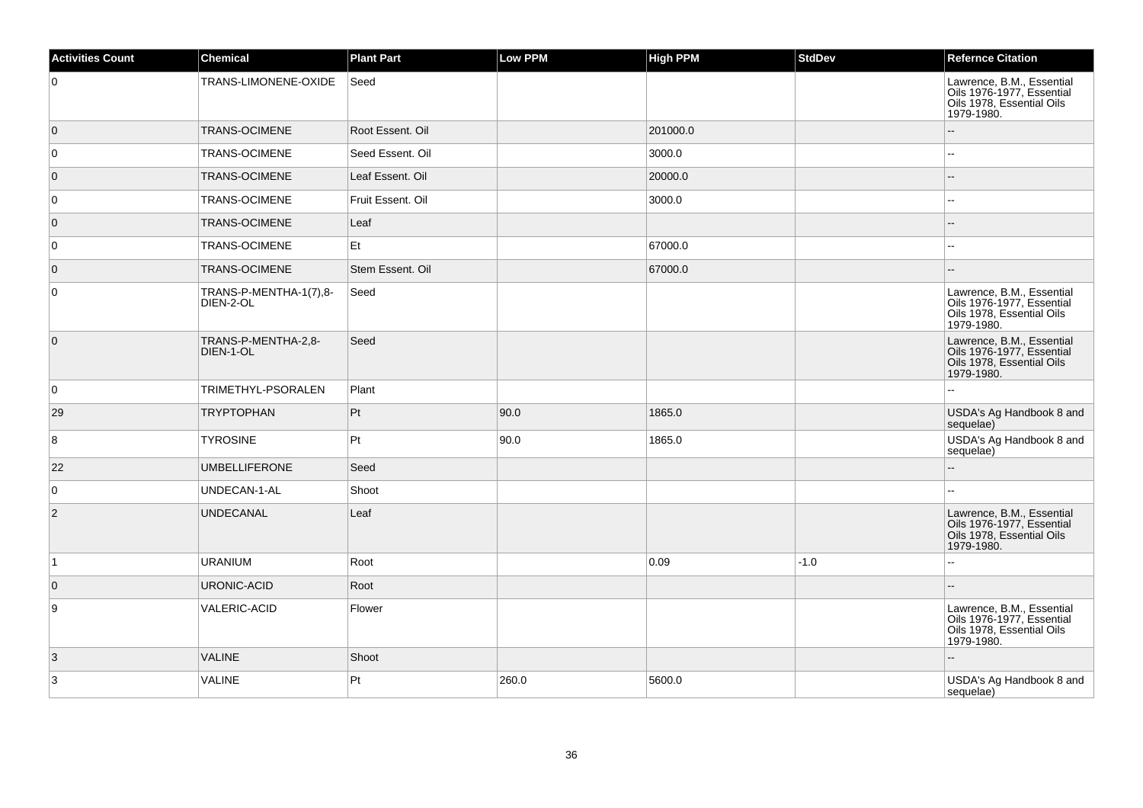| <b>Activities Count</b> | <b>Chemical</b>                     | <b>Plant Part</b> | Low PPM | <b>High PPM</b> | <b>StdDev</b> | <b>Refernce Citation</b>                                                                          |
|-------------------------|-------------------------------------|-------------------|---------|-----------------|---------------|---------------------------------------------------------------------------------------------------|
| 0                       | TRANS-LIMONENE-OXIDE                | Seed              |         |                 |               | Lawrence, B.M., Essential<br>Oils 1976-1977, Essential<br>Oils 1978, Essential Oils<br>1979-1980. |
| $\overline{0}$          | <b>TRANS-OCIMENE</b>                | Root Essent. Oil  |         | 201000.0        |               |                                                                                                   |
| 0                       | TRANS-OCIMENE                       | Seed Essent. Oil  |         | 3000.0          |               | Ξ.                                                                                                |
| $\overline{0}$          | <b>TRANS-OCIMENE</b>                | Leaf Essent. Oil  |         | 20000.0         |               | --                                                                                                |
| 0                       | TRANS-OCIMENE                       | Fruit Essent. Oil |         | 3000.0          |               | Ξ.                                                                                                |
| $\overline{0}$          | <b>TRANS-OCIMENE</b>                | Leaf              |         |                 |               | $-$                                                                                               |
| 0                       | <b>TRANS-OCIMENE</b>                | Et                |         | 67000.0         |               | --                                                                                                |
| $\overline{0}$          | <b>TRANS-OCIMENE</b>                | Stem Essent. Oil  |         | 67000.0         |               |                                                                                                   |
| 0                       | TRANS-P-MENTHA-1(7),8-<br>DIEN-2-OL | Seed              |         |                 |               | Lawrence, B.M., Essential<br>Oils 1976-1977, Essential<br>Oils 1978, Essential Oils<br>1979-1980. |
| $\overline{0}$          | TRANS-P-MENTHA-2,8-<br>DIEN-1-OL    | Seed              |         |                 |               | Lawrence, B.M., Essential<br>Oils 1976-1977, Essential<br>Oils 1978, Essential Oils<br>1979-1980. |
| 0                       | TRIMETHYL-PSORALEN                  | Plant             |         |                 |               | ă.                                                                                                |
| 29                      | <b>TRYPTOPHAN</b>                   | Pt                | 90.0    | 1865.0          |               | USDA's Ag Handbook 8 and<br>sequelae)                                                             |
| 8                       | <b>TYROSINE</b>                     | Pt                | 90.0    | 1865.0          |               | USDA's Ag Handbook 8 and<br>sequelae)                                                             |
| 22                      | <b>UMBELLIFERONE</b>                | Seed              |         |                 |               | $\overline{a}$                                                                                    |
| $\mathbf 0$             | UNDECAN-1-AL                        | Shoot             |         |                 |               |                                                                                                   |
| $\overline{2}$          | <b>UNDECANAL</b>                    | Leaf              |         |                 |               | Lawrence, B.M., Essential<br>Oils 1976-1977, Essential<br>Oils 1978, Essential Oils<br>1979-1980. |
| $\vert$ 1               | <b>URANIUM</b>                      | Root              |         | 0.09            | $-1.0$        | ۵.                                                                                                |
| $\overline{0}$          | <b>URONIC-ACID</b>                  | Root              |         |                 |               |                                                                                                   |
| 9                       | <b>VALERIC-ACID</b>                 | Flower            |         |                 |               | Lawrence, B.M., Essential<br>Oils 1976-1977, Essential<br>Oils 1978, Essential Oils<br>1979-1980. |
| 3                       | <b>VALINE</b>                       | Shoot             |         |                 |               | Ξ.                                                                                                |
| $\mathbf{3}$            | <b>VALINE</b>                       | Pt                | 260.0   | 5600.0          |               | USDA's Ag Handbook 8 and<br>sequelae)                                                             |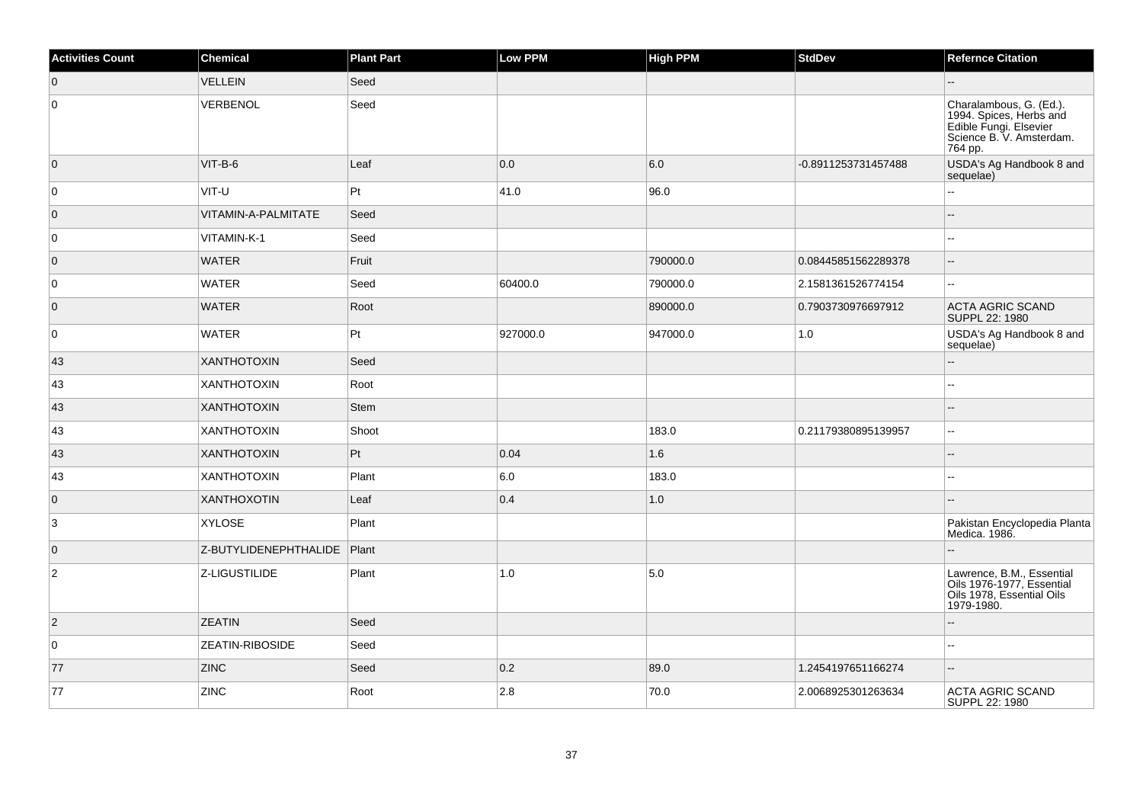| <b>Activities Count</b> | Chemical               | <b>Plant Part</b> | Low PPM  | <b>High PPM</b> | <b>StdDev</b>       | <b>Refernce Citation</b>                                                                                            |
|-------------------------|------------------------|-------------------|----------|-----------------|---------------------|---------------------------------------------------------------------------------------------------------------------|
| $\overline{0}$          | <b>VELLEIN</b>         | Seed              |          |                 |                     |                                                                                                                     |
| 0                       | VERBENOL               | Seed              |          |                 |                     | Charalambous, G. (Ed.).<br>1994. Spices, Herbs and<br>Edible Fungi. Elsevier<br>Science B. V. Amsterdam.<br>764 pp. |
| $\overline{0}$          | $VIT-B-6$              | Leaf              | 0.0      | 6.0             | -0.8911253731457488 | USDA's Ag Handbook 8 and<br>sequelae)                                                                               |
| 0                       | VIT-U                  | Pt                | 41.0     | 96.0            |                     | L.                                                                                                                  |
| $\overline{0}$          | VITAMIN-A-PALMITATE    | Seed              |          |                 |                     | $-$                                                                                                                 |
| 0                       | VITAMIN-K-1            | Seed              |          |                 |                     | Щ,                                                                                                                  |
| $\overline{0}$          | <b>WATER</b>           | Fruit             |          | 790000.0        | 0.08445851562289378 | $\overline{\phantom{a}}$                                                                                            |
| 0                       | <b>WATER</b>           | Seed              | 60400.0  | 790000.0        | 2.1581361526774154  | шш.                                                                                                                 |
| $\overline{0}$          | <b>WATER</b>           | Root              |          | 890000.0        | 0.7903730976697912  | <b>ACTA AGRIC SCAND</b><br>SUPPL 22: 1980                                                                           |
| 0                       | <b>WATER</b>           | Pt                | 927000.0 | 947000.0        | 1.0                 | USDA's Ag Handbook 8 and<br>sequelae)                                                                               |
| 43                      | <b>XANTHOTOXIN</b>     | Seed              |          |                 |                     |                                                                                                                     |
| 43                      | <b>XANTHOTOXIN</b>     | Root              |          |                 |                     | шш.                                                                                                                 |
| 43                      | <b>XANTHOTOXIN</b>     | <b>Stem</b>       |          |                 |                     |                                                                                                                     |
| 43                      | <b>XANTHOTOXIN</b>     | Shoot             |          | 183.0           | 0.21179380895139957 | 44                                                                                                                  |
| 43                      | <b>XANTHOTOXIN</b>     | Pt                | 0.04     | 1.6             |                     | --                                                                                                                  |
| 43                      | <b>XANTHOTOXIN</b>     | Plant             | 6.0      | 183.0           |                     | $-1$                                                                                                                |
| $\overline{0}$          | <b>XANTHOXOTIN</b>     | Leaf              | 0.4      | 1.0             |                     | $\overline{a}$                                                                                                      |
| 3                       | <b>XYLOSE</b>          | Plant             |          |                 |                     | Pakistan Encyclopedia Planta<br>Medica. 1986.                                                                       |
| $\overline{0}$          | Z-BUTYLIDENEPHTHALIDE  | Plant             |          |                 |                     |                                                                                                                     |
| $\overline{2}$          | Z-LIGUSTILIDE          | Plant             | 1.0      | 5.0             |                     | Lawrence, B.M., Essential<br>Oils 1976-1977, Essential<br>Oils 1978, Essential Oils<br>1979-1980.                   |
| $\overline{2}$          | <b>ZEATIN</b>          | Seed              |          |                 |                     | --                                                                                                                  |
| $\overline{0}$          | <b>ZEATIN-RIBOSIDE</b> | Seed              |          |                 |                     | --                                                                                                                  |
| 77                      | <b>ZINC</b>            | Seed              | 0.2      | 89.0            | 1.2454197651166274  | $-$                                                                                                                 |
| 77                      | <b>ZINC</b>            | Root              | 2.8      | 70.0            | 2.0068925301263634  | <b>ACTA AGRIC SCAND</b><br>SUPPL 22: 1980                                                                           |